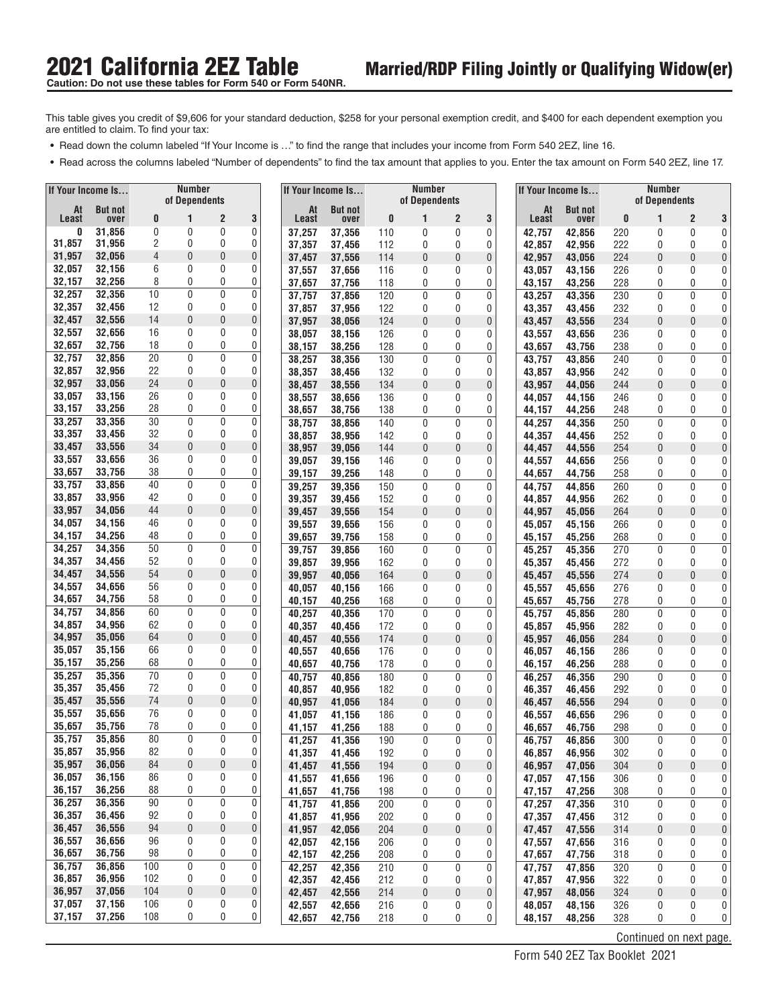**Caution: Do not use these tables for Form 540 or Form 540NR.** 

This table gives you credit of \$9,606 for your standard deduction, \$258 for your personal exemption credit, and \$400 for each dependent exemption you are entitled to claim. To find your tax: **•• Read down the column labeled "If Your Income is ..."** to find the range that includes your income from Form 540 2EZ, line 16.<br>• Read down the column labeled "If Your Income is ..." to find the range that includes your

- 
- **•** Read across the columns labeled "Number of dependents" to find the tax amount that applies to you. Enter the tax amount on Form 540 2EZ, line 17.

|                  | If Your Income Is |          | Number<br>of Dependents |                   |             |                  | If Your Income Is |            | <b>Number</b><br>of Dependents |                   |                  |                  | If Your Income Is |            | <b>Number</b><br>of Dependents |                       |                                   |
|------------------|-------------------|----------|-------------------------|-------------------|-------------|------------------|-------------------|------------|--------------------------------|-------------------|------------------|------------------|-------------------|------------|--------------------------------|-----------------------|-----------------------------------|
| At               | <b>But not</b>    |          |                         |                   |             | At               | <b>But not</b>    |            |                                |                   |                  | At               | <b>But not</b>    |            |                                |                       |                                   |
| Least<br>0       | over<br>31,856    | 0<br>0   | 1<br>0                  | 2<br>0            | 3<br>0      | Least<br>37,257  | over<br>37,356    | 0<br>110   | 1<br>0                         | 2<br>0            | 3<br>0           | Least<br>42,757  | over<br>42,856    | 0<br>220   | 1<br>0                         | $\overline{2}$<br>0   | 3<br>0                            |
| 31,857           | 31,956            | 2        | 0                       | 0                 | 0           | 37,357           | 37,456            | 112        | 0                              | 0                 | 0                | 42,857           | 42.956            | 222        | 0                              | 0                     | 0                                 |
| 31,957           | 32,056            | 4        | 0                       | 0                 | 0           | 37,457           | 37,556            | 114        | 0                              | 0                 | 0                | 42,957           | 43,056            | 224        | 0                              | $\overline{0}$        | 0                                 |
| 32,057           | 32,156            | 6        | $\mathbf{0}$            | 0                 | 0           | 37,557           | 37,656            | 116        | 0                              | 0                 | 0                | 43,057           | 43,156            | 226        | 0                              | 0                     | 0                                 |
| 32,157           | 32,256            | 8        | 0                       | 0                 | 0           | 37,657           | 37,756            | 118        | 0                              | 0                 | 0                | 43,157           | 43,256            | 228        | 0                              | 0                     | 0                                 |
| 32,257           | 32,356            | 10       | 0                       | $\mathbf 0$       | 0           | 37,757           | 37,856            | 120        | 0                              | 0                 | $\pmb{0}$        | 43,257           | 43,356            | 230        | 0                              | 0                     | 0                                 |
| 32,357<br>32,457 | 32,456<br>32,556  | 12<br>14 | 0<br>$\theta$           | 0<br>$\mathbf{0}$ | 0<br>0      | 37,857           | 37,956            | 122<br>124 | 0                              | 0                 | 0                | 43,357           | 43,456            | 232        | 0                              | 0<br>$\boldsymbol{0}$ | 0                                 |
| 32,557           | 32,656            | 16       | 0                       | 0                 | 0           | 37,957<br>38,057 | 38,056<br>38,156  | 126        | $\theta$<br>0                  | 0<br>0            | $\pmb{0}$<br>0   | 43,457<br>43,557 | 43,556<br>43,656  | 234<br>236 | 0<br>0                         | 0                     | 0<br>0                            |
| 32,657           | 32,756            | 18       | 0                       | 0                 | 0           | 38,157           | 38,256            | 128        | 0                              | 0                 | 0                | 43,657           | 43,756            | 238        | 0                              | 0                     | 0                                 |
| 32,757           | 32.856            | 20       | $\mathbf{0}$            | 0                 | 0           | 38,257           | 38,356            | 130        | $\mathbf{0}$                   | 0                 | $\mathbf 0$      | 43,757           | 43,856            | 240        | 0                              | $\mathbf{0}$          | 0                                 |
| 32,857           | 32,956            | 22       | 0                       | 0                 | 0           | 38,357           | 38,456            | 132        | 0                              | 0                 | 0                | 43,857           | 43,956            | 242        | 0                              | $\mathbf{0}$          | 0                                 |
| 32,957           | 33,056            | 24       | $\mathbf{0}$            | 0                 | 0           | 38,457           | 38,556            | 134        | $\mathbf{0}$                   | 0                 | $\pmb{0}$        | 43,957           | 44,056            | 244        | $\overline{0}$                 | 0                     | 0                                 |
| 33,057           | 33,156            | 26       | 0                       | 0                 | 0           | 38,557           | 38,656            | 136        | 0                              | 0                 | 0                | 44,057           | 44,156            | 246        | 0                              | 0                     | 0                                 |
| 33,157<br>33,257 | 33,256<br>33,356  | 28<br>30 | 0<br>0                  | 0<br>$\mathbf{0}$ | 0<br>0      | 38,657           | 38,756            | 138        | 0                              | 0                 | 0                | 44,157           | 44,256            | 248        | 0                              | 0                     | 0                                 |
| 33,357           | 33,456            | 32       | 0                       | 0                 | 0           | 38,757<br>38,857 | 38,856<br>38,956  | 140<br>142 | 0<br>0                         | 0<br>0            | 0<br>0           | 44,257<br>44,357 | 44,356<br>44.456  | 250<br>252 | 0<br>0                         | 0<br>0                | 0<br>0                            |
| 33,457           | 33,556            | 34       | 0                       | 0                 | $\mathbf 0$ | 38,957           | 39,056            | 144        | $\mathbf{0}$                   | $\mathbf{0}$      | 0                | 44,457           | 44,556            | 254        | 0                              | $\mathbf{0}$          | 0                                 |
| 33,557           | 33,656            | 36       | 0                       | 0                 | 0           | 39,057           | 39,156            | 146        | 0                              | 0                 | 0                | 44,557           | 44,656            | 256        | 0                              | 0                     | 0                                 |
| 33,657           | 33,756            | 38       | 0                       | 0                 | 0           | 39,157           | 39,256            | 148        | 0                              | 0                 | 0                | 44,657           | 44,756            | 258        | 0                              | 0                     | 0                                 |
| 33,757           | 33,856            | 40       | 0                       | $\mathbf 0$       | 0           | 39,257           | 39,356            | 150        | 0                              | 0                 | 0                | 44,757           | 44,856            | 260        | 0                              | 0                     | 0                                 |
| 33,857           | 33,956            | 42       | 0                       | 0                 | 0           | 39,357           | 39,456            | 152        | 0                              | 0                 | 0                | 44,857           | 44,956            | 262        | 0                              | 0                     | 0                                 |
| 33,957           | 34,056            | 44       | $\theta$                | 0                 | 0           | 39,457           | 39,556            | 154        | $\theta$                       | 0                 | 0                | 44,957           | 45,056            | 264        | 0                              | $\boldsymbol{0}$      | 0                                 |
| 34,057<br>34,157 | 34,156<br>34,256  | 46<br>48 | 0<br>0                  | 0<br>0            | 0<br>0      | 39,557           | 39,656            | 156        | $\mathbf{0}$                   | 0                 | 0                | 45,057           | 45,156            | 266        | 0                              | 0                     | 0                                 |
| 34,257           | 34,356            | 50       | $\mathbf{0}$            | 0                 | 0           | 39,657<br>39,757 | 39,756<br>39,856  | 158<br>160 | 0<br>$\mathbf{0}$              | 0<br>0            | 0<br>$\mathbf 0$ | 45,157<br>45,257 | 45,256<br>45,356  | 268<br>270 | 0<br>0                         | 0<br>0                | 0<br>0                            |
| 34,357           | 34,456            | 52       | 0                       | 0                 | 0           | 39,857           | 39,956            | 162        | 0                              | 0                 | 0                | 45,357           | 45,456            | 272        | 0                              | 0                     | 0                                 |
| 34,457           | 34,556            | 54       | $\mathbf{0}$            | 0                 | 0           | 39,957           | 40,056            | 164        | $\mathbf{0}$                   | 0                 | $\pmb{0}$        | 45,457           | 45,556            | 274        | $\overline{0}$                 | $\overline{0}$        | 0                                 |
| 34,557           | 34,656            | 56       | $\mathbf{0}$            | 0                 | 0           | 40,057           | 40,156            | 166        | $\mathbf{0}$                   | 0                 | 0                | 45,557           | 45,656            | 276        | 0                              | 0                     | 0                                 |
| 34,657           | 34,756            | 58       | 0                       | 0                 | 0           | 40,157           | 40,256            | 168        | 0                              | 0                 | 0                | 45,657           | 45,756            | 278        | 0                              | 0                     | 0                                 |
| 34,757           | 34,856            | 60       | 0                       | $\mathbf{0}$      | 0           | 40,257           | 40,356            | 170        | 0                              | 0                 | 0                | 45,757           | 45,856            | 280        | 0                              | $\mathbf 0$           | 0                                 |
| 34,857           | 34,956            | 62<br>64 | 0<br>$\mathbf{0}$       | 0<br>$\mathbf{0}$ | 0<br>0      | 40,357           | 40,456            | 172        | 0                              | 0                 | 0                | 45,857           | 45,956            | 282        | 0                              | 0                     | 0                                 |
| 34,957<br>35,057 | 35,056<br>35,156  | 66       | $\mathbf{0}$            | 0                 | 0           | 40,457           | 40,556            | 174        | $\theta$<br>0                  | 0<br>0            | 0                | 45,957           | 46,056            | 284        | 0<br>0                         | $\overline{0}$<br>0   | 0<br>0                            |
| 35,157           | 35,256            | 68       | 0                       | 0                 | 0           | 40,557<br>40,657 | 40,656<br>40,756  | 176<br>178 | 0                              | 0                 | 0<br>0           | 46,057<br>46,157 | 46,156<br>46,256  | 286<br>288 | 0                              | 0                     | 0                                 |
| 35,257           | 35,356            | 70       | 0                       | $\mathbf 0$       | 0           | 40,757           | 40,856            | 180        | 0                              | 0                 | 0                | 46,257           | 46,356            | 290        | 0                              | 0                     | 0                                 |
| 35,357           | 35,456            | 72       | 0                       | 0                 | 0           | 40,857           | 40,956            | 182        | 0                              | 0                 | 0                | 46,357           | 46,456            | 292        | 0                              | 0                     | 0 <sup>1</sup>                    |
| 35,457           | 35,556            | 74       | 0                       | 0                 | 0           | 40,957           | 41,056            | 184        | 0                              | 0                 | 0                | 46,457           | 46,556            | 294        | $\bf{0}$                       | $\pmb{0}$             | 0                                 |
| 35,557           | 35,656            | 76       | 0                       | 0                 | 0           | 41,057           | 41,156            | 186        | 0                              | 0                 | 0                | 46,557           | 46,656            | 296        | 0                              | 0                     | 0                                 |
| 35,657           | 35,756            | 78<br>80 | 0<br>0                  | 0<br>0            | 0<br>0      | 41,157           | 41,256            | 188        | 0                              | 0                 | 0                | 46,657           | 46,756            | 298        | 0                              | 0                     | $\overline{0}$                    |
| 35,757<br>35,857 | 35,856<br>35,956  | 82       | 0                       | 0                 | 0           | 41,257<br>41,357 | 41,356<br>41,456  | 190<br>192 | 0<br>0                         | $\mathbf{0}$<br>0 | 0<br>0           | 46,757<br>46,857 | 46,856<br>46,956  | 300<br>302 | $\mathbf{0}$<br>0              | $\mathbf{0}$<br>0     | 0 <sup>1</sup><br>$\vert 0 \vert$ |
| 35,957           | 36,056            | 84       | 0                       | $\pmb{0}$         | 0           | 41,457           | 41,556            | 194        | $\pmb{0}$                      | $\pmb{0}$         | 0                | 46,957           | 47,056            | 304        | 0                              | $\pmb{0}$             | $\mathbf 0$                       |
| 36,057           | 36,156            | 86       | 0                       | 0                 | 0           | 41,557           | 41,656            | 196        | 0                              | 0                 | 0                | 47,057           | 47,156            | 306        | 0                              | 0                     | 0                                 |
| 36,157           | 36,256            | 88       | 0                       | 0                 | 0           | 41,657           | 41,756            | 198        | 0                              | 0                 | 0                | 47,157           | 47,256            | 308        | 0                              | 0                     | $\overline{0}$                    |
| 36,257           | 36,356            | 90       | 0                       | $\pmb{0}$         | 0           | 41,757           | 41,856            | 200        | $\pmb{0}$                      | 0                 | 0                | 47,257           | 47,356            | 310        | 0                              | 0                     | $\overline{0}$                    |
| 36,357           | 36,456            | 92       | 0                       | 0                 | 0           | 41,857           | 41,956            | 202        | 0                              | 0                 | 0                | 47,357           | 47,456            | 312        | 0                              | 0                     | $\overline{0}$                    |
| 36,457           | 36,556            | 94       | 0                       | 0                 | 0           | 41,957           | 42,056            | 204        | $\pmb{0}$                      | 0                 | 0                | 47,457           | 47,556            | 314        | 0                              | $\theta$              | 0                                 |
| 36,557<br>36,657 | 36,656<br>36,756  | 96<br>98 | 0<br>0                  | 0<br>0            | 0<br>0      | 42,057           | 42,156            | 206        | 0                              | 0                 | 0                | 47,557           | 47,656            | 316        | 0                              | 0                     | $\overline{0}$                    |
| 36,757           | 36,856            | 100      | 0                       | $\pmb{0}$         | 0           | 42,157<br>42,257 | 42,256<br>42,356  | 208<br>210 | 0<br>0                         | 0<br>0            | 0<br>$\mathbf 0$ | 47,657<br>47,757 | 47,756<br>47,856  | 318<br>320 | 0<br>0                         | 0<br>$\mathbf 0$      | $\overline{0}$<br>$\overline{0}$  |
| 36,857           | 36,956            | 102      | 0                       | 0                 | 0           | 42,357           | 42,456            | 212        | 0                              | 0                 | 0                | 47,857           | 47,956            | 322        | 0                              | 0                     | $\overline{0}$                    |
| 36,957           | 37,056            | 104      | 0                       | 0                 | $\bf{0}$    | 42,457           | 42,556            | 214        | $\pmb{0}$                      | 0                 | 0                | 47,957           | 48,056            | 324        | 0                              | $\pmb{0}$             | $\mathbf 0$                       |
| 37,057           | 37,156            | 106      | 0                       | 0                 | 0           | 42,557           | 42,656            | 216        | 0                              | 0                 | 0                | 48,057           | 48,156            | 326        | 0                              | 0                     | $\overline{0}$                    |
| 37,157           | 37,256            | 108      | 0                       | 0                 | 0           | 42,657           | 42,756            | 218        | 0                              | 0                 | 0                | 48,157           | 48,256            | 328        | 0                              | 0                     | $\vert 0 \vert$                   |
|                  |                   |          |                         |                   |             |                  |                   |            |                                |                   |                  |                  |                   |            | Continued on next page.        |                       |                                   |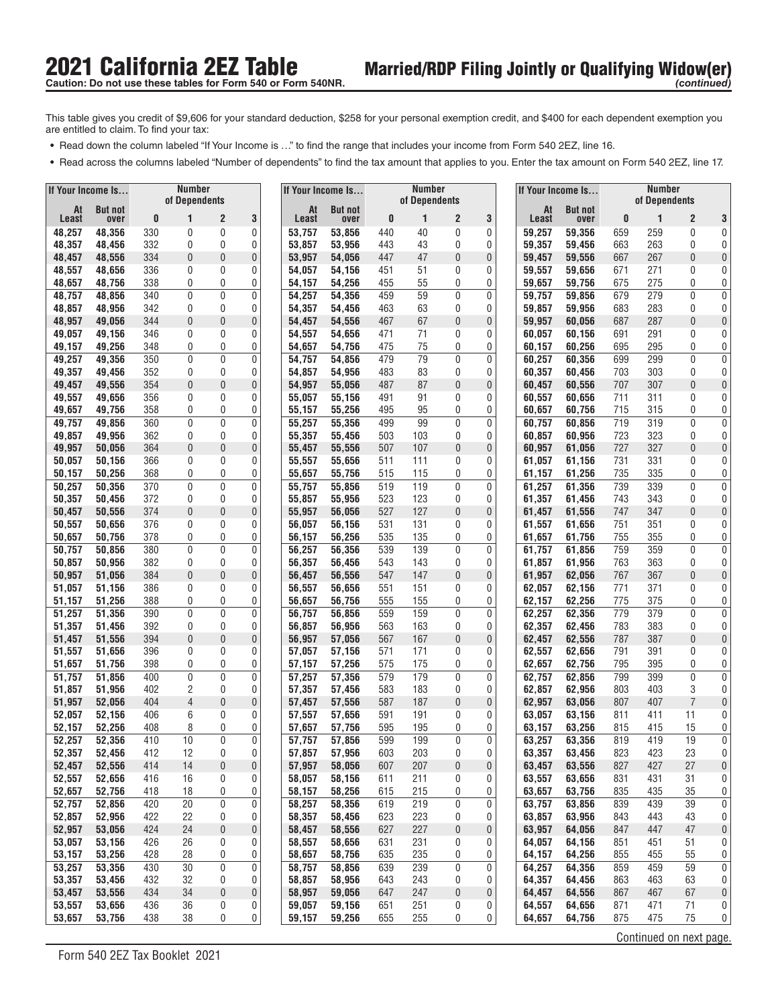- **•** Read down the column labeled "If Your Income is ..." to find the range that includes your income from Form 540 2EZ, line 16.
- **•** Read across the columns labeled "Number of dependents" to find the tax amount that applies to you. Enter the tax amount on Form 540 2EZ, line 17.

| If Your Income Is |                  |            | <b>Number</b>     |                |        |                  | If Your Income Is |            | <b>Number</b> |                  |              | If Your Income Is |                  |            | <b>Number</b> |                         |                                   |
|-------------------|------------------|------------|-------------------|----------------|--------|------------------|-------------------|------------|---------------|------------------|--------------|-------------------|------------------|------------|---------------|-------------------------|-----------------------------------|
| At                | <b>But not</b>   |            | of Dependents     |                |        | At               | <b>But not</b>    |            | of Dependents |                  |              | At                | <b>But not</b>   |            | of Dependents |                         |                                   |
| Least             | over             | 0          | 1                 | $\overline{c}$ | 3      | Least            | over              | 0          | 1             | $\overline{c}$   | 3            | Least             | over             | 0          | 1             | $\overline{2}$          | 3                                 |
| 48,257            | 48,356           | 330        | 0                 | 0              | 0      | 53,757           | 53,856            | 440        | 40            | 0                | 0            | 59,257            | 59,356           | 659        | 259           | 0                       | 0                                 |
| 48,357            | 48,456           | 332        | 0                 | 0<br>0         | 0      | 53,857           | 53,956            | 443        | 43<br>47      | 0                | 0            | 59,357            | 59,456           | 663        | 263           | 0<br>$\theta$           | 0                                 |
| 48,457<br>48,557  | 48,556<br>48,656 | 334<br>336 | 0<br>0            | 0              | 0<br>0 | 53,957<br>54,057 | 54,056<br>54,156  | 447<br>451 | 51            | 0<br>0           | 0<br>0       | 59,457<br>59,557  | 59,556<br>59,656 | 667<br>671 | 267<br>271    | 0                       | 0<br>0                            |
| 48,657            | 48,756           | 338        | 0                 | 0              | 0      | 54,157           | 54,256            | 455        | 55            | 0                | 0            | 59,657            | 59,756           | 675        | 275           | 0                       | 0                                 |
| 48,757            | 48,856           | 340        | 0                 | 0              | 0      | 54,257           | 54,356            | 459        | 59            | 0                | 0            | 59,757            | 59,856           | 679        | 279           | $\mathbf 0$             | 0                                 |
| 48,857            | 48,956           | 342        | 0                 | 0              | 0      | 54,357           | 54,456            | 463        | 63            | 0                | 0            | 59,857            | 59,956           | 683        | 283           | 0                       | 0                                 |
| 48,957            | 49,056           | 344        | $\mathbf{0}$      | 0              | 0      | 54,457           | 54,556            | 467        | 67            | $\bf{0}$         | 0            | 59,957            | 60,056           | 687        | 287           | $\theta$                | 0                                 |
| 49,057            | 49,156           | 346        | 0                 | 0              | 0      | 54,557           | 54,656            | 471        | 71            | 0                | 0            | 60,057            | 60,156           | 691        | 291           | 0                       | 0                                 |
| 49,157            | 49,256           | 348        | 0                 | 0              | 0      | 54,657           | 54,756            | 475        | 75            | 0                | 0            | 60,157            | 60,256           | 695        | 295           | 0                       | 0                                 |
| 49,257            | 49,356           | 350        | 0                 | 0              | 0      | 54,757           | 54,856            | 479        | 79            | $\mathbf 0$      | 0            | 60,257            | 60,356           | 699        | 299           | $\mathbf 0$             | 0                                 |
| 49,357            | 49,456           | 352        | 0                 | 0              | 0      | 54,857           | 54,956            | 483        | 83            | 0                | 0            | 60,357            | 60,456           | 703        | 303           | 0                       | 0                                 |
| 49,457            | 49,556           | 354        | 0                 | 0              | 0      | 54,957           | 55,056            | 487        | 87            | 0                | 0            | 60,457            | 60,556           | 707        | 307           | $\mathbf{0}$            | 0                                 |
| 49,557<br>49,657  | 49,656<br>49,756 | 356<br>358 | 0<br>0            | 0<br>0         | 0<br>0 | 55,057<br>55,157 | 55,156<br>55,256  | 491<br>495 | 91<br>95      | 0<br>0           | 0<br>0       | 60,557<br>60,657  | 60,656<br>60,756 | 711<br>715 | 311<br>315    | $\mathbf{0}$<br>0       | 0<br>0                            |
| 49,757            | 49,856           | 360        | 0                 | 0              | 0      | 55,257           | 55,356            | 499        | 99            | 0                | 0            | 60,757            | 60,856           | 719        | 319           | $\mathbf{0}$            | 0                                 |
| 49,857            | 49,956           | 362        | 0                 | 0              | 0      | 55,357           | 55,456            | 503        | 103           | 0                | 0            | 60,857            | 60.956           | 723        | 323           | 0                       | 0                                 |
| 49,957            | 50,056           | 364        | $\theta$          | 0              | 0      | 55,457           | 55,556            | 507        | 107           | 0                | $\bf{0}$     | 60,957            | 61,056           | 727        | 327           | $\theta$                | 0                                 |
| 50,057            | 50,156           | 366        | 0                 | 0              | 0      | 55,557           | 55,656            | 511        | 111           | 0                | 0            | 61,057            | 61,156           | 731        | 331           | 0                       | 0                                 |
| 50,157            | 50,256           | 368        | 0                 | 0              | 0      | 55,657           | 55,756            | 515        | 115           | 0                | 0            | 61,157            | 61,256           | 735        | 335           | 0                       | $\vert 0 \vert$                   |
| 50,257            | 50,356           | 370        | 0                 | 0              | 0      | 55,757           | 55,856            | 519        | 119           | 0                | 0            | 61,257            | 61,356           | 739        | 339           | $\mathbf 0$             | 0                                 |
| 50,357            | 50,456           | 372        | 0                 | 0              | 0      | 55,857           | 55,956            | 523        | 123           | 0                | 0            | 61,357            | 61,456           | 743        | 343           | 0                       | 0                                 |
| 50,457            | 50,556           | 374        | $\mathbf{0}$      | 0              | 0      | 55,957           | 56,056            | 527        | 127           | $\mathbf 0$      | $\mathbf 0$  | 61,457            | 61,556           | 747        | 347           | $\theta$                | 0                                 |
| 50,557            | 50,656           | 376        | 0                 | 0              | 0      | 56,057           | 56,156            | 531        | 131           | 0                | 0            | 61,557            | 61,656           | 751        | 351           | 0                       | 0                                 |
| 50,657            | 50,756           | 378        | 0<br>$\mathbf{0}$ | 0              | 0      | 56,157           | 56,256            | 535        | 135           | 0                | 0            | 61,657            | 61,756           | 755        | 355           | 0                       | 0                                 |
| 50,757<br>50,857  | 50,856<br>50,956 | 380<br>382 | 0                 | 0<br>0         | 0<br>0 | 56,257<br>56,357 | 56,356<br>56,456  | 539<br>543 | 139<br>143    | $\mathbf 0$<br>0 | 0<br>0       | 61,757<br>61,857  | 61,856<br>61,956 | 759<br>763 | 359<br>363    | $\mathbf 0$<br>0        | 0<br>0                            |
| 50,957            | 51,056           | 384        | 0                 | 0              | 0      | 56,457           | 56,556            | 547        | 147           | 0                | $\mathbf 0$  | 61,957            | 62,056           | 767        | 367           | $\theta$                | 0                                 |
| 51,057            | 51,156           | 386        | 0                 | 0              | 0      | 56,557           | 56,656            | 551        | 151           | 0                | 0            | 62,057            | 62,156           | 771        | 371           | 0                       | 0                                 |
| 51,157            | 51,256           | 388        | 0                 | 0              | 0      | 56,657           | 56,756            | 555        | 155           | 0                | 0            | 62,157            | 62,256           | 775        | 375           | 0                       | 0                                 |
| 51,257            | 51,356           | 390        | 0                 | $\mathbf 0$    | 0      | 56,757           | 56,856            | 559        | 159           | 0                | 0            | 62,257            | 62,356           | 779        | 379           | $\mathbf 0$             | 0                                 |
| 51,357            | 51,456           | 392        | 0                 | 0              | 0      | 56,857           | 56,956            | 563        | 163           | 0                | 0            | 62,357            | 62,456           | 783        | 383           | 0                       | 0                                 |
| 51,457            | 51,556           | 394        | 0                 | 0              | 0      | 56,957           | 57,056            | 567        | 167           | $\bf{0}$         | 0            | 62,457            | 62,556           | 787        | 387           | $\theta$                | 0                                 |
| 51,557            | 51,656           | 396        | 0                 | 0              | 0      | 57,057           | 57,156            | 571        | 171           | 0                | 0            | 62,557            | 62,656           | 791        | 391           | 0                       | 0                                 |
| 51,657            | 51,756           | 398        | 0                 | 0              | 0      | 57,157           | 57,256            | 575        | 175           | 0                | 0            | 62,657            | 62,756           | 795        | 395           | 0                       | 0                                 |
| 51,757<br>51,857  | 51,856<br>51,956 | 400<br>402 | 0<br>2            | 0<br>0         | 0<br>0 | 57,257<br>57,357 | 57,356            | 579<br>583 | 179<br>183    | 0<br>0           | 0<br>0       | 62,757<br>62,857  | 62,856<br>62,956 | 799<br>803 | 399<br>403    | $\mathbf{0}$<br>3       | 0<br>0                            |
| 51,957            | 52,056           | 404        | $\overline{4}$    | 0              | 0      | 57,457           | 57,456<br>57,556  | 587        | 187           | 0                | $\pmb{0}$    | 62,957            | 63,056           | 807        | 407           | $\overline{7}$          | 0                                 |
| 52,057            | 52,156           | 406        | 6                 | 0              | 0      | 57,557           | 57,656            | 591        | 191           | 0                | 0            | 63,057            | 63,156           | 811        | 411           | 11                      | 0                                 |
| 52,157            | 52,256           | 408        | 8                 | 0              | 0      | 57,657           | 57,756            | 595        | 195           | 0                | 0            | 63,157            | 63,256           | 815        | 415           | 15                      | 0                                 |
| 52,257            | 52,356           | 410        | 10                | $\Omega$       | 0      | 57,757           | 57.856            | 599        | 199           | $\mathbf{0}$     | $\mathbf{0}$ | 63,257            | 63,356           | 819        | 419           | 19                      | $\overline{0}$                    |
| 52,357            | 52,456           | 412        | 12                | 0              | 0      | 57,857           | 57,956            | 603        | 203           | 0                | 0            | 63,357            | 63,456           | 823        | 423           | 23                      | $\vert 0 \vert$                   |
| 52,457            | 52,556           | 414        | 14                | 0              | 0      | 57,957           | 58,056            | 607        | 207           | 0                | 0            | 63,457            | 63,556           | 827        | 427           | 27                      | 0                                 |
| 52,557            | 52,656           | 416        | 16                | 0              | 0      | 58,057           | 58,156            | 611        | 211           | 0                | 0            | 63,557            | 63,656           | 831        | 431           | 31                      | $\overline{0}$                    |
| 52,657            | 52,756           | 418        | 18                | 0              | 0      | 58,157           | 58,256            | 615        | 215           | 0                | 0            | 63,657            | 63,756           | 835        | 435           | 35                      | $\overline{0}$                    |
| 52,757            | 52,856           | 420        | 20                | 0              | 0      | 58,257           | 58,356            | 619        | 219           | 0                | 0            | 63,757            | 63,856           | 839        | 439           | 39                      | $\overline{0}$                    |
| 52,857<br>52,957  | 52,956<br>53,056 | 422<br>424 | 22<br>24          | 0<br>0         | 0<br>0 | 58,357<br>58,457 | 58,456<br>58,556  | 623<br>627 | 223<br>227    | 0<br>0           | 0<br>0       | 63,857<br>63,957  | 63,956<br>64,056 | 843<br>847 | 443<br>447    | 43<br>47                | $\overline{0}$<br>$\vert 0 \vert$ |
| 53,057            | 53,156           | 426        | 26                | 0              | 0      | 58,557           | 58,656            | 631        | 231           | 0                | 0            | 64,057            | 64,156           | 851        | 451           | 51                      | 0                                 |
| 53,157            | 53,256           | 428        | 28                | 0              | 0      | 58,657           | 58,756            | 635        | 235           | 0                | 0            | 64,157            | 64,256           | 855        | 455           | 55                      | $\overline{0}$                    |
| 53,257            | 53,356           | 430        | 30                | 0              | 0      | 58,757           | 58,856            | 639        | 239           | 0                | 0            | 64,257            | 64,356           | 859        | 459           | 59                      | $\overline{0}$                    |
| 53,357            | 53,456           | 432        | 32                | 0              | 0      | 58,857           | 58,956            | 643        | 243           | 0                | 0            | 64,357            | 64,456           | 863        | 463           | 63                      | $\overline{0}$                    |
| 53,457            | 53,556           | 434        | 34                | 0              | 0      | 58,957           | 59,056            | 647        | 247           | 0                | 0            | 64,457            | 64,556           | 867        | 467           | 67                      | $\mathbf 0$                       |
| 53,557            | 53,656           | 436        | 36                | 0              | 0      | 59,057           | 59,156            | 651        | 251           | 0                | 0            | 64,557            | 64,656           | 871        | 471           | 71                      | 0 <sup>1</sup>                    |
| 53,657            | 53,756           | 438        | 38                | 0              | 0      | 59,157           | 59,256            | 655        | 255           | 0                | 0            | 64,657            | 64,756           | 875        | 475           | 75                      | $\vert 0 \vert$                   |
|                   |                  |            |                   |                |        |                  |                   |            |               |                  |              |                   |                  |            |               | Continued on next page. |                                   |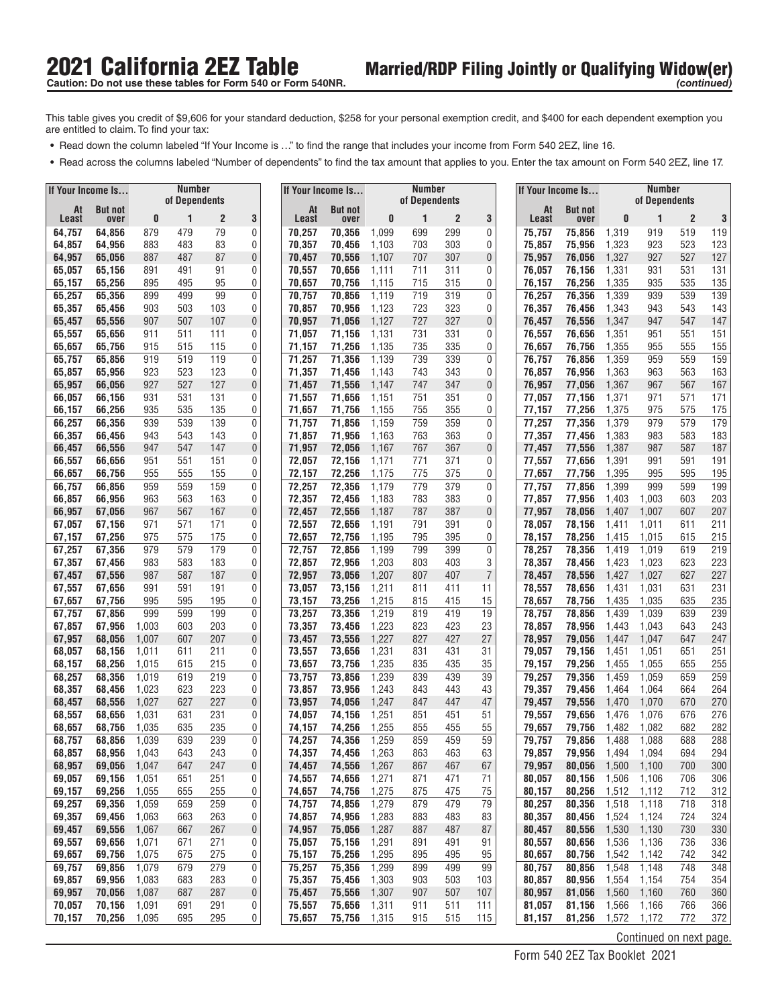- **•** Read down the column labeled "If Your Income is ..." to find the range that includes your income from Form 540 2EZ, line 16.
- **•** Read across the columns labeled "Number of dependents" to find the tax amount that applies to you. Enter the tax amount on Form 540 2EZ, line 17.

| If Your Income Is |                  |                | <b>Number</b> |                |        |                  | If Your Income Is |                | <b>Number</b> |                |                  | If Your Income Is |                  |                | <b>Number</b>           |                |            |
|-------------------|------------------|----------------|---------------|----------------|--------|------------------|-------------------|----------------|---------------|----------------|------------------|-------------------|------------------|----------------|-------------------------|----------------|------------|
| At                | <b>But not</b>   |                | of Dependents |                |        | At               | <b>But not</b>    |                | of Dependents |                |                  | At                | <b>But not</b>   |                | of Dependents           |                |            |
| Least             | over             | 0              | 1             | $\overline{c}$ | 3      | Least            | over              | 0              | 1             | $\overline{c}$ | 3                | Least             | over             | 0              | 1                       | $\overline{2}$ | 3          |
| 64,757<br>64,857  | 64,856<br>64,956 | 879<br>883     | 479<br>483    | 79<br>83       | 0<br>0 | 70,257<br>70,357 | 70,356<br>70,456  | 1,099<br>1,103 | 699<br>703    | 299<br>303     | 0<br>0           | 75,757<br>75,857  | 75,856<br>75.956 | 1,319<br>1,323 | 919<br>923              | 519<br>523     | 119<br>123 |
| 64,957            | 65,056           | 887            | 487           | 87             | 0      | 70,457           | 70.556            | 1,107          | 707           | 307            | 0                | 75,957            | 76,056           | 1,327          | 927                     | 527            | 127        |
| 65,057            | 65,156           | 891            | 491           | 91             | 0      | 70,557           | 70,656            | 1,111          | 711           | 311            | 0                | 76,057            | 76,156           | 1,331          | 931                     | 531            | 131        |
| 65,157            | 65,256           | 895            | 495           | 95             | 0      | 70,657           | 70,756            | 1,115          | 715           | 315            | 0                | 76,157            | 76,256           | 1,335          | 935                     | 535            | 135        |
| 65,257            | 65,356           | 899            | 499           | 99             | 0      | 70,757           | 70,856            | 1,119          | 719           | 319            | 0                | 76,257            | 76,356           | 1,339          | 939                     | 539            | 139        |
| 65,357            | 65,456           | 903            | 503           | 103            | 0      | 70,857           | 70,956            | 1,123          | 723           | 323            | 0                | 76,357            | 76,456           | 1,343          | 943                     | 543            | 143        |
| 65,457            | 65,556           | 907            | 507           | 107            | 0      | 70.957           | 71.056            | 1,127          | 727           | 327            | 0                | 76,457            | 76,556           | 1,347          | 947                     | 547            | 147        |
| 65,557<br>65,657  | 65,656<br>65,756 | 911<br>915     | 511<br>515    | 111<br>115     | 0<br>0 | 71,057<br>71,157 | 71,156<br>71,256  | 1,131<br>1,135 | 731<br>735    | 331<br>335     | 0<br>0           | 76,557<br>76,657  | 76.656<br>76,756 | 1,351<br>1,355 | 951<br>955              | 551<br>555     | 151<br>155 |
| 65,757            | 65,856           | 919            | 519           | 119            | 0      | 71,257           | 71,356            | 1,139          | 739           | 339            | $\mathbf 0$      | 76,757            | 76.856           | 1,359          | 959                     | 559            | 159        |
| 65,857            | 65,956           | 923            | 523           | 123            | 0      | 71,357           | 71,456            | 1,143          | 743           | 343            | 0                | 76,857            | 76,956           | 1,363          | 963                     | 563            | 163        |
| 65,957            | 66,056           | 927            | 527           | 127            | 0      | 71,457           | 71,556            | 1,147          | 747           | 347            | 0                | 76,957            | 77,056           | 1,367          | 967                     | 567            | 167        |
| 66,057            | 66,156           | 931            | 531           | 131            | 0      | 71,557           | 71,656            | 1,151          | 751           | 351            | 0                | 77,057            | 77,156           | 1,371          | 971                     | 571            | 171        |
| 66,157            | 66,256           | 935            | 535           | 135            | 0      | 71,657           | 71,756            | 1,155          | 755           | 355            | 0                | 77,157            | 77,256           | 1,375          | 975                     | 575            | 175        |
| 66,257            | 66,356           | 939            | 539           | 139            | 0      | 71,757           | 71,856            | 1,159          | 759           | 359            | 0                | 77,257            | 77,356           | 1,379          | 979                     | 579            | 179        |
| 66,357<br>66,457  | 66,456<br>66,556 | 943<br>947     | 543<br>547    | 143<br>147     | 0<br>0 | 71,857<br>71,957 | 71.956<br>72,056  | 1,163<br>1,167 | 763<br>767    | 363<br>367     | 0<br>$\pmb{0}$   | 77,357<br>77,457  | 77,456<br>77,556 | 1,383<br>1,387 | 983<br>987              | 583<br>587     | 183<br>187 |
| 66,557            | 66,656           | 951            | 551           | 151            | 0      | 72,057           | 72,156            | 1,171          | 771           | 371            | 0                | 77,557            | 77,656           | 1,391          | 991                     | 591            | 191        |
| 66,657            | 66,756           | 955            | 555           | 155            | 0      | 72,157           | 72,256            | 1,175          | 775           | 375            | 0                | 77,657            | 77.756           | 1,395          | 995                     | 595            | 195        |
| 66,757            | 66,856           | 959            | 559           | 159            | 0      | 72,257           | 72,356            | 1,179          | 779           | 379            | 0                | 77,757            | 77,856           | 1,399          | 999                     | 599            | 199        |
| 66,857            | 66,956           | 963            | 563           | 163            | 0      | 72,357           | 72,456            | 1,183          | 783           | 383            | 0                | 77,857            | 77,956           | 1,403          | 1,003                   | 603            | 203        |
| 66,957            | 67,056           | 967            | 567           | 167            | 0      | 72,457           | 72,556            | 1,187          | 787           | 387            | $\mathbf 0$      | 77,957            | 78.056           | 1,407          | 1,007                   | 607            | 207        |
| 67,057            | 67,156           | 971            | 571           | 171            | 0      | 72,557           | 72,656            | 1,191          | 791           | 391            | 0                | 78,057            | 78,156           | 1,411          | 1,011                   | 611            | 211        |
| 67,157<br>67,257  | 67,256<br>67,356 | 975<br>979     | 575<br>579    | 175<br>179     | 0<br>0 | 72,657<br>72,757 | 72,756<br>72,856  | 1,195<br>1,199 | 795<br>799    | 395<br>399     | 0<br>$\mathbf 0$ | 78,157<br>78,257  | 78,256<br>78,356 | 1,415<br>1,419 | 1,015<br>1,019          | 615<br>619     | 215<br>219 |
| 67,357            | 67,456           | 983            | 583           | 183            | 0      | 72,857           | 72,956            | 1,203          | 803           | 403            | 3                | 78,357            | 78,456           | 1,423          | 1,023                   | 623            | 223        |
| 67,457            | 67,556           | 987            | 587           | 187            | 0      | 72,957           | 73,056            | 1,207          | 807           | 407            | $\overline{7}$   | 78,457            | 78,556           | 1,427          | 1,027                   | 627            | 227        |
| 67,557            | 67,656           | 991            | 591           | 191            | 0      | 73,057           | 73,156            | 1,211          | 811           | 411            | 11               | 78,557            | 78,656           | 1,431          | 1,031                   | 631            | 231        |
| 67,657            | 67,756           | 995            | 595           | 195            | 0      | 73,157           | 73,256            | 1,215          | 815           | 415            | 15               | 78,657            | 78,756           | 1,435          | 1,035                   | 635            | 235        |
| 67,757            | 67,856           | 999            | 599           | 199            | 0      | 73,257           | 73,356            | 1,219          | 819           | 419            | 19               | 78,757            | 78,856           | 1,439          | 1,039                   | 639            | 239        |
| 67,857            | 67,956           | 1,003          | 603<br>607    | 203<br>207     | 0      | 73,357<br>73,457 | 73,456            | 1,223          | 823<br>827    | 423<br>427     | 23               | 78,857<br>78,957  | 78,956           | 1,443          | 1,043                   | 643<br>647     | 243<br>247 |
| 67,957<br>68,057  | 68,056<br>68,156 | 1,007<br>1,011 | 611           | 211            | 0<br>0 | 73,557           | 73,556<br>73,656  | 1,227<br>1,231 | 831           | 431            | 27<br>31         | 79,057            | 79,056<br>79,156 | 1,447<br>1,451 | 1,047<br>1,051          | 651            | 251        |
| 68,157            | 68,256           | 1,015          | 615           | 215            | 0      | 73,657           | 73,756            | 1,235          | 835           | 435            | 35               | 79,157            | 79,256           | 1,455          | 1,055                   | 655            | 255        |
| 68,257            | 68,356           | 1,019          | 619           | 219            | 0      | 73,757           | 73,856            | 1,239          | 839           | 439            | 39               | 79,257            | 79.356           | 1,459          | 1,059                   | 659            | 259        |
| 68,357            | 68,456           | 1,023          | 623           | 223            | 0      | 73,857           | 73,956            | 1,243          | 843           | 443            | 43               | 79,357            | 79,456           | 1,464          | 1,064                   | 664            | 264        |
| 68,457            | 68,556           | 1,027          | 627           | 227            | 0      | 73,957           | 74,056            | 1,247          | 847           | 447            | 47               | 79,457            | 79,556           | 1,470          | 1,070                   | 670            | 270        |
| 68,557            | 68,656           | 1,031          | 631           | 231            | 0      | 74,057           | 74,156            | 1,251          | 851           | 451            | 51               | 79,557            | 79.656           | 1,476          | 1,076                   | 676            | 276        |
| 68,657<br>68,757  | 68,756<br>68.856 | 1,035<br>1,039 | 635<br>639    | 235<br>239     | 0<br>0 | 74,157<br>74,257 | 74,256<br>74.356  | 1,255<br>1,259 | 855<br>859    | 455<br>459     | 55<br>59         | 79,657<br>79,757  | 79,756<br>79.856 | 1,482<br>1,488 | 1,082<br>1,088          | 682<br>688     | 282<br>288 |
| 68,857            | 68,956           | 1,043          | 643           | 243            | 0      | 74,357           | 74,456            | 1,263          | 863           | 463            | 63               | 79,857            | 79,956           | 1,494          | 1,094                   | 694            | 294        |
| 68,957            | 69,056           | 1,047          | 647           | 247            | 0      | 74,457           | 74,556            | 1,267          | 867           | 467            | 67               | 79,957            | 80,056           | 1,500          | 1,100                   | 700            | 300        |
| 69,057            | 69,156           | 1,051          | 651           | 251            | 0      | 74,557           | 74,656            | 1,271          | 871           | 471            | 71               | 80,057            | 80,156           | 1,506          | 1,106                   | 706            | 306        |
| 69,157            | 69,256           | 1,055          | 655           | 255            | 0      | 74,657           | 74,756            | 1,275          | 875           | 475            | 75               | 80,157            | 80,256           | 1,512          | 1,112                   | 712            | 312        |
| 69,257            | 69,356           | 1,059          | 659           | 259            | 0      | 74,757           | 74,856            | 1,279          | 879           | 479            | 79               | 80,257            | 80,356           | 1,518          | 1,118                   | 718            | 318        |
| 69,357            | 69,456<br>69,556 | 1,063          | 663           | 263            | 0      | 74,857           | 74,956            | 1,283          | 883           | 483<br>487     | 83               | 80,357            | 80,456<br>80,556 | 1,524          | 1,124                   | 724            | 324        |
| 69,457<br>69,557  | 69,656           | 1,067<br>1,071 | 667<br>671    | 267<br>271     | 0<br>0 | 74,957<br>75,057 | 75,056<br>75,156  | 1,287<br>1,291 | 887<br>891    | 491            | 87<br>91         | 80,457<br>80,557  | 80,656           | 1,530<br>1,536 | 1,130<br>1,136          | 730<br>736     | 330<br>336 |
| 69,657            | 69,756           | 1,075          | 675           | 275            | 0      | 75,157           | 75,256            | 1,295          | 895           | 495            | 95               | 80,657            | 80,756           | 1,542          | 1,142                   | 742            | 342        |
| 69,757            | 69,856           | 1,079          | 679           | 279            | 0      | 75,257           | 75,356            | 1,299          | 899           | 499            | 99               | 80,757            | 80,856           | 1,548          | 1,148                   | 748            | 348        |
| 69,857            | 69,956           | 1,083          | 683           | 283            | 0      | 75,357           | 75,456            | 1,303          | 903           | 503            | 103              | 80,857            | 80,956           | 1,554          | 1,154                   | 754            | 354        |
| 69,957            | 70,056           | 1,087          | 687           | 287            | 0      | 75,457           | 75,556            | 1,307          | 907           | 507            | 107              | 80,957            | 81,056           | 1,560          | 1,160                   | 760            | 360        |
| 70,057            | 70,156           | 1,091          | 691           | 291            | 0      | 75,557           | 75,656            | 1,311          | 911           | 511            | 111              | 81,057            | 81,156           | 1,566          | 1,166                   | 766            | 366        |
| 70,157            | 70,256           | 1,095          | 695           | 295            | 0      | 75,657           | 75,756            | 1,315          | 915           | 515            | 115              | 81,157            | 81,256           | 1,572          | 1,172                   | 772            | 372        |
|                   |                  |                |               |                |        |                  |                   |                |               |                |                  |                   |                  |                | Continued on next page. |                |            |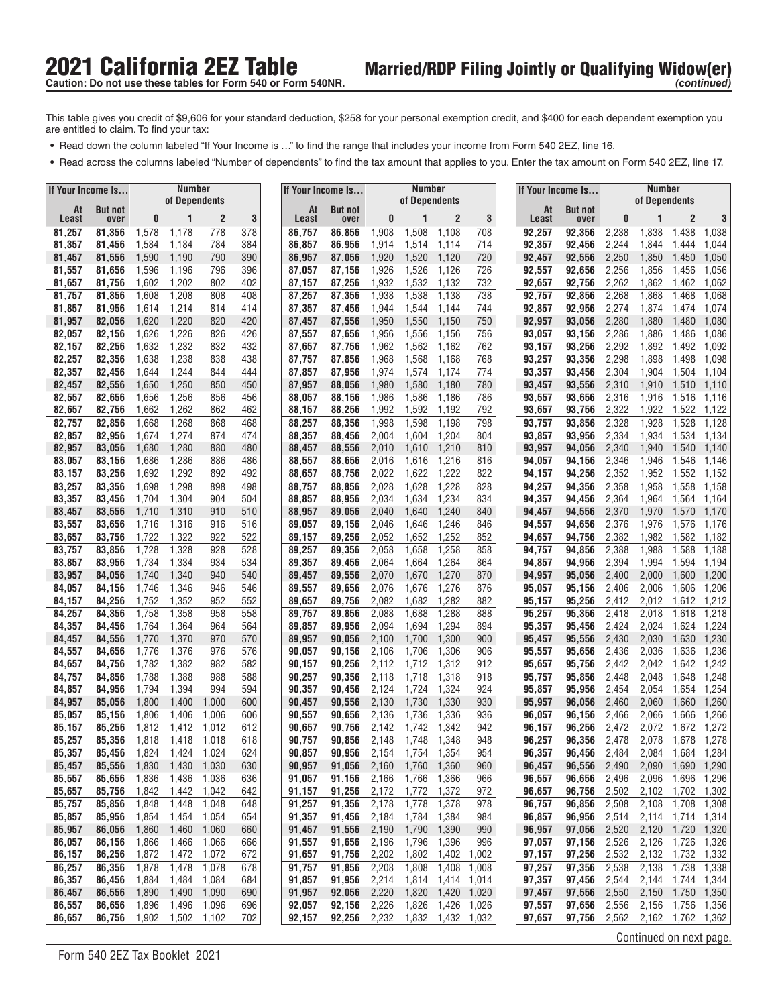- **•** Read down the column labeled "If Your Income is ..." to find the range that includes your income from Form 540 2EZ, line 16.
- **•** Read across the columns labeled "Number of dependents" to find the tax amount that applies to you. Enter the tax amount on Form 540 2EZ, line 17.

| If Your Income Is |                  |                | <b>Number</b>  |                |            |                  |       | If Your Income Is |                | Number         |                |                |                  | If Your Income Is |                | <b>Number</b>           |                |                |
|-------------------|------------------|----------------|----------------|----------------|------------|------------------|-------|-------------------|----------------|----------------|----------------|----------------|------------------|-------------------|----------------|-------------------------|----------------|----------------|
| At                | <b>But not</b>   |                | of Dependents  |                |            |                  | At    | <b>But not</b>    |                | of Dependents  |                |                | At               | <b>But not</b>    |                | of Dependents           |                |                |
| Least             | over             | 0              | 1              | $\overline{2}$ | 3          |                  | Least | over              | 0              |                | $\overline{c}$ | 3              | Least            | over              | 0              |                         | $\overline{2}$ | 3              |
| 81,257<br>81,357  | 81,356<br>81,456 | 1,578<br>1,584 | 1,178<br>1,184 | 778<br>784     | 378<br>384 | 86,757<br>86,857 |       | 86,856<br>86,956  | 1,908<br>1,914 | 1,508<br>1,514 | 1,108<br>1,114 | 708<br>714     | 92,257<br>92,357 | 92,356<br>92,456  | 2,238<br>2,244 | 1,838<br>1,844          | 1,438<br>1,444 | 1,038<br>1,044 |
| 81,457            | 81,556           | 1,590          | 1,190          | 790            | 390        | 86,957           |       | 87.056            | 1,920          | 1,520          | 1,120          | 720            | 92,457           | 92,556            | 2,250          | 1,850                   | 1,450          | 1,050          |
| 81,557            | 81,656           | 1,596          | 1,196          | 796            | 396        | 87,057           |       | 87,156            | 1,926          | 1,526          | 1,126          | 726            | 92,557           | 92,656            | 2,256          | 1,856                   | 1,456          | 1,056          |
| 81,657            | 81,756           | 1,602          | 1,202          | 802            | 402        | 87,157           |       | 87,256            | 1,932          | 1,532          | 1,132          | 732            | 92,657           | 92,756            | 2,262          | 1,862                   | 1,462          | 1,062          |
| 81,757            | 81,856           | 1,608          | 1,208          | 808            | 408        | 87,257           |       | 87,356            | 1,938          | 1,538          | 1,138          | 738            | 92,757           | 92,856            | 2,268          | 1,868                   | 1,468          | 1,068          |
| 81,857            | 81,956           | 1,614          | 1,214          | 814            | 414        | 87,357           |       | 87,456            | 1,944          | 1,544          | 1,144          | 744            | 92,857           | 92,956            | 2,274          | 1,874                   | 1,474          | 1,074          |
| 81,957            | 82,056           | 1,620          | 1,220          | 820            | 420        | 87,457           |       | 87,556            | 1,950          | 1,550          | 1,150          | 750            | 92,957           | 93,056            | 2,280          | 1,880                   | 1,480          | 1,080          |
| 82,057            | 82,156           | 1,626          | 1,226          | 826            | 426        | 87,557           |       | 87,656            | 1,956          | 1,556          | 1,156          | 756            | 93,057           | 93,156            | 2,286          | 1,886                   | 1,486          | 1,086          |
| 82,157            | 82,256           | 1,632          | 1,232          | 832            | 432        | 87,657           |       | 87,756            | 1,962          | 1,562          | 1,162          | 762            | 93,157           | 93,256            | 2,292          | 1,892                   | 1,492          | 1,092          |
| 82,257<br>82,357  | 82,356<br>82,456 | 1,638<br>1,644 | 1,238<br>1,244 | 838<br>844     | 438        | 87,757<br>87,857 |       | 87,856<br>87,956  | 1,968<br>1,974 | 1,568<br>1,574 | 1,168<br>1,174 | 768<br>774     | 93,257<br>93,357 | 93,356            | 2,298<br>2,304 | 1,898<br>1,904          | 1,498<br>1,504 | 1,098<br>1,104 |
| 82,457            | 82,556           | 1,650          | 1,250          | 850            | 444<br>450 | 87,957           |       | 88,056            | 1,980          | 1,580          | 1,180          | 780            | 93,457           | 93,456<br>93,556  | 2,310          | 1,910                   | 1,510          | 1,110          |
| 82,557            | 82,656           | 1,656          | 1,256          | 856            | 456        | 88,057           |       | 88,156            | 1,986          | 1,586          | 1,186          | 786            | 93,557           | 93,656            | 2,316          | 1,916                   | 1,516          | 1,116          |
| 82,657            | 82,756           | 1,662          | 1,262          | 862            | 462        | 88,157           |       | 88,256            | 1,992          | 1,592          | 1,192          | 792            | 93,657           | 93,756            | 2,322          | 1,922                   | 1,522          | 1,122          |
| 82,757            | 82,856           | 1,668          | 1,268          | 868            | 468        | 88,257           |       | 88,356            | 1,998          | 1,598          | 1,198          | 798            | 93,757           | 93,856            | 2,328          | 1,928                   | 1,528          | 1,128          |
| 82,857            | 82,956           | 1,674          | 1,274          | 874            | 474        | 88,357           |       | 88,456            | 2,004          | 1,604          | 1,204          | 804            | 93,857           | 93,956            | 2,334          | 1,934                   | 1,534          | 1,134          |
| 82,957            | 83,056           | 1,680          | 1,280          | 880            | 480        | 88,457           |       | 88,556            | 2,010          | 1,610          | 1,210          | 810            | 93,957           | 94.056            | 2,340          | 1,940                   | 1,540          | 1,140          |
| 83,057            | 83,156           | 1,686          | 1,286          | 886            | 486        | 88,557           |       | 88,656            | 2,016          | 1,616          | 1,216          | 816            | 94,057           | 94.156            | 2,346          | 1,946                   | 1,546          | 1,146          |
| 83,157            | 83,256           | 1,692          | 1,292          | 892            | 492        | 88,657           |       | 88,756            | 2,022          | 1,622          | 1,222          | 822            | 94,157           | 94,256            | 2,352          | 1,952                   | 1,552          | 1,152          |
| 83,257            | 83,356           | 1,698          | 1,298          | 898            | 498        | 88,757           |       | 88,856            | 2,028          | 1,628          | 1,228          | 828            | 94,257           | 94,356            | 2,358          | 1,958                   | 1,558          | 1,158          |
| 83,357            | 83,456<br>83,556 | 1,704<br>1,710 | 1,304<br>1,310 | 904<br>910     | 504<br>510 | 88,857<br>88,957 |       | 88,956<br>89,056  | 2,034<br>2,040 | 1,634<br>1,640 | 1,234<br>1,240 | 834<br>840     | 94,357<br>94,457 | 94,456<br>94,556  | 2,364<br>2,370 | 1,964<br>1,970          | 1,564<br>1,570 | 1,164<br>1,170 |
| 83,457<br>83,557  | 83,656           | 1,716          | 1,316          | 916            | 516        | 89,057           |       | 89,156            | 2,046          | 1,646          | 1,246          | 846            | 94,557           | 94,656            | 2,376          | 1,976                   | 1,576          | 1,176          |
| 83,657            | 83,756           | 1,722          | 1,322          | 922            | 522        | 89,157           |       | 89,256            | 2,052          | 1,652          | 1,252          | 852            | 94,657           | 94,756            | 2,382          | 1,982                   | 1,582          | 1,182          |
| 83,757            | 83,856           | 1,728          | 1,328          | 928            | 528        | 89,257           |       | 89,356            | 2,058          | 1,658          | 1,258          | 858            | 94,757           | 94,856            | 2,388          | 1,988                   | 1,588          | 1,188          |
| 83,857            | 83,956           | 1,734          | 1,334          | 934            | 534        | 89,357           |       | 89,456            | 2,064          | 1,664          | 1,264          | 864            | 94,857           | 94,956            | 2,394          | 1,994                   | 1,594          | 1,194          |
| 83,957            | 84,056           | 1,740          | 1,340          | 940            | 540        | 89,457           |       | 89,556            | 2,070          | 1,670          | 1,270          | 870            | 94,957           | 95,056            | 2,400          | 2,000                   | 1,600          | 1,200          |
| 84,057            | 84,156           | 1,746          | 1,346          | 946            | 546        | 89,557           |       | 89,656            | 2,076          | 1,676          | 1,276          | 876            | 95,057           | 95,156            | 2,406          | 2,006                   | 1,606          | 1,206          |
| 84,157            | 84,256           | 1,752          | 1,352          | 952            | 552        | 89,657           |       | 89,756            | 2,082          | 1,682          | 1,282          | 882            | 95,157           | 95,256            | 2,412          | 2,012                   | 1,612          | 1,212          |
| 84,257            | 84,356           | 1,758          | 1,358          | 958            | 558        | 89,757           |       | 89,856            | 2,088          | 1,688          | 1,288          | 888            | 95,257           | 95,356            | 2,418          | 2,018                   | 1,618          | 1,218          |
| 84,357            | 84,456           | 1,764          | 1,364          | 964            | 564        | 89,857<br>89,957 |       | 89,956            | 2,094          | 1,694          | 1,294          | 894            | 95,357           | 95,456            | 2,424          | 2,024                   | 1,624          | 1,224<br>1,230 |
| 84,457<br>84,557  | 84,556<br>84,656 | 1,770<br>1,776 | 1,370<br>1,376 | 970<br>976     | 570<br>576 | 90,057           |       | 90,056<br>90,156  | 2,100<br>2,106 | 1,700<br>1,706 | 1,300<br>1,306 | 900<br>906     | 95,457<br>95,557 | 95,556<br>95,656  | 2,430<br>2,436 | 2,030<br>2,036          | 1,630<br>1,636 | 1,236          |
| 84,657            | 84,756           | 1,782          | 1,382          | 982            | 582        | 90,157           |       | 90,256            | 2,112          | 1,712          | 1,312          | 912            | 95,657           | 95,756            | 2,442          | 2,042                   | 1,642          | 1,242          |
| 84,757            | 84,856           | 1,788          | 1,388          | 988            | 588        | 90,257           |       | 90.356            | 2,118          | 1,718          | 1,318          | 918            | 95,757           | 95,856            | 2,448          | 2,048                   | 1,648          | 1,248          |
| 84,857            | 84,956           | 1,794          | 1,394          | 994            | 594        | 90,357           |       | 90,456            | 2,124          | 1,724          | 1,324          | 924            | 95,857           | 95,956            | 2,454          | 2,054                   | 1,654          | 1,254          |
| 84,957            | 85,056           | 1,800          | 1,400          | 1,000          | 600        | 90,457           |       | 90,556            | 2,130          | 1,730          | 1,330          | 930            | 95,957           | 96,056            | 2,460          | 2,060                   | 1,660          | 1,260          |
| 85,057            | 85,156           | 1,806          | 1,406          | 1,006          | 606        | 90,557           |       | 90,656            | 2,136          | 1,736          | 1,336          | 936            | 96,057           | 96,156            | 2,466          | 2,066                   | 1,666          | 1,266          |
| 85,157            | 85,256           | 1,812          | 1,412          | 1,012          | 612        | 90,657           |       | 90,756            | 2,142          | 1,742          | 1,342          | 942            | 96,157           | 96,256            | 2,472          | 2,072                   | 1,672          | 1,272          |
| 85.257            | 85,356           | 1,818          | 1,418          | 1.018          | 618        | 90,757           |       | 90,856            | 2,148          | 1,748          | 1,348          | 948            | 96,257           | 96,356            | 2,478          | 2,078                   | 1,678          | 1,278          |
| 85,357<br>85,457  | 85,456           | 1,824          | 1,424          | 1,024          | 624<br>630 | 90,857<br>90,957 |       | 90,956            | 2,154          | 1,754          | 1,354<br>1,360 | 954            | 96,357<br>96,457 | 96,456<br>96,556  | 2,484          | 2,084                   | 1,684          | 1,284<br>1,290 |
| 85,557            | 85,556<br>85,656 | 1,830<br>1,836 | 1,430<br>1,436 | 1,030<br>1,036 | 636        | 91,057           |       | 91,056<br>91,156  | 2,160<br>2,166 | 1,760<br>1,766 | 1,366          | 960<br>966     | 96,557           | 96,656            | 2,490<br>2,496 | 2,090<br>2,096          | 1,690<br>1,696 | 1,296          |
| 85,657            | 85,756           | 1,842          | 1,442          | 1,042          | 642        | 91,157           |       | 91,256            | 2,172          | 1,772          | 1,372          | 972            | 96,657           | 96,756            | 2,502          | 2,102                   | 1,702          | 1,302          |
| 85,757            | 85,856           | 1,848          | 1,448          | 1,048          | 648        | 91,257           |       | 91,356            | 2,178          | 1,778          | 1,378          | 978            | 96,757           | 96,856            | 2,508          | 2,108                   | 1,708          | 1,308          |
| 85,857            | 85,956           | 1,854          | 1,454          | 1,054          | 654        | 91,357           |       | 91,456            | 2,184          | 1,784          | 1,384          | 984            | 96,857           | 96,956            | 2,514          | 2,114                   | 1,714          | 1,314          |
| 85,957            | 86,056           | 1,860          | 1,460          | 1,060          | 660        | 91,457           |       | 91,556            | 2,190          | 1,790          | 1,390          | 990            | 96,957           | 97,056            | 2,520          | 2,120                   | 1,720          | 1,320          |
| 86,057            | 86,156           | 1,866          | 1,466          | 1,066          | 666        | 91,557           |       | 91,656            | 2,196          | 1,796          | 1,396          | 996            | 97,057           | 97,156            | 2,526          | 2,126                   | 1,726          | 1,326          |
| 86,157            | 86,256           | 1,872          | 1,472          | 1,072          | 672        | 91,657           |       | 91,756            | 2,202          | 1,802          | 1,402          | 1,002          | 97,157           | 97,256            | 2,532          | 2,132                   | 1,732          | 1,332          |
| 86,257            | 86,356           | 1,878          | 1,478          | 1,078          | 678        | 91,757           |       | 91,856            | 2,208          | 1,808          | 1,408          | 1,008          | 97,257           | 97,356            | 2,538          | 2,138                   | 1,738          | 1,338          |
| 86,357            | 86,456           | 1,884          | 1,484          | 1,084          | 684        | 91,857           |       | 91,956            | 2,214          | 1,814          | 1,414 1,014    |                | 97,357           | 97,456            | 2,544          | 2,144                   | 1,744          | 1,344          |
| 86,457<br>86,557  | 86,556<br>86,656 | 1,890<br>1,896 | 1,490<br>1,496 | 1,090<br>1,096 | 690<br>696 | 91,957<br>92,057 |       | 92,056<br>92,156  | 2,220<br>2,226 | 1,820<br>1,826 | 1,420<br>1,426 | 1,020<br>1,026 | 97,457<br>97,557 | 97,556<br>97,656  | 2,550<br>2,556 | 2,150<br>2,156          | 1,750<br>1,756 | 1,350<br>1,356 |
| 86,657            | 86,756           | 1,902          | 1,502          | 1,102          | 702        | 92,157           |       | 92,256            | 2,232          | 1,832          |                | 1,432 1,032    | 97,657           | 97,756            | 2,562          | 2,162                   |                | 1,762 1,362    |
|                   |                  |                |                |                |            |                  |       |                   |                |                |                |                |                  |                   |                | Continued on next page. |                |                |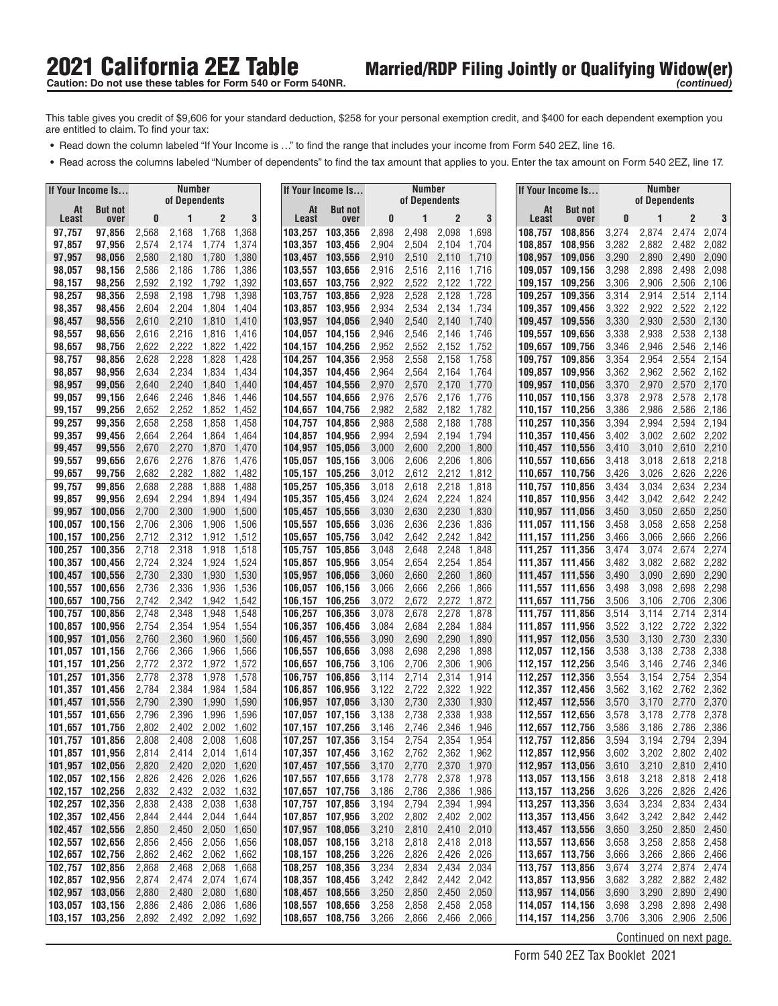- **•** Read down the column labeled "If Your Income is ..." to find the range that includes your income from Form 540 2EZ, line 16.
- **•** Read across the columns labeled "Number of dependents" to find the tax amount that applies to you. Enter the tax amount on Form 540 2EZ, line 17.

|                                    | If Your Income Is                  |                | <b>Number</b><br>of Dependents |                                  |                |                    | If Your Income Is                        |                | <b>Number</b><br>of Dependents |                   |                            |                    | If Your Income Is                    |                | <b>Number</b><br>of Dependents |                            |                |
|------------------------------------|------------------------------------|----------------|--------------------------------|----------------------------------|----------------|--------------------|------------------------------------------|----------------|--------------------------------|-------------------|----------------------------|--------------------|--------------------------------------|----------------|--------------------------------|----------------------------|----------------|
| At<br><b>Least</b>                 | <b>But not</b><br>over             | 0              |                                | 2                                | 3              | At<br><b>Least</b> | <b>But not</b><br>over                   | 0              | 1                              | $\overline{2}$    | 3                          | At<br>Least        | <b>But not</b><br>over               | 0              |                                | $\overline{2}$             | 3              |
| 97,757                             | 97,856                             | 2,568          | 2,168                          | 1,768                            | 1,368          | 103,257            | 103,356                                  | 2,898          | 2,498                          | 2,098             | 1,698                      | 108,757            | 108,856                              | 3,274          | 2,874                          | 2,474                      | 2,074          |
| 97,857                             | 97,956                             | 2,574          | 2,174                          | 1,774                            | 1,374          | 103,357            | 103,456                                  | 2,904          | 2,504                          | 2,104             | 1,704                      | 108,857            | 108,956                              | 3,282          | 2,882                          | 2,482                      | 2,082          |
| 97,957                             | 98,056                             | 2,580          | 2,180                          | 1,780                            | 1,380          | 103,457            | 103,556                                  | 2,910          | 2,510                          | 2,110             | 1,710                      | 108.957            | 109,056                              | 3,290          | 2,890                          | 2,490                      | 2,090          |
| 98,057                             | 98,156                             | 2,586          | 2,186                          | 1,786                            | 1,386          | 103,557            | 103,656                                  | 2,916          | 2,516                          | 2,116             | 1,716                      | 109,057            | 109,156                              | 3,298          | 2,898                          | 2,498                      | 2,098          |
| 98,157                             | 98,256                             | 2,592          | 2,192                          | 1,792                            | 1,392          | 103,657            | 103,756                                  | 2,922          | 2,522                          | 2,122             | 1,722                      | 109,157            | 109,256                              | 3,306          | 2,906                          | 2,506                      | 2,106          |
| 98,257                             | 98,356                             | 2,598          | 2,198                          | 1,798                            | 1,398          | 103,757            | 103,856                                  | 2,928          | 2,528                          | 2,128             | 1,728                      | 109,257            | 109,356                              | 3,314          | 2,914                          | 2,514                      | 2,114          |
| 98,357                             | 98,456                             | 2,604          | 2,204                          | 1,804                            | 1,404          | 103,857            | 103,956                                  | 2,934          | 2,534                          | 2,134             | 1,734                      | 109,357            | 109.456                              | 3,322          | 2,922                          | 2,522                      | 2,122          |
| 98,457<br>98,557                   | 98,556<br>98,656                   | 2,610<br>2,616 | 2,210<br>2,216                 | 1,810<br>1,816                   | 1,410<br>1,416 | 103,957<br>104,057 | 104,056<br>104,156                       | 2,940<br>2,946 | 2,540<br>2,546                 | 2,140<br>2,146    | 1,740<br>1,746             | 109,457<br>109.557 | 109,556<br>109.656                   | 3,330<br>3,338 | 2,930<br>2,938                 | 2,530<br>2,538             | 2,130<br>2,138 |
| 98,657                             | 98,756                             | 2,622          | 2,222                          | 1,822                            | 1,422          | 104,157            | 104,256                                  | 2,952          | 2,552                          | 2,152             | 1,752                      | 109,657            | 109.756                              | 3,346          | 2,946                          | 2,546                      | 2,146          |
| 98,757                             | 98,856                             | 2,628          | 2,228                          | 1,828                            | 1,428          | 104,257            | 104,356                                  | 2,958          | 2,558                          | 2,158             | 1,758                      | 109,757            | 109,856                              | 3,354          | 2,954                          | 2,554                      | 2,154          |
| 98,857                             | 98,956                             | 2,634          | 2,234                          | 1,834                            | 1,434          | 104,357            | 104,456                                  | 2,964          | 2,564                          | 2,164             | 1,764                      |                    | 109,857 109,956                      | 3,362          | 2,962                          | 2,562                      | 2,162          |
| 98,957                             | 99,056                             | 2,640          | 2,240                          | 1,840                            | 1,440          | 104,457            | 104,556                                  | 2,970          | 2,570                          | 2,170             | 1,770                      |                    | 109,957 110,056                      | 3,370          | 2,970                          | 2,570                      | 2,170          |
| 99,057                             | 99,156                             | 2,646          | 2,246                          | 1,846                            | 1,446          | 104,557            | 104,656                                  | 2,976          | 2,576                          | 2,176             | 1,776                      | 110,057            | 110,156                              | 3,378          | 2,978                          | 2,578                      | 2,178          |
| 99,157                             | 99,256                             | 2,652          | 2,252                          | 1,852                            | 1,452          | 104,657            | 104,756                                  | 2,982          | 2,582                          | 2,182             | 1,782                      |                    | 110,157 110,256                      | 3,386          | 2,986                          | 2,586                      | 2,186          |
| 99,257                             | 99,356                             | 2,658          | 2,258                          | 1,858                            | 1,458          | 104,757            | 104,856                                  | 2,988          | 2,588                          | 2,188             | 1,788                      | 110,257            | 110,356                              | 3,394          | 2,994                          | 2,594                      | 2,194          |
| 99,357<br>99,457                   | 99,456<br>99,556                   | 2,664<br>2,670 | 2,264<br>2,270                 | 1,864<br>1,870                   | 1,464<br>1,470 | 104,857<br>104,957 | 104,956<br>105,056                       | 2,994<br>3,000 | 2,594<br>2,600                 | 2,194<br>2,200    | 1,794<br>1,800             | 110,357<br>110,457 | 110,456<br>110,556                   | 3,402<br>3,410 | 3,002<br>3,010                 | 2,602<br>2,610             | 2,202<br>2,210 |
| 99,557                             | 99,656                             | 2,676          | 2,276                          | 1,876                            | 1,476          | 105,057            | 105,156                                  | 3,006          | 2,606                          | 2,206             | 1,806                      | 110,557            | 110,656                              | 3,418          | 3,018                          | 2,618                      | 2,218          |
| 99,657                             | 99,756                             | 2,682          | 2,282                          | 1,882                            | 1,482          | 105,157            | 105,256                                  | 3,012          | 2,612                          | 2,212             | 1,812                      | 110.657            | 110,756                              | 3,426          | 3,026                          | 2,626                      | 2,226          |
| 99,757                             | 99,856                             | 2,688          | 2,288                          | 1,888                            | 1,488          | 105.257            | 105,356                                  | 3,018          | 2,618                          | 2,218             | 1,818                      | 110,757            | 110,856                              | 3,434          | 3,034                          | 2,634                      | 2,234          |
| 99,857                             | 99,956                             | 2,694          | 2,294                          | 1,894                            | 1,494          | 105,357            | 105,456                                  | 3,024          | 2,624                          | 2,224             | 1,824                      |                    | 110.857 110.956                      | 3,442          | 3,042                          | 2,642                      | 2,242          |
| 99,957                             | 100,056                            | 2,700          | 2,300                          | 1,900                            | 1,500          | 105,457            | 105,556                                  | 3,030          | 2,630                          | 2,230             | 1,830                      |                    | 110.957 111.056                      | 3,450          | 3,050                          | 2,650                      | 2,250          |
| 100,057                            | 100,156                            | 2,706          | 2,306                          | 1,906                            | 1,506          | 105.557            | 105,656                                  | 3,036          | 2,636                          | 2,236             | 1,836                      |                    | 111,057 111,156                      | 3,458          | 3,058                          | 2,658                      | 2,258          |
| 100,157                            | 100,256                            | 2,712          | 2,312                          | 1,912                            | 1,512          | 105,657            | 105,756                                  | 3,042          | 2,642                          | 2,242             | 1,842                      | 111,157            | 111,256                              | 3,466          | 3,066                          | 2,666                      | 2,266          |
| 100,257                            | 100,356                            | 2,718          | 2,318                          | 1,918                            | 1,518          | 105,757            | 105,856                                  | 3,048          | 2,648                          | 2,248             | 1,848                      | 111,257            | 111,356                              | 3,474          | 3,074                          | 2,674                      | 2,274          |
| 100,357<br>100,457                 | 100,456<br>100,556                 | 2,724<br>2,730 | 2,324<br>2,330                 | 1,924<br>1,930                   | 1,524<br>1,530 | 105,857<br>105,957 | 105,956<br>106,056                       | 3,054<br>3,060 | 2,654<br>2,660                 | 2,254<br>2,260    | 1,854<br>1,860             | 111,357            | 111,456<br>111,457 111,556           | 3,482<br>3,490 | 3,082<br>3,090                 | 2,682<br>2,690             | 2,282<br>2,290 |
| 100,557                            | 100,656                            | 2,736          | 2,336                          | 1,936                            | 1,536          | 106,057            | 106,156                                  | 3,066          | 2,666                          | 2,266             | 1,866                      | 111,557            | 111,656                              | 3,498          | 3,098                          | 2,698                      | 2,298          |
| 100,657                            | 100,756                            | 2,742          | 2,342                          | 1,942                            | 1,542          | 106,157            | 106,256                                  | 3,072          | 2,672                          | 2,272             | 1,872                      |                    | 111,657 111,756                      | 3,506          | 3,106                          | 2,706                      | 2,306          |
| 100,757                            | 100,856                            | 2,748          | 2,348                          | 1,948                            | 1,548          | 106,257            | 106,356                                  | 3,078          | 2,678                          | 2,278             | 1,878                      | 111,757            | 111,856                              | 3,514          | 3,114                          | 2,714                      | 2,314          |
| 100,857                            | 100,956                            | 2,754          | 2,354                          | 1,954                            | 1,554          | 106,357            | 106,456                                  | 3,084          | 2,684                          | 2,284             | 1,884                      | 111,857            | 111,956                              | 3,522          | 3,122                          | 2,722                      | 2,322          |
| 100,957                            | 101,056                            | 2,760          | 2,360                          | 1,960                            | 1,560          | 106,457            | 106,556                                  | 3,090          | 2,690                          | 2,290             | 1,890                      | 111,957            | 112,056                              | 3,530          | 3,130                          | 2,730                      | 2,330          |
| 101,057                            | 101,156                            | 2,766          | 2,366                          | 1,966                            | 1,566          | 106,557            | 106,656                                  | 3,098          | 2,698                          | 2,298             | 1,898                      | 112,057            | 112,156                              | 3,538          | 3,138                          | 2,738                      | 2,338          |
| 101,157                            | 101,256                            | 2,772          | 2,372                          | 1,972                            | 1,572          | 106,657            | 106,756                                  | 3,106          | 2,706                          | 2,306             | 1,906                      | 112,157            | 112,256                              | 3,546          | 3,146                          | 2,746                      | 2,346          |
| 101,257<br>101,357                 | 101,356<br>101.456                 | 2,778<br>2,784 | 2,378<br>2,384                 | 1,978<br>1,984                   | 1,578<br>1,584 | 106,757<br>106,857 | 106,856<br>106,956                       | 3,114<br>3,122 | 2,714<br>2,722                 | 2,314<br>2,322    | 1,914<br>1,922             | 112,257<br>112,357 | 112,356<br>112.456                   | 3,554<br>3,562 | 3,154<br>3,162                 | 2,754<br>2,762             | 2,354<br>2,362 |
| 101,457                            | 101,556                            | 2,790          | 2,390                          | 1,990                            | 1,590          | 106,957            | 107,056                                  | 3,130          | 2,730                          | 2,330             | 1,930                      | 112,457            | 112,556                              | 3,570          | 3,170                          | 2,770                      | 2,370          |
| 101,557                            | 101,656                            | 2,796          | 2,396                          | 1,996                            | 1,596          | 107,057            | 107,156                                  | 3,138          | 2,738                          | 2,338             | 1,938                      | 112,557            | 112,656                              | 3,578          | 3,178                          | 2,778                      | 2,378          |
| 101,657                            | 101,756                            | 2,802          | 2,402                          | 2,002                            | 1,602          | 107,157            | 107,256                                  | 3,146          | 2,746                          | 2,346             | 1,946                      | 112,657            | 112,756                              | 3,586          | 3,186                          | 2,786                      | 2,386          |
| 101,757                            | 101.856                            | 2,808          | 2,408                          | 2,008                            | 1,608          | 107,257            | 107.356                                  | 3,154          | 2,754                          | 2,354             | 1,954                      | 112.757            | 112.856                              | 3,594          | 3,194                          | 2,794                      | 2,394          |
|                                    | 101,857 101,956                    | 2,814          | 2,414                          |                                  | 2,014 1,614    |                    | 107,357 107,456                          | 3,162          | 2,762                          |                   | 2,362 1,962                |                    | 112,857 112,956                      | 3,602          |                                | 3,202 2,802 2,402          |                |
| 101,957 102,056                    |                                    | 2,820          | 2,420                          | 2,020 1,620                      |                |                    | 107,457 107,556                          | 3,170          |                                | 2,770 2,370 1,970 |                            |                    | 112,957 113,056                      | 3,610          |                                | 3,210 2,810 2,410          |                |
| 102,057 102,156<br>102,157 102,256 |                                    | 2,826<br>2,832 | 2,426<br>2,432                 | 2,026<br>2,032 1,632             | 1,626          |                    | 107,557 107,656<br>107,657 107,756       | 3,178<br>3,186 | 2,778<br>2,786                 | 2,378<br>2,386    | 1,978<br>1,986             |                    | 113,057 113,156<br>113,157 113,256   | 3,618<br>3,626 | 3,218<br>3,226                 | 2,818 2,418<br>2,826 2,426 |                |
| 102,257 102,356                    |                                    | 2,838          | 2,438                          | 2,038                            | 1,638          |                    | 107,757 107,856                          | 3,194          | 2,794                          | 2,394 1,994       |                            |                    | 113,257 113,356                      | 3,634          | 3,234                          | 2,834 2,434                |                |
| 102,357 102,456                    |                                    | 2,844          | 2,444                          | 2,044                            | 1,644          |                    | 107,857 107,956                          | 3,202          | 2,802                          | 2,402             | 2,002                      |                    | 113,357 113,456                      | 3,642          | 3,242                          | 2,842 2,442                |                |
| 102,457 102,556                    |                                    | 2,850          | 2,450                          |                                  | 2,050 1,650    |                    | 107,957 108,056                          | 3,210          | 2,810                          |                   | 2,410 2,010                |                    | 113,457 113,556                      | 3,650          | 3,250                          | 2,850 2,450                |                |
|                                    | 102,557 102,656                    | 2,856          | 2,456                          | 2,056                            | 1,656          |                    | 108,057 108,156                          | 3,218          | 2,818                          |                   | 2,418 2,018                |                    | 113,557 113,656                      | 3,658          | 3,258                          | 2,858 2,458                |                |
| 102,657 102,756                    |                                    | 2,862          | 2,462                          | 2,062                            | 1,662          |                    | 108,157 108,256                          | 3,226          | 2,826                          | 2,426             | 2,026                      |                    | 113,657 113,756                      | 3,666          | 3,266                          | 2,866 2,466                |                |
| 102,757 102,856                    |                                    | 2,868          | 2,468                          | 2,068                            | 1,668          |                    | 108,257 108,356                          | 3,234          | 2,834                          | 2,434             | 2,034                      |                    | 113,757 113,856                      | 3,674          | 3,274                          | 2,874                      | 2,474          |
|                                    | 102,857 102,956                    | 2,874          | 2,474                          | 2,074 1,674                      |                |                    | 108,357 108,456                          | 3,242          | 2,842                          | 2,442 2,042       |                            |                    | 113,857 113,956                      | 3,682          | 3,282                          | 2,882 2,482                |                |
| 102,957 103,056                    |                                    | 2,880          | 2,480                          | 2,080 1,680                      |                |                    | 108,457 108,556                          | 3,250          | 2,850                          | 2,450 2,050       |                            |                    | 113,957 114,056                      | 3,690          | 3,290                          | 2,890 2,490                |                |
|                                    | 103,057 103,156<br>103,157 103,256 | 2,886<br>2,892 | 2,486                          | 2,086 1,686<br>2,492 2,092 1,692 |                |                    | 108,557 108,656 3,258<br>108,657 108,756 | 3,266          | 2,858<br>2,866                 |                   | 2,458 2,058<br>2,466 2,066 |                    | 114,057 114,156<br>114, 157 114, 256 | 3,698<br>3,706 | 3,298<br>3,306                 | 2,898 2,498<br>2,906 2,506 |                |
|                                    |                                    |                |                                |                                  |                |                    |                                          |                |                                |                   |                            |                    |                                      |                |                                |                            |                |

Continued on next page.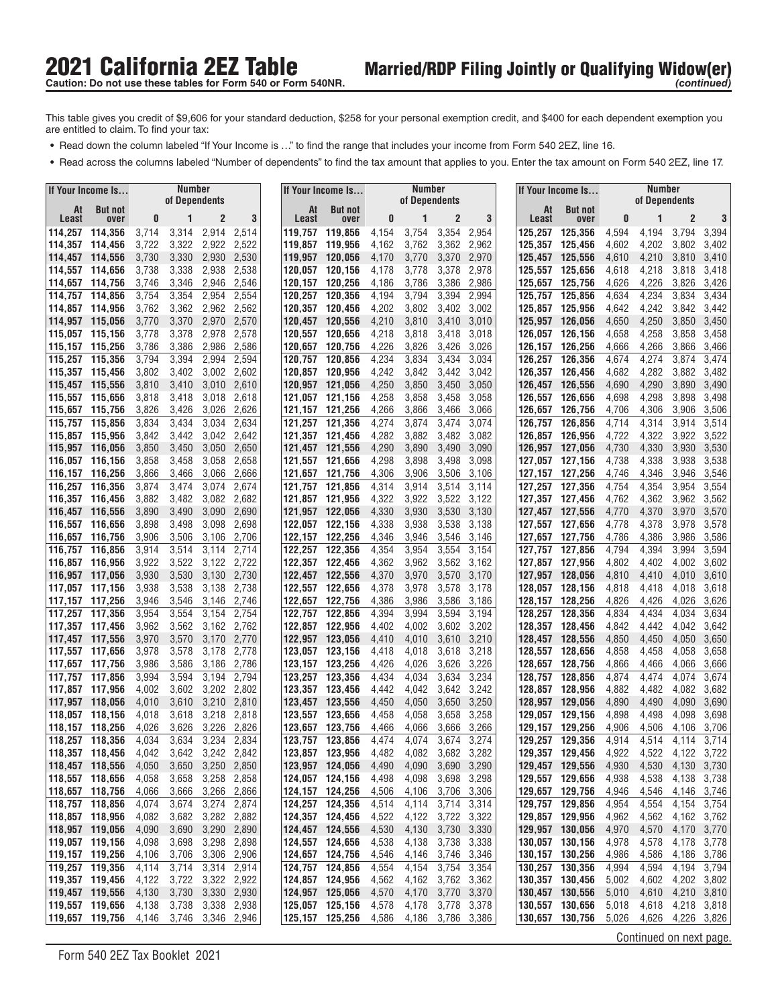- **•** Read down the column labeled "If Your Income is ..." to find the range that includes your income from Form 540 2EZ, line 16.
- **•** Read across the columns labeled "Number of dependents" to find the tax amount that applies to you. Enter the tax amount on Form 540 2EZ, line 17.

|             | If Your Income Is                  |                | Number<br>of Dependents |                      |                |                    | If Your Income Is                  |                | <b>Number</b><br>of Dependents |                |                |                    |    | If Your Income Is                  |                | Number<br>of Dependents |                            |                |
|-------------|------------------------------------|----------------|-------------------------|----------------------|----------------|--------------------|------------------------------------|----------------|--------------------------------|----------------|----------------|--------------------|----|------------------------------------|----------------|-------------------------|----------------------------|----------------|
| At<br>Least | <b>But not</b><br>over             | 0              |                         | $\mathbf{2}$         | 3              | At<br>Least        | <b>But not</b><br>over             | 0              | 1                              | $\overline{c}$ | 3              | Least              | At | <b>But not</b><br>over             | 0              | 1                       | $\overline{2}$             | 3              |
|             | 114,257 114,356                    | 3,714          | 3,314                   | 2,914                | 2,514          | 119,757            | 119,856                            | 4,154          | 3,754                          | 3,354          | 2,954          | 125,257            |    | 125,356                            | 4,594          | 4,194                   | 3,794                      | 3,394          |
| 114,357     | 114,456                            | 3,722          | 3,322                   | 2,922                | 2,522          | 119,857            | 119,956                            | 4,162          | 3,762                          | 3,362          | 2,962          | 125,357            |    | 125,456                            | 4,602          | 4,202                   | 3,802                      | 3,402          |
|             | 114.457 114.556                    | 3,730          | 3,330                   | 2,930                | 2,530          | 119,957            | 120,056                            | 4,170          | 3,770                          | 3,370          | 2,970          | 125,457            |    | 125,556                            | 4,610          | 4,210                   | 3,810                      | 3,410          |
|             | 114,557 114,656                    | 3,738          | 3,338                   | 2,938                | 2,538          | 120,057            | 120.156                            | 4,178          | 3,778                          | 3,378          | 2,978          | 125.557            |    | 125.656                            | 4,618          | 4,218                   | 3,818                      | 3,418          |
|             | 114,657 114,756                    | 3,746          | 3,346                   | 2,946                | 2,546          | 120,157            | 120,256                            | 4,186          | 3,786                          | 3,386          | 2,986          | 125,657            |    | 125,756                            | 4,626          | 4,226                   | 3,826                      | 3,426          |
|             | 114,757 114,856                    | 3,754          | 3,354                   | 2,954                | 2,554          | 120,257            | 120,356                            | 4,194          | 3,794                          | 3,394          | 2,994          | 125,757            |    | 125,856                            | 4,634          | 4,234                   | 3,834                      | 3,434          |
|             | 114,857 114,956<br>114,957 115,056 | 3,762          | 3,362<br>3,370          | 2,962<br>2,970       | 2,562<br>2,570 | 120,357            | 120,456<br>120,556                 | 4,202<br>4,210 | 3,802<br>3,810                 | 3,402<br>3,410 | 3,002<br>3,010 | 125,857<br>125,957 |    | 125,956<br>126.056                 | 4,642<br>4,650 | 4,242<br>4,250          | 3,842<br>3,850             | 3,442<br>3,450 |
|             | 115,057 115,156                    | 3,770<br>3,778 | 3,378                   | 2,978                | 2,578          | 120,457<br>120,557 | 120,656                            | 4,218          | 3,818                          | 3,418          | 3,018          | 126,057            |    | 126,156                            | 4,658          | 4,258                   | 3,858                      | 3,458          |
|             | 115,157 115,256                    | 3,786          | 3,386                   | 2,986                | 2,586          | 120,657            | 120,756                            | 4,226          | 3,826                          | 3,426          | 3,026          | 126,157            |    | 126.256                            | 4,666          | 4,266                   | 3,866                      | 3,466          |
|             | 115.257 115.356                    | 3,794          | 3,394                   | 2,994                | 2,594          | 120,757            | 120,856                            | 4,234          | 3,834                          | 3,434          | 3,034          | 126,257            |    | 126,356                            | 4,674          | 4,274                   | 3,874                      | 3,474          |
|             | 115,357 115,456                    | 3,802          | 3,402                   | 3,002                | 2,602          | 120,857            | 120,956                            | 4,242          | 3,842                          | 3,442          | 3,042          |                    |    | 126,357 126,456                    | 4,682          | 4,282                   | 3,882                      | 3,482          |
|             | 115,457 115,556                    | 3,810          | 3,410                   | 3,010                | 2,610          | 120,957            | 121,056                            | 4,250          | 3,850                          | 3,450          | 3,050          | 126,457            |    | 126,556                            | 4,690          | 4,290                   | 3,890                      | 3,490          |
|             | 115,557 115,656                    | 3,818          | 3,418                   | 3,018                | 2,618          | 121,057            | 121,156                            | 4,258          | 3,858                          | 3,458          | 3,058          | 126,557            |    | 126,656                            | 4,698          | 4,298                   | 3,898                      | 3,498          |
| 115,657     | 115,756                            | 3,826          | 3,426                   | 3,026                | 2,626          | 121,157            | 121,256                            | 4,266          | 3,866                          | 3,466          | 3,066          | 126.657            |    | 126,756                            | 4,706          | 4,306                   | 3,906                      | 3,506          |
| 115,757     | 115,856<br>115,857 115,956         | 3,834<br>3,842 | 3,434<br>3,442          | 3,034<br>3,042       | 2,634<br>2,642 | 121,257            | 121,356<br>121,357 121,456         | 4,274<br>4,282 | 3,874<br>3,882                 | 3,474<br>3,482 | 3,074<br>3,082 | 126,757<br>126,857 |    | 126,856<br>126,956                 | 4,714<br>4,722 | 4,314<br>4,322          | 3,914<br>3,922             | 3,514<br>3,522 |
|             | 115.957 116.056                    | 3,850          | 3,450                   | 3,050                | 2,650          | 121,457            | 121,556                            | 4,290          | 3,890                          | 3,490          | 3,090          | 126,957            |    | 127,056                            | 4,730          | 4,330                   | 3,930                      | 3,530          |
| 116,057     | 116,156                            | 3,858          | 3,458                   | 3,058                | 2,658          | 121.557            | 121,656                            | 4,298          | 3,898                          | 3,498          | 3,098          | 127,057            |    | 127,156                            | 4,738          | 4,338                   | 3,938                      | 3,538          |
|             | 116,157 116,256                    | 3,866          | 3,466                   | 3,066                | 2,666          | 121,657            | 121.756                            | 4,306          | 3,906                          | 3,506          | 3,106          | 127,157            |    | 127.256                            | 4,746          | 4,346                   | 3,946                      | 3,546          |
| 116,257     | 116,356                            | 3,874          | 3,474                   | 3,074                | 2,674          | 121,757            | 121,856                            | 4,314          | 3,914                          | 3,514          | 3,114          | 127,257            |    | 127.356                            | 4,754          | 4,354                   | 3,954                      | 3,554          |
|             | 116.357 116.456                    | 3,882          | 3,482                   | 3,082                | 2,682          | 121.857            | 121,956                            | 4,322          | 3,922                          | 3,522          | 3,122          | 127,357            |    | 127,456                            | 4,762          | 4,362                   | 3,962                      | 3,562          |
|             | 116,457 116,556                    | 3,890          | 3,490                   | 3,090                | 2,690          |                    | 121,957 122,056                    | 4,330          | 3,930                          | 3,530          | 3,130          | 127,457            |    | 127,556                            | 4,770          | 4,370                   | 3,970                      | 3,570          |
|             | 116,557 116,656                    | 3,898          | 3,498                   | 3,098                | 2,698          | 122,057            | 122,156                            | 4,338          | 3,938                          | 3,538          | 3,138          |                    |    | 127,557 127,656                    | 4,778          | 4,378                   | 3,978                      | 3,578          |
|             | 116,657 116,756<br>116,757 116,856 | 3,906<br>3,914 | 3,506<br>3,514          | 3,106<br>3,114       | 2,706<br>2,714 | 122,157<br>122,257 | 122,256<br>122,356                 | 4,346<br>4,354 | 3,946<br>3,954                 | 3,546<br>3,554 | 3,146<br>3,154 | 127,657<br>127,757 |    | 127,756<br>127,856                 | 4,786<br>4,794 | 4,386<br>4,394          | 3,986<br>3,994             | 3,586<br>3,594 |
|             | 116,857 116,956                    | 3,922          | 3,522                   | 3,122                | 2,722          | 122,357            | 122,456                            | 4,362          | 3,962                          | 3,562          | 3,162          |                    |    | 127,857 127,956                    | 4,802          | 4,402                   | 4,002                      | 3,602          |
|             | 116,957 117,056                    | 3,930          | 3,530                   | 3,130                | 2,730          | 122,457            | 122,556                            | 4,370          | 3,970                          | 3,570          | 3,170          | 127,957            |    | 128,056                            | 4,810          | 4,410                   | 4,010                      | 3,610          |
|             | 117,057 117,156                    | 3,938          | 3,538                   | 3,138                | 2,738          | 122,557            | 122,656                            | 4,378          | 3,978                          | 3,578          | 3,178          | 128,057            |    | 128,156                            | 4,818          | 4,418                   | 4,018                      | 3,618          |
|             | 117,157 117,256                    | 3,946          | 3,546                   | 3,146                | 2,746          | 122,657            | 122,756                            | 4,386          | 3,986                          | 3,586          | 3,186          | 128,157            |    | 128,256                            | 4,826          | 4,426                   | 4,026                      | 3,626          |
| 117,257     | 117,356                            | 3,954          | 3,554                   | 3,154                | 2,754          | 122,757            | 122,856                            | 4,394          | 3,994                          | 3,594          | 3,194          | 128,257            |    | 128,356                            | 4,834          | 4,434                   | 4,034                      | 3,634          |
|             | 117,357 117,456                    | 3,962          | 3,562                   | 3,162                | 2,762          | 122,857            | 122,956                            | 4,402          | 4,002                          | 3,602          | 3,202          | 128,357            |    | 128,456                            | 4,842          | 4,442                   | 4,042                      | 3,642          |
|             | 117,457 117,556<br>117,557 117,656 | 3,970<br>3,978 | 3,570                   | 3,170<br>3,178       | 2,770<br>2,778 | 122,957<br>123.057 | 123,056<br>123,156                 | 4,410          | 4,010<br>4,018                 | 3,610<br>3,618 | 3,210<br>3,218 | 128,457<br>128.557 |    | 128,556<br>128,656                 | 4,850<br>4,858 | 4,450<br>4,458          | 4,050<br>4,058             | 3,650<br>3,658 |
| 117,657     | 117,756                            | 3,986          | 3,578<br>3,586          | 3,186                | 2,786          | 123,157            | 123,256                            | 4,418<br>4,426 | 4,026                          | 3,626          | 3,226          | 128,657            |    | 128,756                            | 4,866          | 4,466                   | 4,066                      | 3,666          |
| 117,757     | 117,856                            | 3,994          | 3,594                   | 3,194                | 2,794          | 123,257            | 123,356                            | 4,434          | 4,034                          | 3,634          | 3,234          | 128,757            |    | 128,856                            | 4,874          | 4,474                   | 4,074                      | 3,674          |
| 117,857     | 117,956                            | 4,002          | 3,602                   | 3,202                | 2,802          | 123.357            | 123,456                            | 4,442          | 4,042                          | 3,642          | 3,242          | 128,857            |    | 128.956                            | 4,882          | 4,482                   | 4,082                      | 3,682          |
| 117,957     | 118,056                            | 4,010          | 3,610                   | 3,210                | 2,810          | 123,457            | 123,556                            | 4,450          | 4,050                          | 3,650          | 3,250          | 128,957            |    | 129,056                            | 4,890          | 4,490                   | 4,090                      | 3,690          |
| 118,057     | 118.156                            | 4,018          | 3,618                   | 3,218                | 2,818          | 123.557            | 123,656                            | 4,458          | 4,058                          | 3,658          | 3,258          |                    |    | 129,057 129,156                    | 4,898          | 4,498                   | 4,098                      | 3,698          |
| 118,157     | 118,256                            | 4.026          | 3,626                   | 3,226                | 2,826          | 123,657            | 123,756                            | 4,466          | 4,066                          | 3,666          | 3,266          | 129.157            |    | 129,256                            | 4,906          | 4,506                   | 4,106                      | 3,706          |
|             | 118.257 118.356                    | 4,034          | 3,634                   | 3,234                | 2,834          | 123,757            | 123,856                            | 4,474          | 4,074                          | 3,674          | 3,274          | 129,257            |    | 129,356                            | 4,914          | 4,514                   | 4,114                      | 3,714          |
|             | 118,357 118,456<br>118,457 118,556 | 4,042<br>4,050 | 3,642<br>3,650          | 3,242 2,842          | 3,250 2,850    |                    | 123,857 123,956<br>123,957 124,056 | 4,482<br>4,490 | 4,082<br>4,090                 | 3,682 3,282    | 3,690 3,290    |                    |    | 129,357 129,456<br>129,457 129,556 | 4,922<br>4,930 | 4,522<br>4,530          | 4,122 3,722<br>4,130 3,730 |                |
|             | 118,557 118,656                    | 4,058          | 3,658                   | 3,258 2,858          |                |                    | 124,057 124,156                    | 4,498          | 4,098                          | 3,698 3,298    |                |                    |    | 129,557 129,656                    | 4,938          | 4,538                   | 4,138                      | 3,738          |
|             | 118,657 118,756                    | 4,066          | 3,666                   | 3,266                | 2,866          |                    | 124,157 124,256                    | 4,506          | 4,106                          |                | 3,706 3,306    |                    |    | 129,657 129,756                    | 4,946          | 4,546                   | 4,146                      | 3,746          |
|             | 118,757 118,856                    | 4,074          | 3,674                   | 3,274 2,874          |                |                    | 124,257 124,356                    | 4,514          | 4,114                          | 3,714 3,314    |                |                    |    | 129,757 129,856                    | 4,954          | 4,554                   | 4,154                      | 3,754          |
|             | 118,857 118,956                    | 4,082          | 3,682                   | 3,282 2,882          |                |                    | 124,357 124,456                    | 4,522          | 4,122                          | 3,722 3,322    |                |                    |    | 129,857 129,956                    | 4,962          | 4,562                   | 4,162 3,762                |                |
|             | 118,957 119,056                    | 4,090          | 3,690                   | 3,290 2,890          |                |                    | 124,457 124,556                    | 4,530          | 4,130                          | 3,730 3,330    |                |                    |    | 129,957 130,056                    | 4,970          | 4,570                   | 4,170                      | 3,770          |
|             | 119,057 119,156                    | 4,098          | 3,698                   | 3,298 2,898          |                |                    | 124,557 124,656                    | 4,538          | 4,138                          | 3,738 3,338    |                |                    |    | 130,057 130,156                    | 4,978          | 4,578                   | 4,178                      | 3,778          |
|             | 119,157 119,256<br>119,257 119,356 | 4,106          | 3,706                   | 3,306 2,906          |                |                    | 124,657 124,756                    | 4,546          | 4,146                          | 3,746 3,346    |                |                    |    | 130,157 130,256                    | 4,986          | 4,586                   | 4,186 3,786                |                |
|             | 119,357 119,456                    | 4,114<br>4,122 | 3,714<br>3,722          | 3,314<br>3,322 2,922 | 2,914          |                    | 124,757 124,856<br>124,857 124,956 | 4,554<br>4,562 | 4,154<br>4,162                 | 3,762 3,362    | 3,754 3,354    |                    |    | 130,257 130,356<br>130,357 130,456 | 4,994<br>5,002 | 4,594<br>4,602          | 4,194<br>4,202 3,802       | 3,794          |
|             | 119,457 119,556                    | 4,130          | 3,730                   | 3,330 2,930          |                |                    | 124,957 125,056                    | 4,570          | 4,170                          | 3,770 3,370    |                |                    |    | 130,457 130,556                    | 5,010          | 4,610                   | 4,210 3,810                |                |
|             | 119,557 119,656                    | 4,138          | 3,738                   | 3,338 2,938          |                |                    | 125,057 125,156                    | 4,578          | 4,178                          | 3,778 3,378    |                |                    |    | 130,557 130,656                    | 5,018          |                         | 4,618 4,218 3,818          |                |
|             | 119,657 119,756                    | 4,146          |                         | 3,746 3,346 2,946    |                |                    | 125,157 125,256                    | 4,586          | 4,186                          |                | 3,786 3,386    |                    |    | 130,657 130,756                    | 5,026          | 4,626                   | 4,226 3,826                |                |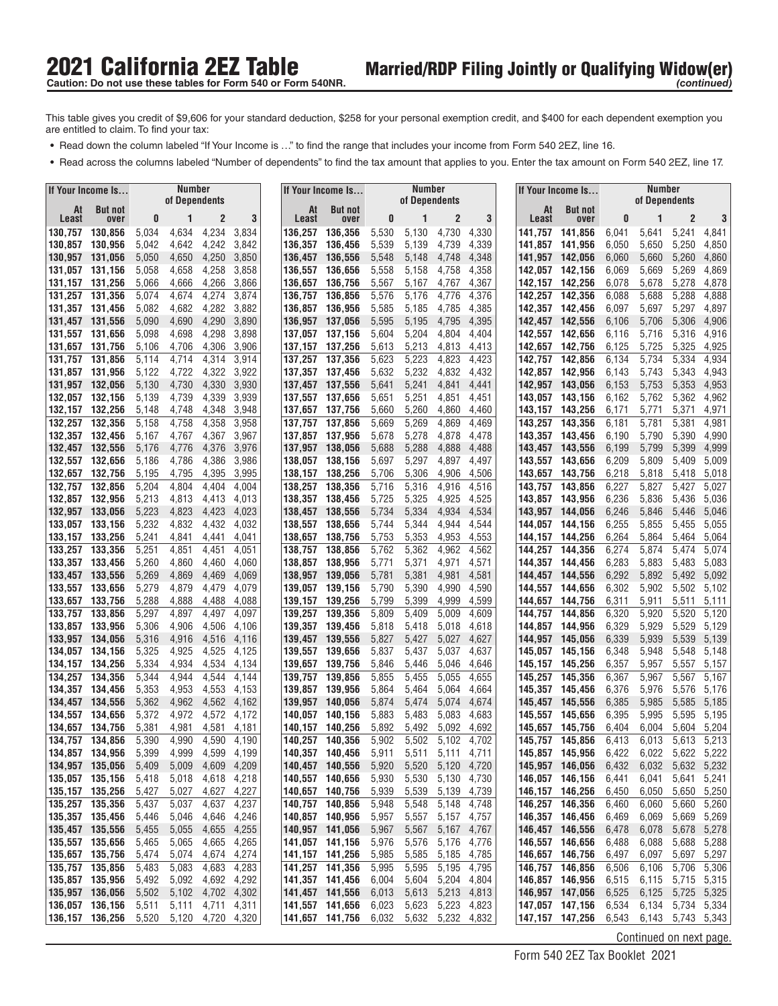- **•** Read down the column labeled "If Your Income is ..." to find the range that includes your income from Form 540 2EZ, line 16.
- **•** Read across the columns labeled "Number of dependents" to find the tax amount that applies to you. Enter the tax amount on Form 540 2EZ, line 17.

|                    | If Your Income Is                  |                | Number<br>of Dependents |                   |                |                    | If Your Income Is                  |                | Number<br>of Dependents |                            |                |                    | If Your Income Is                  |                | Number<br>of Dependents |                   |                |
|--------------------|------------------------------------|----------------|-------------------------|-------------------|----------------|--------------------|------------------------------------|----------------|-------------------------|----------------------------|----------------|--------------------|------------------------------------|----------------|-------------------------|-------------------|----------------|
| At<br><b>Least</b> | <b>But not</b><br>over             | 0              |                         | $\overline{c}$    | 3              | Least              | At<br><b>But not</b><br>over       | 0              | 1                       | $\overline{c}$             | 3              | At<br>Least        | <b>But not</b><br>over             | 0              | 1                       | $\overline{2}$    | 3              |
| 130,757            | 130,856                            | 5,034          | 4,634                   | 4,234             | 3,834          | 136,257            | 136,356                            | 5,530          | 5,130                   | 4,730                      | 4,330          | 141,757            | 141,856                            | 6,041          | 5,641                   | 5,241             | 4,841          |
| 130,857            | 130.956                            | 5,042          | 4,642                   | 4,242             | 3,842          | 136,357            | 136,456                            | 5,539          | 5,139                   | 4,739                      | 4,339          | 141,857            | 141,956                            | 6,050          | 5,650                   | 5,250             | 4,850          |
| 130,957            | 131,056                            | 5,050          | 4,650                   | 4,250             | 3,850          | 136,457            | 136,556                            | 5,548          | 5,148                   | 4,748                      | 4,348          |                    | 141,957 142,056                    | 6,060          | 5,660                   | 5,260             | 4,860          |
| 131,057            | 131,156                            | 5,058          | 4,658                   | 4,258             | 3,858          | 136,557            | 136,656                            | 5,558          | 5,158                   | 4,758                      | 4,358          | 142,057            | 142,156                            | 6,069          | 5,669                   | 5,269             | 4,869          |
| 131,157            | 131,256                            | 5,066          | 4,666                   | 4,266             | 3,866          | 136,657            | 136,756                            | 5,567          | 5,167                   | 4,767                      | 4,367          | 142,157            | 142,256                            | 6,078          | 5,678                   | 5,278             | 4,878          |
| 131,257            | 131,356                            | 5,074          | 4,674                   | 4,274             | 3,874          | 136,757            | 136,856                            | 5,576          | 5,176                   | 4,776                      | 4,376          | 142,257            | 142,356                            | 6,088          | 5,688                   | 5,288             | 4,888          |
| 131,357            | 131,456                            | 5,082          | 4,682                   | 4,282             | 3,882          | 136.857            | 136,956                            | 5,585          | 5,185                   | 4,785                      | 4,385          |                    | 142,357 142,456                    | 6,097          | 5,697                   | 5,297             | 4,897          |
| 131,457 131,556    |                                    | 5,090          | 4,690                   | 4,290             | 3,890          | 136,957            | 137,056                            | 5,595          | 5,195                   | 4,795                      | 4,395          | 142,457            | 142,556                            | 6,106          | 5,706                   | 5,306             | 4,906          |
| 131,557<br>131,657 | 131,656<br>131,756                 | 5,098<br>5,106 | 4,698<br>4,706          | 4,298<br>4,306    | 3,898<br>3,906 | 137.057<br>137,157 | 137,156<br>137,256                 | 5,604<br>5,613 | 5,204<br>5,213          | 4,804<br>4,813             | 4,404<br>4,413 | 142,657            | 142,557 142,656<br>142,756         | 6,116<br>6,125 | 5,716<br>5,725          | 5,316<br>5,325    | 4,916<br>4,925 |
| 131.757            | 131,856                            | 5,114          | 4,714                   | 4,314             | 3,914          | 137,257            | 137,356                            | 5,623          | 5,223                   | 4,823                      | 4,423          | 142,757            | 142,856                            | 6,134          | 5,734                   | 5,334             | 4,934          |
|                    | 131,857 131,956                    | 5,122          | 4,722                   | 4,322             | 3,922          |                    | 137,357 137,456                    | 5,632          | 5,232                   | 4,832                      | 4,432          |                    | 142,857 142,956                    | 6,143          | 5,743                   | 5,343             | 4,943          |
| 131,957 132,056    |                                    | 5,130          | 4,730                   | 4,330             | 3,930          | 137,457            | 137,556                            | 5,641          | 5,241                   | 4,841                      | 4,441          |                    | 142,957 143,056                    | 6,153          | 5,753                   | 5,353             | 4,953          |
| 132,057            | 132,156                            | 5,139          | 4,739                   | 4,339             | 3,939          | 137,557            | 137,656                            | 5,651          | 5,251                   | 4,851                      | 4,451          | 143,057            | 143,156                            | 6,162          | 5,762                   | 5,362             | 4,962          |
| 132,157            | 132,256                            | 5,148          | 4,748                   | 4,348             | 3,948          | 137,657            | 137,756                            | 5,660          | 5,260                   | 4,860                      | 4,460          |                    | 143,157 143,256                    | 6,171          | 5,771                   | 5,371             | 4,971          |
| 132,257            | 132,356                            | 5,158          | 4,758                   | 4,358             | 3,958          | 137,757            | 137,856                            | 5,669          | 5,269                   | 4,869                      | 4,469          |                    | 143,257 143,356                    | 6,181          | 5,781                   | 5,381             | 4,981          |
| 132,357            | 132,456                            | 5,167          | 4,767                   | 4,367             | 3,967          | 137,857            | 137,956                            | 5,678          | 5,278                   | 4,878                      | 4,478          |                    | 143,357 143,456                    | 6,190          | 5,790                   | 5,390             | 4,990          |
| 132,457            | 132,556                            | 5,176          | 4,776                   | 4,376             | 3,976          | 137,957            | 138,056                            | 5,688          | 5,288                   | 4,888                      | 4,488          | 143,457            | 143,556                            | 6,199          | 5,799                   | 5,399             | 4,999          |
| 132,557            | 132,656                            | 5.186          | 4,786                   | 4,386             | 3,986          | 138.057            | 138,156                            | 5,697          | 5,297                   | 4,897                      | 4,497          | 143.557            | 143,656                            | 6,209          | 5,809                   | 5,409             | 5,009          |
| 132,657            | 132,756                            | 5,195          | 4,795                   | 4,395             | 3,995          | 138,157            | 138,256                            | 5,706          | 5,306                   | 4,906                      | 4,506          | 143,657            | 143,756                            | 6,218          | 5,818                   | 5,418             | 5,018          |
| 132.757<br>132.857 | 132,856                            | 5,204          | 4,804                   | 4,404             | 4,004          | 138,257            | 138,356                            | 5,716          | 5,316                   | 4,916                      | 4,516          | 143,757            | 143,856                            | 6,227          | 5,827                   | 5,427             | 5,027          |
| 132,957            | 132,956<br>133,056                 | 5,213<br>5,223 | 4,813<br>4,823          | 4,413<br>4,423    | 4,013<br>4,023 | 138,357<br>138,457 | 138,456<br>138,556                 | 5,725<br>5,734 | 5,325<br>5,334          | 4,925<br>4,934             | 4,525<br>4,534 | 143.957            | 143.857 143.956<br>144,056         | 6,236<br>6,246 | 5,836<br>5,846          | 5,436<br>5,446    | 5,036<br>5,046 |
| 133,057            | 133,156                            | 5,232          | 4,832                   | 4,432             | 4,032          | 138,557            | 138,656                            | 5,744          | 5,344                   | 4,944                      | 4,544          |                    | 144.057 144.156                    | 6,255          | 5,855                   | 5,455             | 5,055          |
| 133,157            | 133,256                            | 5,241          | 4,841                   | 4,441             | 4,041          | 138,657            | 138,756                            | 5,753          | 5,353                   | 4,953                      | 4,553          | 144,157            | 144,256                            | 6,264          | 5,864                   | 5,464             | 5,064          |
| 133,257            | 133,356                            | 5,251          | 4,851                   | 4,451             | 4,051          | 138,757            | 138,856                            | 5,762          | 5,362                   | 4,962                      | 4,562          | 144,257            | 144,356                            | 6,274          | 5,874                   | 5,474             | 5,074          |
| 133,357            | 133,456                            | 5,260          | 4,860                   | 4,460             | 4,060          | 138,857            | 138,956                            | 5,771          | 5,371                   | 4,971                      | 4,571          |                    | 144,357 144,456                    | 6,283          | 5,883                   | 5,483             | 5,083          |
| 133,457            | 133,556                            | 5,269          | 4,869                   | 4,469             | 4,069          | 138,957            | 139,056                            | 5,781          | 5,381                   | 4,981                      | 4,581          | 144.457            | 144,556                            | 6,292          | 5,892                   | 5,492             | 5,092          |
| 133,557            | 133,656                            | 5,279          | 4,879                   | 4,479             | 4,079          | 139,057            | 139,156                            | 5,790          | 5,390                   | 4,990                      | 4,590          | 144,557            | 144,656                            | 6,302          | 5,902                   | 5,502             | 5,102          |
| 133,657            | 133,756                            | 5,288          | 4,888                   | 4,488             | 4,088          | 139,157            | 139,256                            | 5,799          | 5,399                   | 4,999                      | 4,599          |                    | 144,657 144,756                    | 6,311          | 5,911                   | 5,511             | 5,111          |
| 133,757            | 133,856                            | 5,297          | 4,897                   | 4,497             | 4,097          | 139,257            | 139,356                            | 5,809          | 5,409                   | 5,009                      | 4,609          | 144,757            | 144,856                            | 6,320          | 5,920                   | 5,520             | 5,120          |
| 133,857            | 133,956                            | 5,306          | 4,906                   | 4,506             | 4,106          | 139,357            | 139,456                            | 5,818          | 5,418                   | 5,018                      | 4,618          | 144,857            | 144,956                            | 6,329          | 5,929                   | 5,529             | 5,129          |
| 133,957<br>134,057 | 134,056                            | 5,316<br>5,325 | 4,916<br>4,925          | 4,516<br>4,525    | 4,116<br>4,125 | 139,457<br>139,557 | 139,556<br>139,656                 | 5,827<br>5,837 | 5,427<br>5,437          | 5,027<br>5,037             | 4,627<br>4,637 | 144.957<br>145.057 | 145,056<br>145,156                 | 6,339<br>6,348 | 5,939<br>5,948          | 5,539<br>5,548    | 5,139<br>5,148 |
| 134,157            | 134,156<br>134,256                 | 5,334          | 4,934                   | 4,534             | 4,134          | 139,657            | 139,756                            | 5,846          | 5,446                   | 5,046                      | 4,646          | 145,157            | 145,256                            | 6,357          | 5,957                   | 5,557             | 5,157          |
| 134,257            | 134,356                            | 5,344          | 4,944                   | 4,544             | 4,144          | 139,757            | 139,856                            | 5,855          | 5,455                   | 5,055                      | 4,655          | 145.257            | 145,356                            | 6,367          | 5,967                   | 5,567             | 5,167          |
| 134,357            | 134,456                            | 5,353          | 4,953                   | 4,553             | 4,153          | 139,857            | 139,956                            | 5,864          | 5,464                   | 5,064                      | 4,664          | 145,357            | 145.456                            | 6,376          | 5,976                   | 5,576             | 5,176          |
| 134,457            | 134,556                            | 5,362          | 4,962                   | 4,562             | 4,162          | 139,957            | 140.056                            | 5,874          | 5,474                   | 5,074                      | 4,674          | 145.457            | 145.556                            | 6,385          | 5,985                   | 5,585             | 5,185          |
| 134,557            | 134,656                            | 5,372          | 4,972                   | 4,572             | 4,172          | 140,057            | 140.156                            | 5,883          | 5,483                   | 5,083                      | 4,683          | 145.557            | 145,656                            | 6,395          | 5,995                   | 5,595             | 5,195          |
| 134,657            | 134,756                            | 5,381          | 4,981                   | 4,581             | 4,181          | 140,157            | 140,256                            | 5,892          | 5,492                   | 5,092                      | 4,692          | 145.657            | 145,756                            | 6,404          | 6,004                   | 5,604             | 5,204          |
| 134,757            | 134,856                            | 5,390          | 4,990                   | 4,590             | 4,190          | 140,257            | 140,356                            | 5,902          | 5,502                   | 5,102                      | 4.702          | 145,757            | 145,856                            | 6,413          | 6,013                   | 5,613             | 5,213          |
|                    | 134,857 134,956                    | 5,399          | 4,999                   | 4,599             | 4,199          |                    | 140,357 140,456                    | 5,911          | 5,511                   | 5,111 4,711                |                |                    | 145,857 145,956                    | 6,422          |                         | 6,022 5,622 5,222 |                |
|                    | 134,957 135,056                    | 5,409          | 5,009                   |                   | 4,609 4,209    |                    | 140,457 140,556                    | 5,920          | 5,520                   | 5,120 4,720                |                |                    | 145,957 146,056                    | 6,432          |                         | 6,032 5,632 5,232 |                |
|                    | 135,057 135,156<br>135,157 135,256 | 5,418<br>5,427 | 5,018<br>5,027          | 4,618<br>4,627    | 4,218<br>4,227 |                    | 140,557 140,656<br>140,657 140,756 | 5,930<br>5,939 | 5,530<br>5,539          | 5,130 4,730<br>5,139 4,739 |                |                    | 146,057 146,156<br>146,157 146,256 | 6,441<br>6,450 | 6,041<br>6,050          | 5,641<br>5,650    | 5,241<br>5,250 |
| 135,257 135,356    |                                    | 5,437          | 5,037                   | 4,637             | 4,237          |                    | 140,757 140,856                    | 5,948          | 5,548                   | 5,148 4,748                |                |                    | 146,257 146,356                    | 6,460          | 6,060                   | 5,660 5,260       |                |
|                    | 135,357 135,456                    | 5,446          | 5,046                   | 4,646             | 4,246          |                    | 140,857 140,956                    | 5,957          | 5,557                   | 5,157 4,757                |                |                    | 146,357 146,456                    | 6,469          | 6,069                   | 5,669             | 5,269          |
|                    | 135,457 135,556                    | 5,455          | 5,055                   | 4,655             | 4,255          |                    | 140,957 141,056                    | 5,967          | 5,567                   | 5,167 4,767                |                |                    | 146,457 146,556                    | 6,478          | 6,078                   | 5,678             | 5,278          |
|                    | 135,557 135,656                    | 5,465          | 5,065                   | 4,665 4,265       |                |                    | 141,057 141,156                    | 5,976          | 5,576                   | 5,176 4,776                |                |                    | 146,557 146,656                    | 6,488          | 6,088                   | 5,688 5,288       |                |
|                    | 135,657 135,756                    | 5,474          | 5,074                   | 4,674             | 4,274          |                    | 141,157 141,256                    | 5,985          | 5,585                   | 5,185 4,785                |                |                    | 146,657 146,756                    | 6,497          | 6,097                   | 5,697             | 5,297          |
|                    | 135,757 135,856                    | 5,483          | 5,083                   | 4,683             | 4,283          |                    | 141,257 141,356                    | 5,995          | 5,595                   | 5,195 4,795                |                |                    | 146,757 146,856                    | 6,506          | 6,106                   | 5,706             | 5,306          |
|                    | 135,857 135,956                    | 5,492          | 5,092                   | 4,692 4,292       |                |                    | 141,357 141,456                    | 6,004          | 5,604                   | 5,204 4,804                |                |                    | 146,857 146,956                    | 6,515          | 6,115                   | 5,715 5,315       |                |
|                    | 135,957 136,056                    | 5,502          |                         | 5,102 4,702 4,302 |                |                    | 141,457 141,556                    | 6,013          | 5,613                   | 5,213 4,813                |                |                    | 146,957 147,056                    | 6,525          | 6,125                   | 5,725 5,325       |                |
|                    | 136,057 136,156                    | 5,511          | 5,111                   | 4,711 4,311       |                |                    | 141,557 141,656                    | 6,023          | 5,623                   | 5,223 4,823                |                |                    | 147,057 147,156                    | 6,534          | 6,134                   | 5,734 5,334       |                |
|                    | 136,157 136,256                    | 5,520          |                         | 5,120 4,720 4,320 |                |                    | 141,657 141,756                    | 6,032          |                         | 5,632 5,232 4,832          |                |                    | 147, 157 147, 256                  | 6,543          |                         | 6,143 5,743 5,343 |                |

Continued on next page.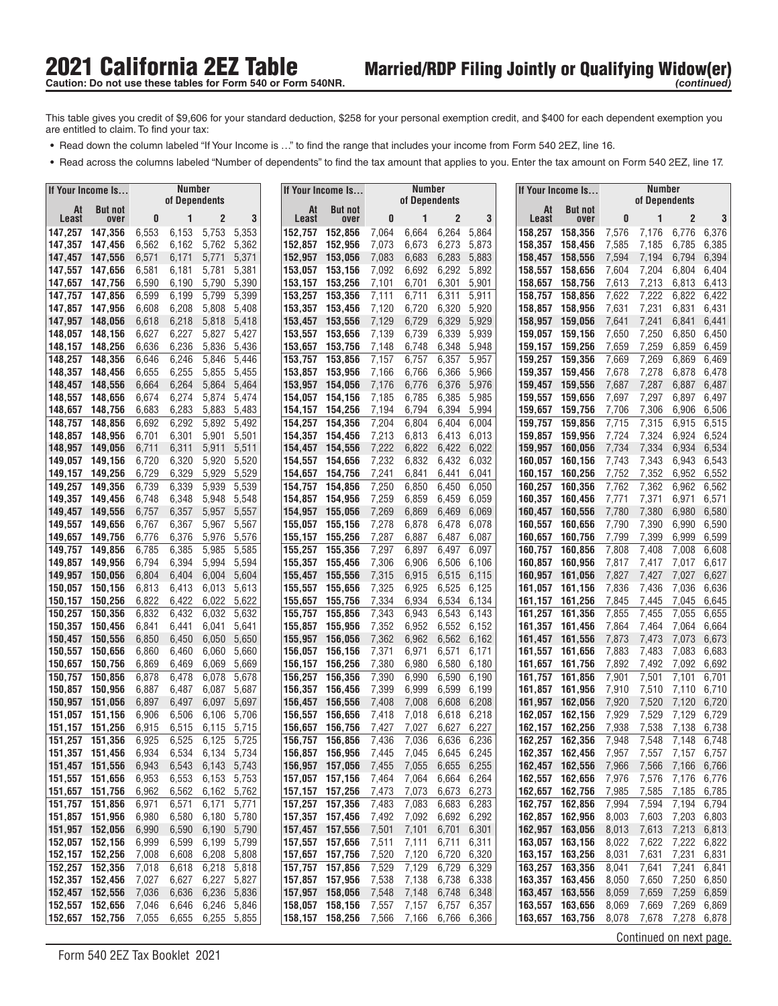- **•** Read down the column labeled "If Your Income is ..." to find the range that includes your income from Form 540 2EZ, line 16.
- **•** Read across the columns labeled "Number of dependents" to find the tax amount that applies to you. Enter the tax amount on Form 540 2EZ, line 17.

|                                    | If Your Income Is  |                | <b>Number</b><br>of Dependents |                |                            |                    | If Your Income Is                  |                | <b>Number</b><br>of Dependents |                |                |                    | If Your Income Is                  |                | <b>Number</b><br>of Dependents |                |                |
|------------------------------------|--------------------|----------------|--------------------------------|----------------|----------------------------|--------------------|------------------------------------|----------------|--------------------------------|----------------|----------------|--------------------|------------------------------------|----------------|--------------------------------|----------------|----------------|
| At<br>Least                        | <b>But not</b>     | 0              | 1                              | 2              | 3                          | At<br>Least        | <b>But not</b>                     | 0              | 1                              | $\overline{c}$ | 3              | At<br>Least        | <b>But not</b>                     | 0              | 1                              | $\overline{2}$ | 3              |
| 147,257                            | over<br>147,356    | 6,553          | 6,153                          | 5,753          | 5,353                      | 152,757            | over<br>152,856                    | 7,064          | 6,664                          | 6,264          | 5,864          | 158,257            | over<br>158,356                    | 7,576          | 7,176                          | 6,776          | 6,376          |
| 147,357                            | 147,456            | 6,562          | 6,162                          | 5,762          | 5,362                      | 152,857            | 152,956                            | 7,073          | 6,673                          | 6,273          | 5,873          | 158,357            | 158.456                            | 7,585          | 7,185                          | 6,785          | 6,385          |
| 147,457                            | 147,556            | 6,571          | 6,171                          | 5,771          | 5,371                      | 152,957            | 153,056                            | 7,083          | 6,683                          | 6,283          | 5,883          | 158.457            | 158.556                            | 7,594          | 7,194                          | 6,794          | 6,394          |
| 147,557                            | 147.656            | 6,581          | 6,181                          | 5,781          | 5,381                      | 153.057            | 153.156                            | 7,092          | 6,692                          | 6,292          | 5,892          | 158,557            | 158.656                            | 7,604          | 7,204                          | 6,804          | 6,404          |
| 147,657                            | 147,756            | 6,590          | 6,190                          | 5,790          | 5,390                      | 153,157            | 153,256                            | 7,101          | 6,701                          | 6,301          | 5,901          | 158,657            | 158,756                            | 7,613          | 7,213                          | 6,813          | 6,413          |
| 147,757<br>147,857                 | 147,856<br>147,956 | 6,599<br>6,608 | 6,199<br>6,208                 | 5,799<br>5,808 | 5,399<br>5,408             | 153,257<br>153,357 | 153,356<br>153,456                 | 7,111<br>7,120 | 6,711<br>6,720                 | 6,311<br>6,320 | 5,911<br>5,920 | 158,757<br>158.857 | 158,856<br>158.956                 | 7,622<br>7,631 | 7,222<br>7,231                 | 6,822<br>6,831 | 6,422<br>6,431 |
| 147,957                            | 148,056            | 6,618          | 6,218                          | 5,818          | 5,418                      | 153,457            | 153,556                            | 7,129          | 6,729                          | 6,329          | 5,929          | 158,957            | 159.056                            | 7,641          | 7,241                          | 6,841          | 6,441          |
| 148,057                            | 148,156            | 6,627          | 6,227                          | 5,827          | 5,427                      | 153,557            | 153,656                            | 7,139          | 6,739                          | 6,339          | 5,939          | 159,057            | 159,156                            | 7,650          | 7,250                          | 6,850          | 6,450          |
| 148,157                            | 148,256            | 6,636          | 6,236                          | 5,836          | 5,436                      | 153,657            | 153,756                            | 7,148          | 6,748                          | 6,348          | 5,948          | 159,157            | 159.256                            | 7,659          | 7,259                          | 6,859          | 6,459          |
| 148.257                            | 148,356            | 6,646          | 6,246                          | 5,846          | 5,446                      | 153,757            | 153,856                            | 7,157          | 6,757                          | 6,357          | 5,957          | 159,257            | 159,356                            | 7,669          | 7,269                          | 6,869          | 6,469          |
| 148,357                            | 148,456            | 6,655          | 6,255                          | 5,855          | 5,455                      | 153,857            | 153,956                            | 7,166          | 6,766                          | 6,366          | 5,966          |                    | 159,357 159,456                    | 7,678          | 7,278                          | 6,878          | 6,478          |
| 148,457<br>148,557                 | 148,556<br>148,656 | 6,664<br>6,674 | 6,264<br>6,274                 | 5,864<br>5,874 | 5,464<br>5,474             | 153,957<br>154,057 | 154,056<br>154,156                 | 7,176<br>7,185 | 6,776<br>6,785                 | 6,376<br>6,385 | 5,976<br>5,985 | 159,457<br>159,557 | 159,556<br>159,656                 | 7,687<br>7,697 | 7,287<br>7,297                 | 6,887<br>6,897 | 6,487<br>6,497 |
| 148,657                            | 148,756            | 6,683          | 6,283                          | 5,883          | 5,483                      | 154,157            | 154,256                            | 7,194          | 6,794                          | 6,394          | 5,994          | 159,657            | 159,756                            | 7,706          | 7,306                          | 6,906          | 6,506          |
| 148,757                            | 148,856            | 6,692          | 6,292                          | 5,892          | 5,492                      | 154,257            | 154,356                            | 7,204          | 6,804                          | 6.404          | 6,004          | 159,757            | 159,856                            | 7,715          | 7,315                          | 6,915          | 6,515          |
| 148,857                            | 148,956            | 6,701          | 6,301                          | 5,901          | 5,501                      | 154,357            | 154,456                            | 7,213          | 6,813                          | 6,413          | 6,013          | 159,857            | 159,956                            | 7,724          | 7,324                          | 6,924          | 6,524          |
| 148,957                            | 149,056            | 6,711          | 6,311                          | 5,911          | 5,511                      | 154,457            | 154.556                            | 7,222          | 6,822                          | 6,422          | 6,022          | 159,957            | 160,056                            | 7,734          | 7,334                          | 6,934          | 6,534          |
| 149,057                            | 149,156            | 6,720          | 6,320                          | 5,920          | 5,520                      | 154,557            | 154,656                            | 7,232          | 6,832                          | 6,432          | 6,032          | 160,057            | 160.156                            | 7,743          | 7,343                          | 6,943          | 6,543          |
| 149,157<br>149.257                 | 149,256            | 6,729          | 6,329                          | 5,929          | 5,529                      | 154,657            | 154,756                            | 7,241          | 6,841                          | 6,441          | 6,041          | 160,157            | 160.256                            | 7,752          | 7,352                          | 6,952          | 6,552          |
| 149,357                            | 149,356<br>149.456 | 6,739<br>6,748 | 6,339<br>6,348                 | 5,939<br>5,948 | 5,539<br>5,548             | 154,757<br>154,857 | 154,856<br>154,956                 | 7,250<br>7,259 | 6,850<br>6,859                 | 6,450<br>6,459 | 6,050<br>6,059 | 160,257<br>160,357 | 160,356<br>160,456                 | 7,762<br>7,771 | 7,362<br>7,371                 | 6,962<br>6,971 | 6,562<br>6,571 |
| 149,457                            | 149,556            | 6,757          | 6,357                          | 5,957          | 5,557                      | 154,957            | 155,056                            | 7,269          | 6,869                          | 6,469          | 6,069          | 160,457            | 160,556                            | 7,780          | 7,380                          | 6,980          | 6,580          |
| 149,557                            | 149,656            | 6,767          | 6,367                          | 5,967          | 5,567                      | 155,057            | 155,156                            | 7,278          | 6,878                          | 6,478          | 6,078          | 160,557            | 160.656                            | 7,790          | 7,390                          | 6,990          | 6,590          |
| 149,657                            | 149,756            | 6,776          | 6,376                          | 5,976          | 5,576                      | 155,157            | 155,256                            | 7,287          | 6,887                          | 6,487          | 6,087          | 160,657            | 160,756                            | 7,799          | 7,399                          | 6,999          | 6,599          |
| 149,757                            | 149,856            | 6,785          | 6,385                          | 5,985          | 5,585                      | 155,257            | 155,356                            | 7,297          | 6,897                          | 6,497          | 6,097          | 160,757            | 160,856                            | 7,808          | 7,408                          | 7,008          | 6,608          |
| 149,857                            | 149,956            | 6,794          | 6,394                          | 5,994          | 5,594                      | 155,357            | 155,456                            | 7,306          | 6,906                          | 6,506          | 6,106          | 160,857            | 160,956                            | 7,817          | 7,417                          | 7,017          | 6,617          |
| 149,957<br>150,057                 | 150,056<br>150,156 | 6,804<br>6,813 | 6,404<br>6,413                 | 6,004<br>6,013 | 5,604<br>5,613             | 155,457<br>155,557 | 155,556<br>155,656                 | 7,315<br>7,325 | 6,915<br>6,925                 | 6,515<br>6,525 | 6,115<br>6,125 | 160,957<br>161,057 | 161,056<br>161,156                 | 7,827<br>7,836 | 7,427<br>7,436                 | 7,027<br>7,036 | 6,627<br>6,636 |
| 150,157                            | 150,256            | 6,822          | 6,422                          | 6,022          | 5,622                      | 155,657            | 155,756                            | 7,334          | 6,934                          | 6,534          | 6,134          | 161,157            | 161,256                            | 7,845          | 7,445                          | 7,045          | 6,645          |
| 150,257                            | 150,356            | 6,832          | 6,432                          | 6,032          | 5,632                      | 155,757            | 155,856                            | 7,343          | 6,943                          | 6,543          | 6,143          | 161,257            | 161,356                            | 7,855          | 7,455                          | 7,055          | 6,655          |
| 150,357                            | 150,456            | 6,841          | 6,441                          | 6,041          | 5,641                      | 155,857            | 155,956                            | 7,352          | 6,952                          | 6,552          | 6,152          | 161,357            | 161,456                            | 7,864          | 7,464                          | 7,064          | 6,664          |
| 150,457                            | 150,556            | 6,850          | 6,450                          | 6,050          | 5,650                      | 155,957            | 156,056                            | 7,362          | 6,962                          | 6,562          | 6,162          | 161,457            | 161,556                            | 7,873          | 7,473                          | 7,073          | 6,673          |
| 150,557<br>150,657                 | 150,656<br>150,756 | 6,860<br>6,869 | 6,460<br>6,469                 | 6,060<br>6,069 | 5,660<br>5,669             | 156,057<br>156,157 | 156,156<br>156,256                 | 7,371<br>7,380 | 6,971<br>6,980                 | 6,571<br>6,580 | 6,171<br>6,180 | 161,557<br>161,657 | 161,656<br>161,756                 | 7,883<br>7,892 | 7,483<br>7,492                 | 7,083<br>7,092 | 6,683<br>6,692 |
| 150,757                            | 150,856            | 6,878          | 6,478                          | 6,078          | 5,678                      | 156,257            | 156,356                            | 7,390          | 6,990                          | 6,590          | 6,190          | 161,757            | 161,856                            | 7,901          | 7,501                          | 7,101          | 6,701          |
| 150,857                            | 150,956            | 6,887          | 6,487                          | 6,087          | 5,687                      | 156,357            | 156,456                            | 7,399          | 6,999                          | 6,599          | 6,199          | 161,857            | 161.956                            | 7,910          | 7,510                          | 7,110          | 6,710          |
| 150,957                            | 151,056            | 6,897          | 6,497                          | 6,097          | 5,697                      | 156,457            | 156,556                            | 7,408          | 7,008                          | 6,608          | 6,208          | 161,957            | 162.056                            | 7,920          | 7,520                          | 7,120          | 6,720          |
| 151,057                            | 151,156            | 6,906          | 6,506                          | 6,106          | 5,706                      | 156,557            | 156,656                            | 7,418          | 7,018                          | 6,618          | 6,218          | 162,057            | 162,156                            | 7,929          | 7,529                          | 7,129          | 6,729          |
| 151,157                            | 151,256            | 6,915<br>6,925 | 6,515<br>6,525                 | 6,115<br>6,125 | 5,715<br>5.725             | 156,657            | 156,756<br>156.856                 | 7,427          | 7,027                          | 6,627          | 6,227<br>6,236 | 162,157            | 162,256                            | 7,938          | 7,538<br>7,548                 | 7,138<br>7,148 | 6,738<br>6,748 |
| 151,257<br>151,357 151,456         | 151,356            | 6,934          | 6,534                          |                | 6,134 5,734                | 156,757            | 156,857 156,956                    | 7,436<br>7,445 | 7,036<br>7,045                 | 6,636<br>6,645 | 6,245          | 162,257            | 162,356<br>162,357 162,456         | 7,948<br>7,957 | 7,557                          |                | 7,157 6,757    |
| 151,457 151,556                    |                    | 6,943          | 6,543                          |                | 6,143 5,743                |                    | 156,957 157,056                    | 7,455          | 7,055                          | 6,655          | 6,255          |                    | 162,457 162,556                    | 7,966          | 7,566                          | 7,166          | 6,766          |
| 151,557 151,656                    |                    | 6,953          | 6,553                          |                | 6,153 5,753                |                    | 157,057 157,156                    | 7,464          | 7,064                          | 6,664          | 6,264          |                    | 162,557 162,656                    | 7,976          | 7,576                          | 7,176          | 6,776          |
| 151,657 151,756                    |                    | 6,962          | 6,562                          | 6,162 5,762    |                            |                    | 157, 157 157, 256                  | 7,473          | 7,073                          | 6,673 6,273    |                |                    | 162,657 162,756                    | 7,985          | 7,585                          | 7,185          | 6,785          |
| 151,757 151,856                    |                    | 6,971          | 6,571                          | 6,171          | 5,771                      |                    | 157,257 157,356                    | 7,483          | 7,083                          | 6,683          | 6,283          |                    | 162,757 162,856                    | 7,994          | 7,594                          | 7,194          | 6,794          |
| 151,857 151,956                    |                    | 6,980          | 6,580                          | 6,180          | 5,780                      |                    | 157,357 157,456                    | 7,492          | 7,092                          | 6,692          | 6,292          |                    | 162,857 162,956                    | 8,003          | 7,603                          | 7,203          | 6,803          |
| 151,957 152,056<br>152,057 152,156 |                    | 6,990<br>6,999 | 6,590<br>6,599                 | 6,190<br>6,199 | 5,790<br>5,799             |                    | 157,457 157,556<br>157,557 157,656 | 7,501<br>7,511 | 7,101<br>7,111                 | 6,701<br>6,711 | 6,301<br>6,311 |                    | 162,957 163,056<br>163,057 163,156 | 8,013<br>8,022 | 7,613<br>7,622                 | 7,213<br>7,222 | 6,813<br>6,822 |
| 152,157 152,256                    |                    | 7,008          | 6,608                          | 6,208          | 5,808                      |                    | 157,657 157,756                    | 7,520          | 7,120                          | 6,720          | 6,320          |                    | 163,157 163,256                    | 8,031          | 7,631                          | 7,231          | 6,831          |
| 152,257 152,356                    |                    | 7,018          | 6,618                          | 6,218          | 5,818                      |                    | 157,757 157,856                    | 7,529          | 7,129                          | 6,729          | 6,329          |                    | 163,257 163,356                    | 8,041          | 7,641                          | 7,241          | 6,841          |
| 152,357 152,456                    |                    | 7,027          | 6,627                          | 6,227          | 5,827                      |                    | 157,857 157,956                    | 7,538          | 7,138                          | 6,738          | 6,338          |                    | 163,357 163,456                    | 8,050          | 7,650                          | 7,250          | 6,850          |
| 152,457 152,556                    |                    | 7,036          | 6,636                          |                | 6,236 5,836                |                    | 157,957 158,056                    | 7,548          | 7,148                          | 6,748          | 6,348          |                    | 163,457 163,556                    | 8,059          | 7,659                          | 7,259          | 6,859          |
|                                    |                    |                |                                |                |                            |                    |                                    |                |                                |                |                |                    |                                    |                |                                |                |                |
| 152,657 152,756                    | 152,557 152,656    | 7,046<br>7,055 | 6,646<br>6,655                 |                | 6,246 5,846<br>6,255 5,855 |                    | 158,057 158,156<br>158,157 158,256 | 7,557<br>7,566 | 7,157<br>7,166                 | 6,757 6,357    | 6,766 6,366    |                    | 163,557 163,656<br>163,657 163,756 | 8,069<br>8,078 | 7,669<br>7,678                 | 7,269<br>7,278 | 6,869<br>6,878 |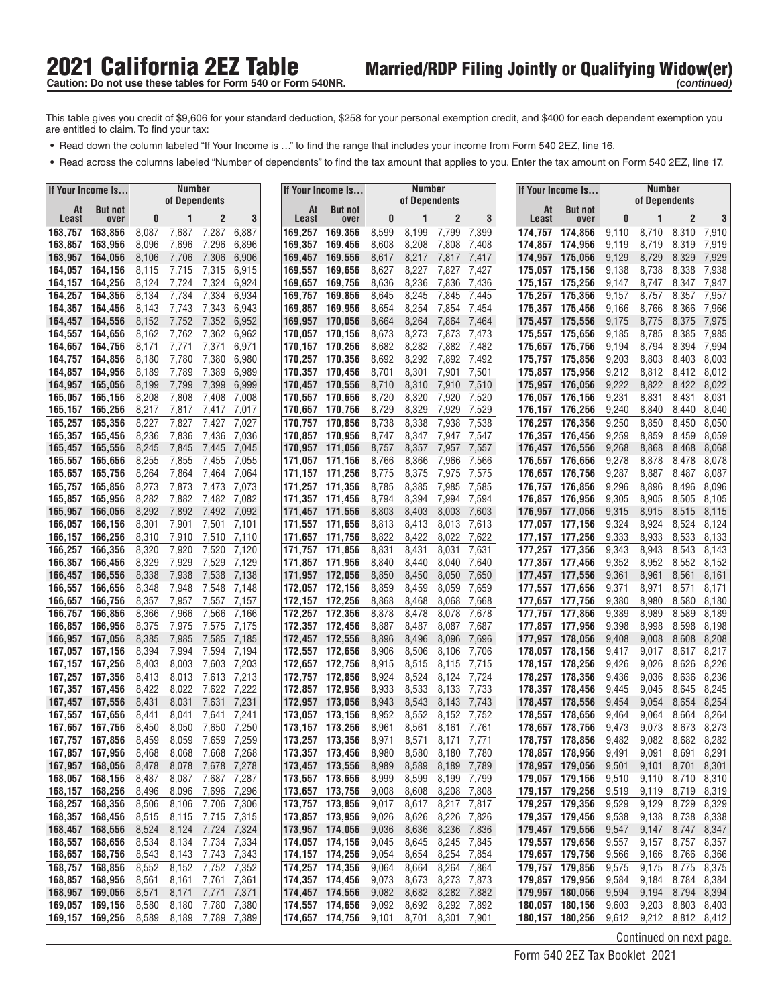- **•** Read down the column labeled "If Your Income is ..." to find the range that includes your income from Form 540 2EZ, line 16.
- **•** Read across the columns labeled "Number of dependents" to find the tax amount that applies to you. Enter the tax amount on Form 540 2EZ, line 17.

|                                    | If Your Income Is      |                | <b>Number</b><br>of Dependents |                      |                |                    | If Your Income Is                        |                | Number<br>of Dependents |                                  |                |             | If Your Income Is                  |                | Number<br>of Dependents |                            |                |
|------------------------------------|------------------------|----------------|--------------------------------|----------------------|----------------|--------------------|------------------------------------------|----------------|-------------------------|----------------------------------|----------------|-------------|------------------------------------|----------------|-------------------------|----------------------------|----------------|
| At<br>Least                        | <b>But not</b><br>over | 0              |                                | 2                    | 3              | Least              | At<br><b>But not</b><br>over             | 0              | 1                       | $\mathbf{2}$                     | 3              | At<br>Least | <b>But not</b><br>over             | 0              |                         | $\overline{2}$             | 3              |
| 163,757                            | 163,856                | 8,087          | 7,687                          | 7,287                | 6,887          | 169,257            | 169,356                                  | 8,599          | 8,199                   | 7,799                            | 7,399          | 174,757     | 174,856                            | 9,110          | 8,710                   | 8,310                      | 7,910          |
| 163.857                            | 163,956                | 8,096          | 7,696                          | 7,296                | 6,896          | 169,357            | 169,456                                  | 8,608          | 8,208                   | 7,808                            | 7,408          |             | 174.857 174.956                    | 9,119          | 8,719                   | 8,319                      | 7,919          |
| 163,957                            | 164,056                | 8,106          | 7,706                          | 7,306                | 6,906          | 169,457            | 169,556                                  | 8,617          | 8,217                   | 7,817                            | 7,417          |             | 174,957 175,056                    | 9,129          | 8,729                   | 8,329                      | 7,929          |
| 164,057                            | 164,156                | 8,115          | 7,715                          | 7,315                | 6,915          | 169,557            | 169,656                                  | 8,627          | 8,227                   | 7,827                            | 7,427          |             | 175.057 175.156                    | 9,138          | 8,738                   | 8,338                      | 7,938          |
| 164,157                            | 164,256                | 8,124          | 7,724                          | 7,324                | 6,924          | 169,657            | 169,756                                  | 8,636          | 8,236                   | 7,836                            | 7,436          | 175,157     | 175,256                            | 9,147          | 8,747                   | 8,347                      | 7,947          |
| 164,257<br>164.357                 | 164,356<br>164,456     | 8,134<br>8,143 | 7,734<br>7,743                 | 7,334<br>7,343       | 6,934<br>6,943 | 169,757<br>169,857 | 169,856<br>169,956                       | 8,645<br>8,654 | 8,245<br>8,254          | 7,845<br>7,854                   | 7,445<br>7,454 |             | 175,257 175,356<br>175,357 175,456 | 9,157<br>9.166 | 8,757<br>8,766          | 8,357<br>8,366             | 7,957<br>7,966 |
| 164,457                            | 164,556                | 8,152          | 7,752                          | 7,352                | 6,952          | 169,957            | 170,056                                  | 8,664          | 8,264                   | 7,864                            | 7,464          |             | 175,457 175,556                    | 9,175          | 8,775                   | 8,375                      | 7,975          |
| 164,557                            | 164,656                | 8,162          | 7,762                          | 7,362                | 6,962          | 170,057            | 170,156                                  | 8,673          | 8,273                   | 7,873                            | 7,473          |             | 175.557 175.656                    | 9,185          | 8,785                   | 8,385                      | 7,985          |
| 164,657                            | 164,756                | 8,171          | 7,771                          | 7,371                | 6,971          | 170,157            | 170,256                                  | 8,682          | 8,282                   | 7,882                            | 7,482          | 175.657     | 175.756                            | 9.194          | 8,794                   | 8,394                      | 7,994          |
| 164,757                            | 164,856                | 8,180          | 7,780                          | 7,380                | 6,980          | 170,257            | 170,356                                  | 8,692          | 8,292                   | 7,892                            | 7,492          |             | 175,757 175,856                    | 9,203          | 8,803                   | 8,403                      | 8,003          |
| 164.857                            | 164,956                | 8,189          | 7,789                          | 7,389                | 6,989          |                    | 170,357 170,456                          | 8,701          | 8,301                   | 7,901                            | 7,501          |             | 175,857 175,956                    | 9,212          | 8,812                   | 8,412                      | 8,012          |
| 164.957                            | 165,056                | 8,199          | 7,799                          | 7,399                | 6,999          | 170,457            | 170,556                                  | 8,710          | 8,310                   | 7,910                            | 7,510          |             | 175,957 176,056                    | 9,222          | 8,822                   | 8,422                      | 8,022          |
| 165.057<br>165,157                 | 165,156<br>165,256     | 8,208<br>8,217 | 7,808<br>7,817                 | 7,408<br>7,417       | 7,008<br>7,017 | 170,557<br>170.657 | 170,656<br>170,756                       | 8,720<br>8,729 | 8,320<br>8,329          | 7,920<br>7,929                   | 7,520<br>7,529 | 176,057     | 176,156<br>176,157 176,256         | 9,231<br>9,240 | 8,831<br>8,840          | 8,431<br>8,440             | 8,031<br>8,040 |
| 165,257                            | 165,356                | 8,227          | 7,827                          | 7,427                | 7,027          | 170,757            | 170,856                                  | 8,738          | 8,338                   | 7,938                            | 7,538          | 176,257     | 176,356                            | 9,250          | 8,850                   | 8,450                      | 8,050          |
| 165,357                            | 165,456                | 8,236          | 7,836                          | 7,436                | 7,036          |                    | 170,857 170,956                          | 8,747          | 8,347                   | 7,947                            | 7,547          |             | 176,357 176,456                    | 9,259          | 8,859                   | 8,459                      | 8,059          |
| 165.457                            | 165,556                | 8,245          | 7,845                          | 7,445                | 7,045          | 170,957            | 171,056                                  | 8,757          | 8,357                   | 7,957                            | 7,557          |             | 176,457 176,556                    | 9,268          | 8,868                   | 8,468                      | 8,068          |
| 165.557                            | 165,656                | 8,255          | 7,855                          | 7,455                | 7,055          | 171,057            | 171.156                                  | 8,766          | 8,366                   | 7,966                            | 7,566          |             | 176.557 176.656                    | 9,278          | 8,878                   | 8,478                      | 8,078          |
| 165.657                            | 165,756                | 8,264          | 7,864                          | 7,464                | 7,064          | 171,157            | 171,256                                  | 8,775          | 8,375                   | 7,975                            | 7,575          | 176,657     | 176,756                            | 9,287          | 8,887                   | 8,487                      | 8,087          |
| 165,757                            | 165,856                | 8,273          | 7,873                          | 7,473                | 7,073          | 171,257            | 171,356                                  | 8,785          | 8,385                   | 7,985                            | 7,585          | 176.757     | 176,856                            | 9,296          | 8,896                   | 8,496                      | 8,096          |
| 165,857<br>165,957                 | 165,956<br>166,056     | 8,282<br>8,292 | 7,882<br>7,892                 | 7,482<br>7,492       | 7,082<br>7,092 | 171,357            | 171,456<br>171,457 171,556               | 8,794<br>8,803 | 8,394<br>8,403          | 7,994<br>8,003                   | 7,594<br>7,603 |             | 176.857 176.956<br>176.957 177.056 | 9,305<br>9,315 | 8,905<br>8,915          | 8,505<br>8,515             | 8,105<br>8,115 |
| 166,057                            | 166,156                | 8,301          | 7,901                          | 7,501                | 7,101          |                    | 171,557 171,656                          | 8,813          | 8,413                   | 8,013                            | 7,613          |             | 177,057 177,156                    | 9,324          | 8,924                   | 8,524                      | 8,124          |
| 166,157                            | 166,256                | 8,310          | 7,910                          | 7,510                | 7,110          | 171,657            | 171,756                                  | 8,822          | 8,422                   | 8,022                            | 7,622          |             | 177,157 177,256                    | 9,333          | 8,933                   | 8,533                      | 8,133          |
| 166,257                            | 166,356                | 8,320          | 7,920                          | 7,520                | 7,120          | 171,757            | 171,856                                  | 8,831          | 8,431                   | 8,031                            | 7,631          |             | 177,257 177,356                    | 9,343          | 8,943                   | 8,543                      | 8,143          |
| 166,357                            | 166,456                | 8,329          | 7,929                          | 7,529                | 7,129          |                    | 171,857 171,956                          | 8,840          | 8,440                   | 8,040                            | 7,640          |             | 177,357 177,456                    | 9,352          | 8,952                   | 8,552                      | 8,152          |
| 166,457                            | 166,556                | 8,338          | 7,938                          | 7,538                | 7,138          | 171,957            | 172,056                                  | 8,850          | 8,450                   | 8,050                            | 7,650          |             | 177,457 177,556                    | 9,361          | 8,961                   | 8,561                      | 8,161          |
| 166,557                            | 166,656                | 8,348          | 7,948                          | 7,548                | 7,148          | 172,057            | 172,156                                  | 8,859          | 8,459                   | 8,059                            | 7,659          |             | 177,557 177,656                    | 9,371          | 8,971                   | 8,571                      | 8,171          |
| 166.657<br>166,757                 | 166,756<br>166,856     | 8,357<br>8,366 | 7,957<br>7,966                 | 7,557<br>7,566       | 7,157<br>7,166 | 172,157<br>172,257 | 172,256<br>172,356                       | 8,868<br>8,878 | 8,468<br>8,478          | 8,068<br>8,078                   | 7,668<br>7,678 | 177,757     | 177,657 177,756<br>177,856         | 9,380<br>9,389 | 8,980<br>8,989          | 8,580<br>8,589             | 8,180<br>8,189 |
| 166,857                            | 166,956                | 8,375          | 7,975                          | 7,575                | 7,175          |                    | 172,357 172,456                          | 8,887          | 8,487                   | 8,087                            | 7,687          |             | 177,857 177,956                    | 9,398          | 8,998                   | 8,598                      | 8,198          |
| 166,957                            | 167,056                | 8,385          | 7,985                          | 7,585                | 7,185          | 172,457            | 172,556                                  | 8,896          | 8,496                   | 8,096                            | 7,696          |             | 177,957 178,056                    | 9,408          | 9,008                   | 8,608                      | 8,208          |
| 167.057                            | 167,156                | 8,394          | 7,994                          | 7,594                | 7,194          | 172,557            | 172,656                                  | 8,906          | 8,506                   | 8,106                            | 7,706          |             | 178,057 178,156                    | 9,417          | 9,017                   | 8,617                      | 8,217          |
| 167,157                            | 167,256                | 8,403          | 8,003                          | 7,603                | 7,203          | 172,657            | 172,756                                  | 8,915          | 8,515                   | 8,115                            | 7,715          |             | 178,157 178,256                    | 9,426          | 9,026                   | 8,626                      | 8,226          |
| 167.257                            | 167,356                | 8,413          | 8,013                          | 7,613                | 7,213          | 172,757            | 172,856                                  | 8,924          | 8,524                   | 8,124                            | 7,724          | 178,257     | 178,356                            | 9,436          | 9,036                   | 8,636                      | 8,236          |
| 167,357<br>167,457                 | 167,456<br>167,556     | 8,422<br>8,431 | 8,022<br>8,031                 | 7,622<br>7,631       | 7,222<br>7,231 | 172,857<br>172,957 | 172,956<br>173,056                       | 8,933<br>8,943 | 8,533<br>8,543          | 8,133<br>8,143                   | 7,733<br>7,743 | 178,457     | 178.357 178.456<br>178,556         | 9,445<br>9,454 | 9,045<br>9,054          | 8,645<br>8,654             | 8,245<br>8,254 |
| 167.557                            | 167,656                | 8,441          | 8,041                          | 7,641                | 7,241          | 173,057            | 173,156                                  | 8,952          | 8,552                   | 8,152                            | 7,752          | 178.557     | 178,656                            | 9,464          | 9,064                   | 8,664                      | 8,264          |
| 167,657                            | 167,756                | 8,450          | 8,050                          | 7,650                | 7,250          | 173,157            | 173,256                                  | 8,961          | 8,561                   | 8,161                            | 7,761          | 178.657     | 178,756                            | 9,473          | 9,073                   | 8,673                      | 8,273          |
| 167,757                            | 167,856                | 8,459          | 8,059                          | 7,659                | 7,259          |                    | 173,257 173,356                          | 8,971          | 8,571                   | 8,171                            | 7,771          |             | 178,757 178,856                    | 9,482          | 9,082                   | 8,682                      | 8,282          |
|                                    | 167,857 167,956        | 8,468          | 8,068                          | 7,668                | 7,268          |                    | 173,357 173,456                          | 8,980          | 8,580                   | 8,180 7,780                      |                |             | 178,857 178,956                    | 9,491          | 9,091                   | 8,691 8,291                |                |
|                                    | 167,957 168,056        | 8,478          | 8,078                          | 7,678 7,278          |                |                    | 173,457 173,556                          | 8,989          | 8,589                   |                                  | 8,189 7,789    |             | 178,957 179,056                    | 9,501          | 9,101                   | 8,701 8,301                |                |
|                                    | 168,057 168,156        | 8,487          | 8,087                          |                      | 7,687 7,287    |                    | 173,557 173,656                          | 8,999          | 8,599                   | 8,199                            | 7,799          |             | 179,057 179,156<br>179,157 179,256 | 9,510          | 9,110                   | 8,710                      | 8,310          |
| 168,257 168,356                    | 168,157 168,256        | 8,496<br>8,506 | 8,096<br>8,106                 | 7,696<br>7,706       | 7,296<br>7,306 |                    | 173,657 173,756<br>173,757 173,856       | 9,008<br>9,017 | 8,608<br>8,617          | 8,217 7,817                      | 8,208 7,808    |             | 179,257 179,356                    | 9,519<br>9,529 | 9,119<br>9,129          | 8,719<br>8,729             | 8,319<br>8,329 |
|                                    | 168,357 168,456        | 8,515          | 8,115                          | 7,715                | 7,315          |                    | 173,857 173,956                          | 9,026          | 8,626                   | 8,226                            | 7,826          |             | 179,357 179,456                    | 9,538          | 9,138                   | 8,738 8,338                |                |
|                                    | 168,457 168,556        | 8,524          | 8,124                          | 7,724 7,324          |                |                    | 173,957 174,056                          | 9,036          | 8,636                   |                                  | 8,236 7,836    |             | 179,457 179,556                    | 9,547          | 9,147                   | 8,747                      | 8,347          |
|                                    | 168,557 168,656        | 8,534          |                                | 8,134 7,734 7,334    |                |                    | 174,057 174,156                          | 9,045          | 8,645                   | 8,245 7,845                      |                |             | 179,557 179,656                    | 9,557          | 9,157                   | 8,757 8,357                |                |
| 168,657 168,756                    |                        | 8,543          | 8,143                          | 7,743                | 7,343          |                    | 174,157 174,256                          | 9,054          | 8,654                   | 8,254                            | 7,854          |             | 179,657 179,756                    | 9,566          | 9,166                   | 8,766                      | 8,366          |
| 168,757 168,856                    |                        | 8,552          | 8,152                          | 7,752                | 7,352          |                    | 174,257 174,356                          | 9,064          | 8,664                   | 8,264                            | 7,864          |             | 179,757 179,856                    | 9,575          | 9,175                   | 8,775                      | 8,375          |
|                                    | 168,857 168,956        | 8,561          | 8,161                          | 7,761                | 7,361          |                    | 174,357 174,456                          | 9,073          | 8,673                   | 8,273 7,873                      |                |             | 179,857 179,956                    | 9,584          | 9,184                   | 8,784 8,384                |                |
| 168,957 169,056<br>169,057 169,156 |                        | 8,571<br>8,580 | 8,171<br>8,180                 | 7,771<br>7,780 7,380 | 7,371          |                    | 174,457 174,556<br>174,557 174,656 9,092 | 9,082          | 8,682                   | 8,282 7,882<br>8,692 8,292 7,892 |                |             | 179,957 180,056<br>180,057 180,156 | 9,594<br>9,603 | 9,194<br>9,203          | 8,794 8,394<br>8,803 8,403 |                |
| 169,157 169,256                    |                        | 8,589          | 8,189                          | 7,789 7,389          |                |                    | 174,657 174,756                          | 9,101          | 8,701                   |                                  | 8,301 7,901    |             | 180,157 180,256                    | 9,612          |                         | 9,212 8,812 8,412          |                |
|                                    |                        |                |                                |                      |                |                    |                                          |                |                         |                                  |                |             |                                    |                |                         |                            |                |

Continued on next page.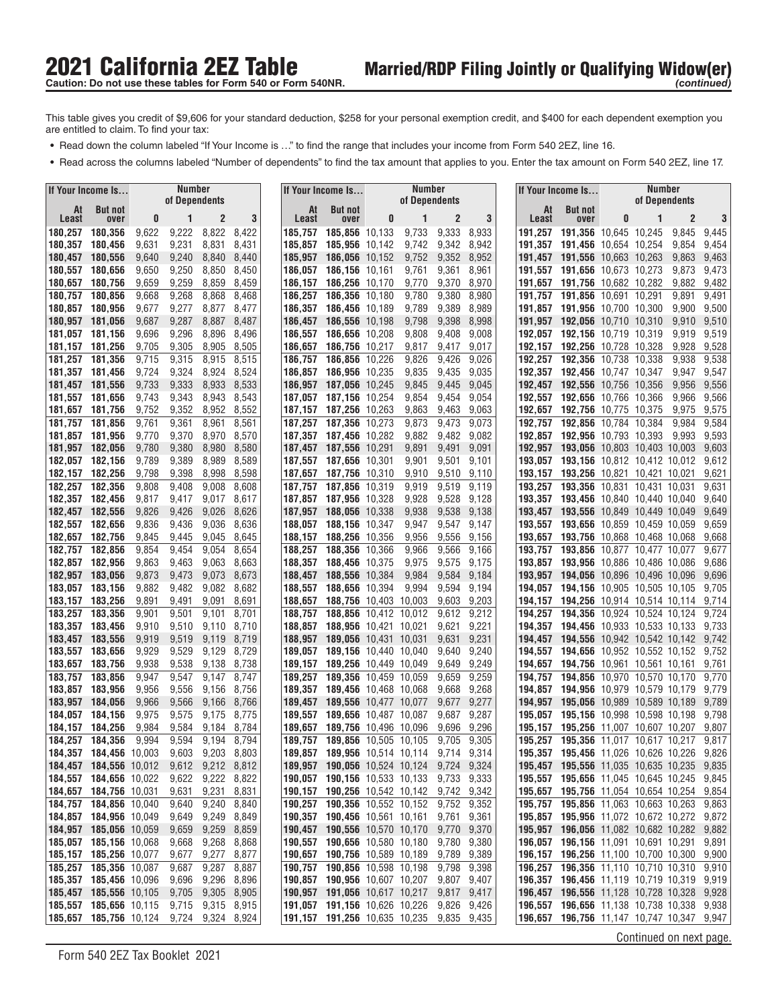- **•** Read down the column labeled "If Your Income is ..." to find the range that includes your income from Form 540 2EZ, line 16.
- **•** Read across the columns labeled "Number of dependents" to find the tax amount that applies to you. Enter the tax amount on Form 540 2EZ, line 17.

| <b>But not</b><br>At<br>At<br><b>But not</b><br>At<br><b>But not</b><br>3<br>$\overline{c}$<br>2<br>$\overline{2}$<br>3<br>0<br>3<br>0<br>1<br>0<br>Least<br>Least<br>1<br>Least<br>over<br>over<br>over<br>8,822<br>9,333<br>10,645 10,245<br>9,845<br>180,356<br>9,622<br>9,222<br>8,422<br>185,856 10,133<br>9,733<br>8,933<br>191,356<br>9,445<br>180,257<br>185,757<br>191.257<br>9,231<br>8,831<br>8,431<br>185,956 10,142<br>9,342<br>8,942<br>191,456 10,654 10,254<br>180,357<br>180,456<br>9,631<br>185,857<br>9,742<br>191,357<br>9,854<br>9,454<br>9,240<br>8,840<br>9,352<br>8,952<br>180,457<br>180,556<br>9,640<br>8,440<br>185,957<br>186,056 10,152<br>9,752<br>191.457<br>191,556 10,663 10,263<br>9,863<br>9,463<br>9,250<br>8,850<br>8,450<br>8,961<br>9,473<br>180,557<br>180,656<br>9,650<br>186,057<br>186,156 10,161<br>9,761<br>9,361<br>191.557<br>191.656 10.673 10.273<br>9,873<br>9,259<br>8,859<br>8,459<br>186,256 10,170<br>9,370<br>8,970<br>9,882<br>9,482<br>180,657<br>180,756<br>9,659<br>186,157<br>9,770<br>191,657<br>191,756 10,682 10,282<br>9,268<br>8,868<br>8,468<br>186,257<br>186,356 10,180<br>9,780<br>9,380<br>8,980<br>191,856 10,691 10,291<br>9,491<br>180,757<br>180,856<br>9,668<br>191.757<br>9,891<br>180,857<br>180,956<br>9,277<br>8,877<br>8,477<br>186,357<br>9,789<br>9,389<br>8,989<br>191,857<br>191,956 10,700 10,300<br>9,900<br>9,500<br>9,677<br>186,456 10,189<br>9,287<br>8,887<br>8,487<br>9,398<br>8,998<br>9,910<br>9,510<br>180,957 181,056<br>9,687<br>186,457<br>186,556 10,198<br>9,798<br>191,957<br>192,056 10,710 10,310<br>9,696<br>9,296<br>8,896<br>9,408<br>192,156 10,719 10,319<br>9,519<br>181,057 181,156<br>8,496<br>186,557<br>186,656 10,208<br>9,808<br>9,008<br>192.057<br>9,919<br>8,505<br>9,528<br>181,256<br>9,705<br>9,305<br>8,905<br>186,657<br>186,756 10,217<br>9,817<br>9,417<br>9,017<br>192,256 10,728 10,328<br>9,928<br>181,157<br>192.157<br>9,315<br>8,515<br>9,538<br>181,257<br>181,356<br>9,715<br>8,915<br>186.856 10.226<br>9,826<br>9,426<br>9,026<br>192.356 10.738 10.338<br>9,938<br>186.757<br>192,257<br>9,724<br>9,324<br>8,924<br>8,524<br>186,956 10,235<br>9,835<br>9,435<br>9,035<br>181,357 181,456<br>186,857<br>192.357<br>192,456 10,747 10,347<br>9,947<br>9,547<br>9,733<br>9,333<br>8,533<br>9,045<br>181,457 181,556<br>8,933<br>186,957<br>187,056 10,245<br>9,845<br>9,445<br>192.457<br>192,556 10,756 10,356<br>9,956<br>9,556<br>9,343<br>8,943<br>8,543<br>9,566<br>181,557<br>181,656<br>9,743<br>187,057<br>187,156 10,254<br>9,854<br>9,454<br>9,054<br>192.557<br>192,656 10,766 10,366<br>9,966<br>9,352<br>8,952<br>8,552<br>9,463<br>192,756 10,775 10,375<br>9,575<br>181,657<br>181,756<br>9,752<br>187,157<br>187,256 10,263<br>9,863<br>9,063<br>192.657<br>9,975<br>9,361<br>8,561<br>9,473<br>9,073<br>10,784 10,384<br>9,984<br>9,584<br>181,757<br>181,856<br>9,761<br>8,961<br>187,257<br>187,356 10,273<br>9,873<br>192,757<br>192,856<br>9,370<br>8,970<br>8,570<br>187,456 10,282<br>9,882<br>9,482<br>9,593<br>181,857 181,956<br>9,770<br>187,357<br>9,082<br>192.857<br>192,956 10,793 10,393<br>9,993<br>182,056<br>9,380<br>8,980<br>8,580<br>9,603<br>181,957<br>9,780<br>187,457<br>187,556 10,291<br>9,891<br>9,491<br>9,091<br>192.957<br>193,056 10,803 10,403 10,003<br>182,057<br>182,156<br>9,789<br>9,389<br>8,989<br>8,589<br>187,656 10,301<br>9,901<br>9,501<br>9,101<br>9,612<br>187,557<br>193.057<br>193,156 10,812 10,412 10,012<br>182,256<br>9,798<br>9,398<br>8,998<br>8,598<br>9,621<br>182,157<br>187,657<br>187,756 10,310<br>9,910<br>9,510<br>9,110<br>193.157<br>193,256 10,821 10,421 10,021<br>182,257<br>182,356<br>9,808<br>9,408<br>9,008<br>8,608<br>187,757<br>187.856 10.319<br>9,919<br>9,519<br>193,257<br>193,356 10,831 10,431 10,031<br>9,631<br>9,119<br>182,357<br>9,017<br>8,617<br>187,956 10,328<br>9,528<br>9,128<br>9,640<br>182,456<br>9,817<br>9,417<br>187,857<br>9,928<br>193.357<br>193,456 10,840 10,440 10,040<br>182,556<br>9,826<br>9,026<br>8,626<br>9,538<br>9,649<br>182,457<br>9,426<br>187,957<br>188,056 10,338<br>9,938<br>9,138<br>193,457<br>193,556 10,849 10,449 10,049<br>9,836<br>9,036<br>8,636<br>182,557<br>182,656<br>9,436<br>188,057<br>188,156 10,347<br>9,947<br>9,547<br>9,147<br>193,656 10,859 10,459 10,059<br>9,659<br>193,557<br>8,645<br>182,657<br>182,756<br>9,845<br>9,445<br>9,045<br>188.157<br>188,256 10,356<br>9,956<br>9,556<br>9,156<br>193,657<br>193,756 10,868 10,468 10,068<br>9,668<br>9,054<br>9,566<br>182,856<br>9,854<br>9,454<br>8,654<br>188,257<br>188,356 10,366<br>9,966<br>9,166<br>193,856 10,877 10,477 10,077<br>9,677<br>182,757<br>193.757<br>182,857<br>182,956<br>9,863<br>9,463<br>9,063<br>188,357<br>9,975<br>193,956 10,886 10,486 10,086<br>9,686<br>8,663<br>188,456 10,375<br>9,575<br>9,175<br>193.857<br>8,673<br>9,584<br>182,957<br>183,056<br>9,873<br>9,473<br>9,073<br>188,457<br>188,556 10,384<br>9,984<br>9,184<br>193,957<br>194,056 10,896 10,496 10,096<br>9,696<br>9,882<br>9,482<br>9,082<br>8,682<br>9,594<br>9,705<br>183,057<br>183,156<br>188,557<br>188,656 10,394<br>9,994<br>9,194<br>194,156 10,905 10,505 10,105<br>194.057<br>9,891<br>9,091<br>9,203<br>183,157<br>183,256<br>9,491<br>8,691<br>188,657<br>188,756 10,403 10,003<br>9,603<br>194.157<br>194,256 10,914 10,514 10,114<br>9,714<br>9,901<br>8,701<br>9,212<br>9,724<br>183,257<br>183,356<br>9,501<br>9,101<br>188,757<br>188,856 10,412 10,012<br>9,612<br>194.257<br>194,356 10,924 10,524 10,124<br>8,710<br>9,621<br>9,221<br>9,733<br>183,357<br>183,456<br>9,910<br>9,510<br>9,110<br>188,857<br>188,956 10,421 10,021<br>194.357<br>194,456 10,933 10,533 10,133<br>8,719<br>9,231<br>9,742<br>183,457<br>183,556<br>9,919<br>9,519<br>9,119<br>188,957<br>189,056 10,431 10,031<br>9,631<br>194,457<br>194,556 10,942 10,542 10,142<br>9,929<br>9,529<br>9,129<br>8,729<br>9,240<br>183,557<br>183,656<br>189,057<br>189,156 10,440 10,040<br>9,640<br>194,557<br>194,656 10,952 10,552 10,152<br>9,752<br>9,938<br>9,538<br>9,138<br>8,738<br>9,249<br>183,657<br>183,756<br>189,157<br>189,256 10,449 10,049<br>9,649<br>194.657<br>194,756 10,961 10,561 10,161<br>9,761<br>183,856<br>9,947<br>9,547<br>9,147<br>8,747<br>189,257<br>189,356 10,459 10,059<br>9,659<br>9,259<br>9,770<br>183,757<br>194.757<br>194,856 10,970 10,570 10,170<br>183,857<br>183,956<br>9,956<br>9,556<br>8,756<br>9,668<br>9,268<br>194,956 10,979 10,579 10,179<br>9,779<br>9,156<br>189.357<br>189,456 10,468 10,068<br>194.857<br>9,566<br>8,766<br>9,677<br>9,277<br>9,789<br>183,957<br>184,056<br>9,966<br>9,166<br>189,457<br>189,556 10,477 10,077<br>194.957<br>195,056 10,989 10,589 10,189<br>8,775<br>9,287<br>9,798<br>184,057<br>184,156<br>9,975<br>9,575<br>9,175<br>189,557<br>189.656 10.487 10.087<br>9,687<br>195.057<br>195,156 10,998 10,598 10,198<br>9,584<br>8,784<br>9,696<br>9,296<br>184,157<br>184,256<br>9,984<br>9,184<br>189,657<br>189,756 10,496 10,096<br>195,256 11,007 10,607 10,207<br>9,807<br>195.157<br>9,594<br>8,794<br>184,257 184,356<br>9,994<br>9,194<br>189.856 10.505 10.105<br>9,705<br>9,305<br><b>195,257 195,356</b> 11,017 10,617 10,217<br>9,817<br>189,757<br>184,357 184,456 10,003<br>9,603 9,203 8,803<br>189,857 189,956 10,514 10,114 9,714 9,314<br>195,357 195,456 11,026 10,626 10,226<br>9,826<br>189,957 190,056 10,524 10,124 9,724 9,324<br>184,457 184,556 10,012<br>9,612 9,212 8,812<br>195,457 195,556 11,035 10,635 10,235<br>9,835<br>9,622 9,222 8,822<br>190,057 190,156 10,533 10,133 9,733 9,333<br>184,557 184,656 10,022<br>195,557 195,656 11,045 10,645 10,245<br>9,845<br>184,657 184,756 10,031<br>9,631<br>9,231<br>8,831<br>190,157 190,256 10,542 10,142 9,742 9,342<br>195,657 195,756 11,054 10,654 10,254 9,854<br>184,757 184,856 10,040<br>9,640<br>9,240 8,840<br>190,257 190,356 10,552 10,152 9,752 9,352<br>195,757 195,856 11,063 10,663 10,263<br>9,863<br>184,857 184,956 10,049<br>9,249 8,849<br>190,357 190,456 10,561 10,161<br>9,761 9,361<br>195,857 195,956 11,072 10,672 10,272<br>9,872<br>9,649<br>184,957 185,056 10,059<br>9,659<br>9,259<br>8,859<br>190,457 190,556 10,570 10,170<br>9,770 9,370<br>195,957 196,056 11,082 10,682 10,282<br>9,882<br>185,057 185,156 10,068<br>9,668<br>9,268 8,868<br>190,557 190,656 10,580 10,180<br>9,780 9,380<br>196,057 196,156 11,091 10,691 10,291<br>9,891<br>9,277 8,877<br>185,157 185,256 10,077<br>9,677<br>190,657 190,756 10,589 10,189<br>9,789 9,389<br>9,900<br>196,157 196,256 11,100 10,700 10,300<br>185,257 185,356 10,087<br>9,287<br>8,887<br>190,757 190,856 10,598 10,198<br>9,798 9,398<br>196,257 196,356 11,110 10,710 10,310<br>9,910<br>9,687<br>185,357 185,456 10,096<br>9,696<br>9,296 8,896<br>190,857 190,956 10,607 10,207<br>9,807 9,407<br>196,357 196,456 11,119 10,719 10,319 9,919<br>9,705 9,305 8,905<br>185,457 185,556 10,105<br>190,957 191,056 10,617 10,217<br>9,817 9,417<br>196,457 196,556 11,128 10,728 10,328 9,928<br>9,715 9,315 8,915<br>185,557 185,656 10,115<br>191,057 191,156 10,626 10,226<br>9,826 9,426<br>196,557 196,656 11,138 10,738 10,338 9,938<br>9,724 9,324 8,924<br>191, 157 191, 256 10, 635 10, 235<br>196,657 196,756 11,147 10,747 10,347 9,947<br>185,657 185,756 10,124<br>9,835 9,435<br>Continued on next page. | If Your Income Is | Number<br>of Dependents |  |  | If Your Income Is | <b>Number</b><br>of Dependents |  | If Your Income Is | Number<br>of Dependents |  |
|------------------------------------------------------------------------------------------------------------------------------------------------------------------------------------------------------------------------------------------------------------------------------------------------------------------------------------------------------------------------------------------------------------------------------------------------------------------------------------------------------------------------------------------------------------------------------------------------------------------------------------------------------------------------------------------------------------------------------------------------------------------------------------------------------------------------------------------------------------------------------------------------------------------------------------------------------------------------------------------------------------------------------------------------------------------------------------------------------------------------------------------------------------------------------------------------------------------------------------------------------------------------------------------------------------------------------------------------------------------------------------------------------------------------------------------------------------------------------------------------------------------------------------------------------------------------------------------------------------------------------------------------------------------------------------------------------------------------------------------------------------------------------------------------------------------------------------------------------------------------------------------------------------------------------------------------------------------------------------------------------------------------------------------------------------------------------------------------------------------------------------------------------------------------------------------------------------------------------------------------------------------------------------------------------------------------------------------------------------------------------------------------------------------------------------------------------------------------------------------------------------------------------------------------------------------------------------------------------------------------------------------------------------------------------------------------------------------------------------------------------------------------------------------------------------------------------------------------------------------------------------------------------------------------------------------------------------------------------------------------------------------------------------------------------------------------------------------------------------------------------------------------------------------------------------------------------------------------------------------------------------------------------------------------------------------------------------------------------------------------------------------------------------------------------------------------------------------------------------------------------------------------------------------------------------------------------------------------------------------------------------------------------------------------------------------------------------------------------------------------------------------------------------------------------------------------------------------------------------------------------------------------------------------------------------------------------------------------------------------------------------------------------------------------------------------------------------------------------------------------------------------------------------------------------------------------------------------------------------------------------------------------------------------------------------------------------------------------------------------------------------------------------------------------------------------------------------------------------------------------------------------------------------------------------------------------------------------------------------------------------------------------------------------------------------------------------------------------------------------------------------------------------------------------------------------------------------------------------------------------------------------------------------------------------------------------------------------------------------------------------------------------------------------------------------------------------------------------------------------------------------------------------------------------------------------------------------------------------------------------------------------------------------------------------------------------------------------------------------------------------------------------------------------------------------------------------------------------------------------------------------------------------------------------------------------------------------------------------------------------------------------------------------------------------------------------------------------------------------------------------------------------------------------------------------------------------------------------------------------------------------------------------------------------------------------------------------------------------------------------------------------------------------------------------------------------------------------------------------------------------------------------------------------------------------------------------------------------------------------------------------------------------------------------------------------------------------------------------------------------------------------------------------------------------------------------------------------------------------------------------------------------------------------------------------------------------------------------------------------------------------------------------------------------------------------------------------------------------------------------------------------------------------------------------------------------------------------------------------------------------------------------------------------------------------------------------------------------------------------------------------------------------------------------------------------------------------------------------------------------------------------------------------------------------------------------------------------------------------------------------------------------------------------------------------------------------------------------------------------------------------------------------------------------------------------------------------------------------------------------------------------------------------------------------------------------------------------------------------------------------------------------------------------------------------------------------------------------------------------------------------------------------------------------------------------------------------------------------------------------------------------------------------------------------------------------------------------------------------------------------------------------------------------------------------------------------------------------------------------------------------------------------------------------------------------------------------------------------------------------------------------------------------------------------------------------------------------------------------------------------------------------------------------------------------------------------------------------------------------------------------------------------------------------------------------------------------------------------------------------------------------------------------------------------------------------------------------------------------------------------------------------------------------------------------------------------------------------------------------------------------------------------------------------------------------------------------------------------------------------------------------------------------------------------------------------------------------------------------------------------------------------------------------------------------------------------------------------------------------------------------------------------------------------------------------------------------------------------------------------------------------------------------------------------------|-------------------|-------------------------|--|--|-------------------|--------------------------------|--|-------------------|-------------------------|--|
|                                                                                                                                                                                                                                                                                                                                                                                                                                                                                                                                                                                                                                                                                                                                                                                                                                                                                                                                                                                                                                                                                                                                                                                                                                                                                                                                                                                                                                                                                                                                                                                                                                                                                                                                                                                                                                                                                                                                                                                                                                                                                                                                                                                                                                                                                                                                                                                                                                                                                                                                                                                                                                                                                                                                                                                                                                                                                                                                                                                                                                                                                                                                                                                                                                                                                                                                                                                                                                                                                                                                                                                                                                                                                                                                                                                                                                                                                                                                                                                                                                                                                                                                                                                                                                                                                                                                                                                                                                                                                                                                                                                                                                                                                                                                                                                                                                                                                                                                                                                                                                                                                                                                                                                                                                                                                                                                                                                                                                                                                                                                                                                                                                                                                                                                                                                                                                                                                                                                                                                                                                                                                                                                                                                                                                                                                                                                                                                                                                                                                                                                                                                                                                                                                                                                                                                                                                                                                                                                                                                                                                                                                                                                                                                                                                                                                                                                                                                                                                                                                                                                                                                                                                                                                                                                                                                                                                                                                                                                                                                                                                                                                                                                                                                                                                                                                                                                                                                                                                                                                                                                                                                                                                                                                                                                                                                                                                                                                                                                                                                                                                                                                                                                                                                                                                                                                                                                                                                                                                    |                   |                         |  |  |                   |                                |  |                   |                         |  |
|                                                                                                                                                                                                                                                                                                                                                                                                                                                                                                                                                                                                                                                                                                                                                                                                                                                                                                                                                                                                                                                                                                                                                                                                                                                                                                                                                                                                                                                                                                                                                                                                                                                                                                                                                                                                                                                                                                                                                                                                                                                                                                                                                                                                                                                                                                                                                                                                                                                                                                                                                                                                                                                                                                                                                                                                                                                                                                                                                                                                                                                                                                                                                                                                                                                                                                                                                                                                                                                                                                                                                                                                                                                                                                                                                                                                                                                                                                                                                                                                                                                                                                                                                                                                                                                                                                                                                                                                                                                                                                                                                                                                                                                                                                                                                                                                                                                                                                                                                                                                                                                                                                                                                                                                                                                                                                                                                                                                                                                                                                                                                                                                                                                                                                                                                                                                                                                                                                                                                                                                                                                                                                                                                                                                                                                                                                                                                                                                                                                                                                                                                                                                                                                                                                                                                                                                                                                                                                                                                                                                                                                                                                                                                                                                                                                                                                                                                                                                                                                                                                                                                                                                                                                                                                                                                                                                                                                                                                                                                                                                                                                                                                                                                                                                                                                                                                                                                                                                                                                                                                                                                                                                                                                                                                                                                                                                                                                                                                                                                                                                                                                                                                                                                                                                                                                                                                                                                                                                                                    |                   |                         |  |  |                   |                                |  |                   |                         |  |
|                                                                                                                                                                                                                                                                                                                                                                                                                                                                                                                                                                                                                                                                                                                                                                                                                                                                                                                                                                                                                                                                                                                                                                                                                                                                                                                                                                                                                                                                                                                                                                                                                                                                                                                                                                                                                                                                                                                                                                                                                                                                                                                                                                                                                                                                                                                                                                                                                                                                                                                                                                                                                                                                                                                                                                                                                                                                                                                                                                                                                                                                                                                                                                                                                                                                                                                                                                                                                                                                                                                                                                                                                                                                                                                                                                                                                                                                                                                                                                                                                                                                                                                                                                                                                                                                                                                                                                                                                                                                                                                                                                                                                                                                                                                                                                                                                                                                                                                                                                                                                                                                                                                                                                                                                                                                                                                                                                                                                                                                                                                                                                                                                                                                                                                                                                                                                                                                                                                                                                                                                                                                                                                                                                                                                                                                                                                                                                                                                                                                                                                                                                                                                                                                                                                                                                                                                                                                                                                                                                                                                                                                                                                                                                                                                                                                                                                                                                                                                                                                                                                                                                                                                                                                                                                                                                                                                                                                                                                                                                                                                                                                                                                                                                                                                                                                                                                                                                                                                                                                                                                                                                                                                                                                                                                                                                                                                                                                                                                                                                                                                                                                                                                                                                                                                                                                                                                                                                                                                                    |                   |                         |  |  |                   |                                |  |                   |                         |  |
|                                                                                                                                                                                                                                                                                                                                                                                                                                                                                                                                                                                                                                                                                                                                                                                                                                                                                                                                                                                                                                                                                                                                                                                                                                                                                                                                                                                                                                                                                                                                                                                                                                                                                                                                                                                                                                                                                                                                                                                                                                                                                                                                                                                                                                                                                                                                                                                                                                                                                                                                                                                                                                                                                                                                                                                                                                                                                                                                                                                                                                                                                                                                                                                                                                                                                                                                                                                                                                                                                                                                                                                                                                                                                                                                                                                                                                                                                                                                                                                                                                                                                                                                                                                                                                                                                                                                                                                                                                                                                                                                                                                                                                                                                                                                                                                                                                                                                                                                                                                                                                                                                                                                                                                                                                                                                                                                                                                                                                                                                                                                                                                                                                                                                                                                                                                                                                                                                                                                                                                                                                                                                                                                                                                                                                                                                                                                                                                                                                                                                                                                                                                                                                                                                                                                                                                                                                                                                                                                                                                                                                                                                                                                                                                                                                                                                                                                                                                                                                                                                                                                                                                                                                                                                                                                                                                                                                                                                                                                                                                                                                                                                                                                                                                                                                                                                                                                                                                                                                                                                                                                                                                                                                                                                                                                                                                                                                                                                                                                                                                                                                                                                                                                                                                                                                                                                                                                                                                                                                    |                   |                         |  |  |                   |                                |  |                   |                         |  |
|                                                                                                                                                                                                                                                                                                                                                                                                                                                                                                                                                                                                                                                                                                                                                                                                                                                                                                                                                                                                                                                                                                                                                                                                                                                                                                                                                                                                                                                                                                                                                                                                                                                                                                                                                                                                                                                                                                                                                                                                                                                                                                                                                                                                                                                                                                                                                                                                                                                                                                                                                                                                                                                                                                                                                                                                                                                                                                                                                                                                                                                                                                                                                                                                                                                                                                                                                                                                                                                                                                                                                                                                                                                                                                                                                                                                                                                                                                                                                                                                                                                                                                                                                                                                                                                                                                                                                                                                                                                                                                                                                                                                                                                                                                                                                                                                                                                                                                                                                                                                                                                                                                                                                                                                                                                                                                                                                                                                                                                                                                                                                                                                                                                                                                                                                                                                                                                                                                                                                                                                                                                                                                                                                                                                                                                                                                                                                                                                                                                                                                                                                                                                                                                                                                                                                                                                                                                                                                                                                                                                                                                                                                                                                                                                                                                                                                                                                                                                                                                                                                                                                                                                                                                                                                                                                                                                                                                                                                                                                                                                                                                                                                                                                                                                                                                                                                                                                                                                                                                                                                                                                                                                                                                                                                                                                                                                                                                                                                                                                                                                                                                                                                                                                                                                                                                                                                                                                                                                                                    |                   |                         |  |  |                   |                                |  |                   |                         |  |
|                                                                                                                                                                                                                                                                                                                                                                                                                                                                                                                                                                                                                                                                                                                                                                                                                                                                                                                                                                                                                                                                                                                                                                                                                                                                                                                                                                                                                                                                                                                                                                                                                                                                                                                                                                                                                                                                                                                                                                                                                                                                                                                                                                                                                                                                                                                                                                                                                                                                                                                                                                                                                                                                                                                                                                                                                                                                                                                                                                                                                                                                                                                                                                                                                                                                                                                                                                                                                                                                                                                                                                                                                                                                                                                                                                                                                                                                                                                                                                                                                                                                                                                                                                                                                                                                                                                                                                                                                                                                                                                                                                                                                                                                                                                                                                                                                                                                                                                                                                                                                                                                                                                                                                                                                                                                                                                                                                                                                                                                                                                                                                                                                                                                                                                                                                                                                                                                                                                                                                                                                                                                                                                                                                                                                                                                                                                                                                                                                                                                                                                                                                                                                                                                                                                                                                                                                                                                                                                                                                                                                                                                                                                                                                                                                                                                                                                                                                                                                                                                                                                                                                                                                                                                                                                                                                                                                                                                                                                                                                                                                                                                                                                                                                                                                                                                                                                                                                                                                                                                                                                                                                                                                                                                                                                                                                                                                                                                                                                                                                                                                                                                                                                                                                                                                                                                                                                                                                                                                                    |                   |                         |  |  |                   |                                |  |                   |                         |  |
|                                                                                                                                                                                                                                                                                                                                                                                                                                                                                                                                                                                                                                                                                                                                                                                                                                                                                                                                                                                                                                                                                                                                                                                                                                                                                                                                                                                                                                                                                                                                                                                                                                                                                                                                                                                                                                                                                                                                                                                                                                                                                                                                                                                                                                                                                                                                                                                                                                                                                                                                                                                                                                                                                                                                                                                                                                                                                                                                                                                                                                                                                                                                                                                                                                                                                                                                                                                                                                                                                                                                                                                                                                                                                                                                                                                                                                                                                                                                                                                                                                                                                                                                                                                                                                                                                                                                                                                                                                                                                                                                                                                                                                                                                                                                                                                                                                                                                                                                                                                                                                                                                                                                                                                                                                                                                                                                                                                                                                                                                                                                                                                                                                                                                                                                                                                                                                                                                                                                                                                                                                                                                                                                                                                                                                                                                                                                                                                                                                                                                                                                                                                                                                                                                                                                                                                                                                                                                                                                                                                                                                                                                                                                                                                                                                                                                                                                                                                                                                                                                                                                                                                                                                                                                                                                                                                                                                                                                                                                                                                                                                                                                                                                                                                                                                                                                                                                                                                                                                                                                                                                                                                                                                                                                                                                                                                                                                                                                                                                                                                                                                                                                                                                                                                                                                                                                                                                                                                                                                    |                   |                         |  |  |                   |                                |  |                   |                         |  |
|                                                                                                                                                                                                                                                                                                                                                                                                                                                                                                                                                                                                                                                                                                                                                                                                                                                                                                                                                                                                                                                                                                                                                                                                                                                                                                                                                                                                                                                                                                                                                                                                                                                                                                                                                                                                                                                                                                                                                                                                                                                                                                                                                                                                                                                                                                                                                                                                                                                                                                                                                                                                                                                                                                                                                                                                                                                                                                                                                                                                                                                                                                                                                                                                                                                                                                                                                                                                                                                                                                                                                                                                                                                                                                                                                                                                                                                                                                                                                                                                                                                                                                                                                                                                                                                                                                                                                                                                                                                                                                                                                                                                                                                                                                                                                                                                                                                                                                                                                                                                                                                                                                                                                                                                                                                                                                                                                                                                                                                                                                                                                                                                                                                                                                                                                                                                                                                                                                                                                                                                                                                                                                                                                                                                                                                                                                                                                                                                                                                                                                                                                                                                                                                                                                                                                                                                                                                                                                                                                                                                                                                                                                                                                                                                                                                                                                                                                                                                                                                                                                                                                                                                                                                                                                                                                                                                                                                                                                                                                                                                                                                                                                                                                                                                                                                                                                                                                                                                                                                                                                                                                                                                                                                                                                                                                                                                                                                                                                                                                                                                                                                                                                                                                                                                                                                                                                                                                                                                                                    |                   |                         |  |  |                   |                                |  |                   |                         |  |
|                                                                                                                                                                                                                                                                                                                                                                                                                                                                                                                                                                                                                                                                                                                                                                                                                                                                                                                                                                                                                                                                                                                                                                                                                                                                                                                                                                                                                                                                                                                                                                                                                                                                                                                                                                                                                                                                                                                                                                                                                                                                                                                                                                                                                                                                                                                                                                                                                                                                                                                                                                                                                                                                                                                                                                                                                                                                                                                                                                                                                                                                                                                                                                                                                                                                                                                                                                                                                                                                                                                                                                                                                                                                                                                                                                                                                                                                                                                                                                                                                                                                                                                                                                                                                                                                                                                                                                                                                                                                                                                                                                                                                                                                                                                                                                                                                                                                                                                                                                                                                                                                                                                                                                                                                                                                                                                                                                                                                                                                                                                                                                                                                                                                                                                                                                                                                                                                                                                                                                                                                                                                                                                                                                                                                                                                                                                                                                                                                                                                                                                                                                                                                                                                                                                                                                                                                                                                                                                                                                                                                                                                                                                                                                                                                                                                                                                                                                                                                                                                                                                                                                                                                                                                                                                                                                                                                                                                                                                                                                                                                                                                                                                                                                                                                                                                                                                                                                                                                                                                                                                                                                                                                                                                                                                                                                                                                                                                                                                                                                                                                                                                                                                                                                                                                                                                                                                                                                                                                                    |                   |                         |  |  |                   |                                |  |                   |                         |  |
|                                                                                                                                                                                                                                                                                                                                                                                                                                                                                                                                                                                                                                                                                                                                                                                                                                                                                                                                                                                                                                                                                                                                                                                                                                                                                                                                                                                                                                                                                                                                                                                                                                                                                                                                                                                                                                                                                                                                                                                                                                                                                                                                                                                                                                                                                                                                                                                                                                                                                                                                                                                                                                                                                                                                                                                                                                                                                                                                                                                                                                                                                                                                                                                                                                                                                                                                                                                                                                                                                                                                                                                                                                                                                                                                                                                                                                                                                                                                                                                                                                                                                                                                                                                                                                                                                                                                                                                                                                                                                                                                                                                                                                                                                                                                                                                                                                                                                                                                                                                                                                                                                                                                                                                                                                                                                                                                                                                                                                                                                                                                                                                                                                                                                                                                                                                                                                                                                                                                                                                                                                                                                                                                                                                                                                                                                                                                                                                                                                                                                                                                                                                                                                                                                                                                                                                                                                                                                                                                                                                                                                                                                                                                                                                                                                                                                                                                                                                                                                                                                                                                                                                                                                                                                                                                                                                                                                                                                                                                                                                                                                                                                                                                                                                                                                                                                                                                                                                                                                                                                                                                                                                                                                                                                                                                                                                                                                                                                                                                                                                                                                                                                                                                                                                                                                                                                                                                                                                                                                    |                   |                         |  |  |                   |                                |  |                   |                         |  |
|                                                                                                                                                                                                                                                                                                                                                                                                                                                                                                                                                                                                                                                                                                                                                                                                                                                                                                                                                                                                                                                                                                                                                                                                                                                                                                                                                                                                                                                                                                                                                                                                                                                                                                                                                                                                                                                                                                                                                                                                                                                                                                                                                                                                                                                                                                                                                                                                                                                                                                                                                                                                                                                                                                                                                                                                                                                                                                                                                                                                                                                                                                                                                                                                                                                                                                                                                                                                                                                                                                                                                                                                                                                                                                                                                                                                                                                                                                                                                                                                                                                                                                                                                                                                                                                                                                                                                                                                                                                                                                                                                                                                                                                                                                                                                                                                                                                                                                                                                                                                                                                                                                                                                                                                                                                                                                                                                                                                                                                                                                                                                                                                                                                                                                                                                                                                                                                                                                                                                                                                                                                                                                                                                                                                                                                                                                                                                                                                                                                                                                                                                                                                                                                                                                                                                                                                                                                                                                                                                                                                                                                                                                                                                                                                                                                                                                                                                                                                                                                                                                                                                                                                                                                                                                                                                                                                                                                                                                                                                                                                                                                                                                                                                                                                                                                                                                                                                                                                                                                                                                                                                                                                                                                                                                                                                                                                                                                                                                                                                                                                                                                                                                                                                                                                                                                                                                                                                                                                                                    |                   |                         |  |  |                   |                                |  |                   |                         |  |
|                                                                                                                                                                                                                                                                                                                                                                                                                                                                                                                                                                                                                                                                                                                                                                                                                                                                                                                                                                                                                                                                                                                                                                                                                                                                                                                                                                                                                                                                                                                                                                                                                                                                                                                                                                                                                                                                                                                                                                                                                                                                                                                                                                                                                                                                                                                                                                                                                                                                                                                                                                                                                                                                                                                                                                                                                                                                                                                                                                                                                                                                                                                                                                                                                                                                                                                                                                                                                                                                                                                                                                                                                                                                                                                                                                                                                                                                                                                                                                                                                                                                                                                                                                                                                                                                                                                                                                                                                                                                                                                                                                                                                                                                                                                                                                                                                                                                                                                                                                                                                                                                                                                                                                                                                                                                                                                                                                                                                                                                                                                                                                                                                                                                                                                                                                                                                                                                                                                                                                                                                                                                                                                                                                                                                                                                                                                                                                                                                                                                                                                                                                                                                                                                                                                                                                                                                                                                                                                                                                                                                                                                                                                                                                                                                                                                                                                                                                                                                                                                                                                                                                                                                                                                                                                                                                                                                                                                                                                                                                                                                                                                                                                                                                                                                                                                                                                                                                                                                                                                                                                                                                                                                                                                                                                                                                                                                                                                                                                                                                                                                                                                                                                                                                                                                                                                                                                                                                                                                                    |                   |                         |  |  |                   |                                |  |                   |                         |  |
|                                                                                                                                                                                                                                                                                                                                                                                                                                                                                                                                                                                                                                                                                                                                                                                                                                                                                                                                                                                                                                                                                                                                                                                                                                                                                                                                                                                                                                                                                                                                                                                                                                                                                                                                                                                                                                                                                                                                                                                                                                                                                                                                                                                                                                                                                                                                                                                                                                                                                                                                                                                                                                                                                                                                                                                                                                                                                                                                                                                                                                                                                                                                                                                                                                                                                                                                                                                                                                                                                                                                                                                                                                                                                                                                                                                                                                                                                                                                                                                                                                                                                                                                                                                                                                                                                                                                                                                                                                                                                                                                                                                                                                                                                                                                                                                                                                                                                                                                                                                                                                                                                                                                                                                                                                                                                                                                                                                                                                                                                                                                                                                                                                                                                                                                                                                                                                                                                                                                                                                                                                                                                                                                                                                                                                                                                                                                                                                                                                                                                                                                                                                                                                                                                                                                                                                                                                                                                                                                                                                                                                                                                                                                                                                                                                                                                                                                                                                                                                                                                                                                                                                                                                                                                                                                                                                                                                                                                                                                                                                                                                                                                                                                                                                                                                                                                                                                                                                                                                                                                                                                                                                                                                                                                                                                                                                                                                                                                                                                                                                                                                                                                                                                                                                                                                                                                                                                                                                                                                    |                   |                         |  |  |                   |                                |  |                   |                         |  |
|                                                                                                                                                                                                                                                                                                                                                                                                                                                                                                                                                                                                                                                                                                                                                                                                                                                                                                                                                                                                                                                                                                                                                                                                                                                                                                                                                                                                                                                                                                                                                                                                                                                                                                                                                                                                                                                                                                                                                                                                                                                                                                                                                                                                                                                                                                                                                                                                                                                                                                                                                                                                                                                                                                                                                                                                                                                                                                                                                                                                                                                                                                                                                                                                                                                                                                                                                                                                                                                                                                                                                                                                                                                                                                                                                                                                                                                                                                                                                                                                                                                                                                                                                                                                                                                                                                                                                                                                                                                                                                                                                                                                                                                                                                                                                                                                                                                                                                                                                                                                                                                                                                                                                                                                                                                                                                                                                                                                                                                                                                                                                                                                                                                                                                                                                                                                                                                                                                                                                                                                                                                                                                                                                                                                                                                                                                                                                                                                                                                                                                                                                                                                                                                                                                                                                                                                                                                                                                                                                                                                                                                                                                                                                                                                                                                                                                                                                                                                                                                                                                                                                                                                                                                                                                                                                                                                                                                                                                                                                                                                                                                                                                                                                                                                                                                                                                                                                                                                                                                                                                                                                                                                                                                                                                                                                                                                                                                                                                                                                                                                                                                                                                                                                                                                                                                                                                                                                                                                                                    |                   |                         |  |  |                   |                                |  |                   |                         |  |
|                                                                                                                                                                                                                                                                                                                                                                                                                                                                                                                                                                                                                                                                                                                                                                                                                                                                                                                                                                                                                                                                                                                                                                                                                                                                                                                                                                                                                                                                                                                                                                                                                                                                                                                                                                                                                                                                                                                                                                                                                                                                                                                                                                                                                                                                                                                                                                                                                                                                                                                                                                                                                                                                                                                                                                                                                                                                                                                                                                                                                                                                                                                                                                                                                                                                                                                                                                                                                                                                                                                                                                                                                                                                                                                                                                                                                                                                                                                                                                                                                                                                                                                                                                                                                                                                                                                                                                                                                                                                                                                                                                                                                                                                                                                                                                                                                                                                                                                                                                                                                                                                                                                                                                                                                                                                                                                                                                                                                                                                                                                                                                                                                                                                                                                                                                                                                                                                                                                                                                                                                                                                                                                                                                                                                                                                                                                                                                                                                                                                                                                                                                                                                                                                                                                                                                                                                                                                                                                                                                                                                                                                                                                                                                                                                                                                                                                                                                                                                                                                                                                                                                                                                                                                                                                                                                                                                                                                                                                                                                                                                                                                                                                                                                                                                                                                                                                                                                                                                                                                                                                                                                                                                                                                                                                                                                                                                                                                                                                                                                                                                                                                                                                                                                                                                                                                                                                                                                                                                                    |                   |                         |  |  |                   |                                |  |                   |                         |  |
|                                                                                                                                                                                                                                                                                                                                                                                                                                                                                                                                                                                                                                                                                                                                                                                                                                                                                                                                                                                                                                                                                                                                                                                                                                                                                                                                                                                                                                                                                                                                                                                                                                                                                                                                                                                                                                                                                                                                                                                                                                                                                                                                                                                                                                                                                                                                                                                                                                                                                                                                                                                                                                                                                                                                                                                                                                                                                                                                                                                                                                                                                                                                                                                                                                                                                                                                                                                                                                                                                                                                                                                                                                                                                                                                                                                                                                                                                                                                                                                                                                                                                                                                                                                                                                                                                                                                                                                                                                                                                                                                                                                                                                                                                                                                                                                                                                                                                                                                                                                                                                                                                                                                                                                                                                                                                                                                                                                                                                                                                                                                                                                                                                                                                                                                                                                                                                                                                                                                                                                                                                                                                                                                                                                                                                                                                                                                                                                                                                                                                                                                                                                                                                                                                                                                                                                                                                                                                                                                                                                                                                                                                                                                                                                                                                                                                                                                                                                                                                                                                                                                                                                                                                                                                                                                                                                                                                                                                                                                                                                                                                                                                                                                                                                                                                                                                                                                                                                                                                                                                                                                                                                                                                                                                                                                                                                                                                                                                                                                                                                                                                                                                                                                                                                                                                                                                                                                                                                                                                    |                   |                         |  |  |                   |                                |  |                   |                         |  |
|                                                                                                                                                                                                                                                                                                                                                                                                                                                                                                                                                                                                                                                                                                                                                                                                                                                                                                                                                                                                                                                                                                                                                                                                                                                                                                                                                                                                                                                                                                                                                                                                                                                                                                                                                                                                                                                                                                                                                                                                                                                                                                                                                                                                                                                                                                                                                                                                                                                                                                                                                                                                                                                                                                                                                                                                                                                                                                                                                                                                                                                                                                                                                                                                                                                                                                                                                                                                                                                                                                                                                                                                                                                                                                                                                                                                                                                                                                                                                                                                                                                                                                                                                                                                                                                                                                                                                                                                                                                                                                                                                                                                                                                                                                                                                                                                                                                                                                                                                                                                                                                                                                                                                                                                                                                                                                                                                                                                                                                                                                                                                                                                                                                                                                                                                                                                                                                                                                                                                                                                                                                                                                                                                                                                                                                                                                                                                                                                                                                                                                                                                                                                                                                                                                                                                                                                                                                                                                                                                                                                                                                                                                                                                                                                                                                                                                                                                                                                                                                                                                                                                                                                                                                                                                                                                                                                                                                                                                                                                                                                                                                                                                                                                                                                                                                                                                                                                                                                                                                                                                                                                                                                                                                                                                                                                                                                                                                                                                                                                                                                                                                                                                                                                                                                                                                                                                                                                                                                                                    |                   |                         |  |  |                   |                                |  |                   |                         |  |
|                                                                                                                                                                                                                                                                                                                                                                                                                                                                                                                                                                                                                                                                                                                                                                                                                                                                                                                                                                                                                                                                                                                                                                                                                                                                                                                                                                                                                                                                                                                                                                                                                                                                                                                                                                                                                                                                                                                                                                                                                                                                                                                                                                                                                                                                                                                                                                                                                                                                                                                                                                                                                                                                                                                                                                                                                                                                                                                                                                                                                                                                                                                                                                                                                                                                                                                                                                                                                                                                                                                                                                                                                                                                                                                                                                                                                                                                                                                                                                                                                                                                                                                                                                                                                                                                                                                                                                                                                                                                                                                                                                                                                                                                                                                                                                                                                                                                                                                                                                                                                                                                                                                                                                                                                                                                                                                                                                                                                                                                                                                                                                                                                                                                                                                                                                                                                                                                                                                                                                                                                                                                                                                                                                                                                                                                                                                                                                                                                                                                                                                                                                                                                                                                                                                                                                                                                                                                                                                                                                                                                                                                                                                                                                                                                                                                                                                                                                                                                                                                                                                                                                                                                                                                                                                                                                                                                                                                                                                                                                                                                                                                                                                                                                                                                                                                                                                                                                                                                                                                                                                                                                                                                                                                                                                                                                                                                                                                                                                                                                                                                                                                                                                                                                                                                                                                                                                                                                                                                                    |                   |                         |  |  |                   |                                |  |                   |                         |  |
|                                                                                                                                                                                                                                                                                                                                                                                                                                                                                                                                                                                                                                                                                                                                                                                                                                                                                                                                                                                                                                                                                                                                                                                                                                                                                                                                                                                                                                                                                                                                                                                                                                                                                                                                                                                                                                                                                                                                                                                                                                                                                                                                                                                                                                                                                                                                                                                                                                                                                                                                                                                                                                                                                                                                                                                                                                                                                                                                                                                                                                                                                                                                                                                                                                                                                                                                                                                                                                                                                                                                                                                                                                                                                                                                                                                                                                                                                                                                                                                                                                                                                                                                                                                                                                                                                                                                                                                                                                                                                                                                                                                                                                                                                                                                                                                                                                                                                                                                                                                                                                                                                                                                                                                                                                                                                                                                                                                                                                                                                                                                                                                                                                                                                                                                                                                                                                                                                                                                                                                                                                                                                                                                                                                                                                                                                                                                                                                                                                                                                                                                                                                                                                                                                                                                                                                                                                                                                                                                                                                                                                                                                                                                                                                                                                                                                                                                                                                                                                                                                                                                                                                                                                                                                                                                                                                                                                                                                                                                                                                                                                                                                                                                                                                                                                                                                                                                                                                                                                                                                                                                                                                                                                                                                                                                                                                                                                                                                                                                                                                                                                                                                                                                                                                                                                                                                                                                                                                                                                    |                   |                         |  |  |                   |                                |  |                   |                         |  |
|                                                                                                                                                                                                                                                                                                                                                                                                                                                                                                                                                                                                                                                                                                                                                                                                                                                                                                                                                                                                                                                                                                                                                                                                                                                                                                                                                                                                                                                                                                                                                                                                                                                                                                                                                                                                                                                                                                                                                                                                                                                                                                                                                                                                                                                                                                                                                                                                                                                                                                                                                                                                                                                                                                                                                                                                                                                                                                                                                                                                                                                                                                                                                                                                                                                                                                                                                                                                                                                                                                                                                                                                                                                                                                                                                                                                                                                                                                                                                                                                                                                                                                                                                                                                                                                                                                                                                                                                                                                                                                                                                                                                                                                                                                                                                                                                                                                                                                                                                                                                                                                                                                                                                                                                                                                                                                                                                                                                                                                                                                                                                                                                                                                                                                                                                                                                                                                                                                                                                                                                                                                                                                                                                                                                                                                                                                                                                                                                                                                                                                                                                                                                                                                                                                                                                                                                                                                                                                                                                                                                                                                                                                                                                                                                                                                                                                                                                                                                                                                                                                                                                                                                                                                                                                                                                                                                                                                                                                                                                                                                                                                                                                                                                                                                                                                                                                                                                                                                                                                                                                                                                                                                                                                                                                                                                                                                                                                                                                                                                                                                                                                                                                                                                                                                                                                                                                                                                                                                                                    |                   |                         |  |  |                   |                                |  |                   |                         |  |
|                                                                                                                                                                                                                                                                                                                                                                                                                                                                                                                                                                                                                                                                                                                                                                                                                                                                                                                                                                                                                                                                                                                                                                                                                                                                                                                                                                                                                                                                                                                                                                                                                                                                                                                                                                                                                                                                                                                                                                                                                                                                                                                                                                                                                                                                                                                                                                                                                                                                                                                                                                                                                                                                                                                                                                                                                                                                                                                                                                                                                                                                                                                                                                                                                                                                                                                                                                                                                                                                                                                                                                                                                                                                                                                                                                                                                                                                                                                                                                                                                                                                                                                                                                                                                                                                                                                                                                                                                                                                                                                                                                                                                                                                                                                                                                                                                                                                                                                                                                                                                                                                                                                                                                                                                                                                                                                                                                                                                                                                                                                                                                                                                                                                                                                                                                                                                                                                                                                                                                                                                                                                                                                                                                                                                                                                                                                                                                                                                                                                                                                                                                                                                                                                                                                                                                                                                                                                                                                                                                                                                                                                                                                                                                                                                                                                                                                                                                                                                                                                                                                                                                                                                                                                                                                                                                                                                                                                                                                                                                                                                                                                                                                                                                                                                                                                                                                                                                                                                                                                                                                                                                                                                                                                                                                                                                                                                                                                                                                                                                                                                                                                                                                                                                                                                                                                                                                                                                                                                                    |                   |                         |  |  |                   |                                |  |                   |                         |  |
|                                                                                                                                                                                                                                                                                                                                                                                                                                                                                                                                                                                                                                                                                                                                                                                                                                                                                                                                                                                                                                                                                                                                                                                                                                                                                                                                                                                                                                                                                                                                                                                                                                                                                                                                                                                                                                                                                                                                                                                                                                                                                                                                                                                                                                                                                                                                                                                                                                                                                                                                                                                                                                                                                                                                                                                                                                                                                                                                                                                                                                                                                                                                                                                                                                                                                                                                                                                                                                                                                                                                                                                                                                                                                                                                                                                                                                                                                                                                                                                                                                                                                                                                                                                                                                                                                                                                                                                                                                                                                                                                                                                                                                                                                                                                                                                                                                                                                                                                                                                                                                                                                                                                                                                                                                                                                                                                                                                                                                                                                                                                                                                                                                                                                                                                                                                                                                                                                                                                                                                                                                                                                                                                                                                                                                                                                                                                                                                                                                                                                                                                                                                                                                                                                                                                                                                                                                                                                                                                                                                                                                                                                                                                                                                                                                                                                                                                                                                                                                                                                                                                                                                                                                                                                                                                                                                                                                                                                                                                                                                                                                                                                                                                                                                                                                                                                                                                                                                                                                                                                                                                                                                                                                                                                                                                                                                                                                                                                                                                                                                                                                                                                                                                                                                                                                                                                                                                                                                                                                    |                   |                         |  |  |                   |                                |  |                   |                         |  |
|                                                                                                                                                                                                                                                                                                                                                                                                                                                                                                                                                                                                                                                                                                                                                                                                                                                                                                                                                                                                                                                                                                                                                                                                                                                                                                                                                                                                                                                                                                                                                                                                                                                                                                                                                                                                                                                                                                                                                                                                                                                                                                                                                                                                                                                                                                                                                                                                                                                                                                                                                                                                                                                                                                                                                                                                                                                                                                                                                                                                                                                                                                                                                                                                                                                                                                                                                                                                                                                                                                                                                                                                                                                                                                                                                                                                                                                                                                                                                                                                                                                                                                                                                                                                                                                                                                                                                                                                                                                                                                                                                                                                                                                                                                                                                                                                                                                                                                                                                                                                                                                                                                                                                                                                                                                                                                                                                                                                                                                                                                                                                                                                                                                                                                                                                                                                                                                                                                                                                                                                                                                                                                                                                                                                                                                                                                                                                                                                                                                                                                                                                                                                                                                                                                                                                                                                                                                                                                                                                                                                                                                                                                                                                                                                                                                                                                                                                                                                                                                                                                                                                                                                                                                                                                                                                                                                                                                                                                                                                                                                                                                                                                                                                                                                                                                                                                                                                                                                                                                                                                                                                                                                                                                                                                                                                                                                                                                                                                                                                                                                                                                                                                                                                                                                                                                                                                                                                                                                                                    |                   |                         |  |  |                   |                                |  |                   |                         |  |
|                                                                                                                                                                                                                                                                                                                                                                                                                                                                                                                                                                                                                                                                                                                                                                                                                                                                                                                                                                                                                                                                                                                                                                                                                                                                                                                                                                                                                                                                                                                                                                                                                                                                                                                                                                                                                                                                                                                                                                                                                                                                                                                                                                                                                                                                                                                                                                                                                                                                                                                                                                                                                                                                                                                                                                                                                                                                                                                                                                                                                                                                                                                                                                                                                                                                                                                                                                                                                                                                                                                                                                                                                                                                                                                                                                                                                                                                                                                                                                                                                                                                                                                                                                                                                                                                                                                                                                                                                                                                                                                                                                                                                                                                                                                                                                                                                                                                                                                                                                                                                                                                                                                                                                                                                                                                                                                                                                                                                                                                                                                                                                                                                                                                                                                                                                                                                                                                                                                                                                                                                                                                                                                                                                                                                                                                                                                                                                                                                                                                                                                                                                                                                                                                                                                                                                                                                                                                                                                                                                                                                                                                                                                                                                                                                                                                                                                                                                                                                                                                                                                                                                                                                                                                                                                                                                                                                                                                                                                                                                                                                                                                                                                                                                                                                                                                                                                                                                                                                                                                                                                                                                                                                                                                                                                                                                                                                                                                                                                                                                                                                                                                                                                                                                                                                                                                                                                                                                                                                                    |                   |                         |  |  |                   |                                |  |                   |                         |  |
|                                                                                                                                                                                                                                                                                                                                                                                                                                                                                                                                                                                                                                                                                                                                                                                                                                                                                                                                                                                                                                                                                                                                                                                                                                                                                                                                                                                                                                                                                                                                                                                                                                                                                                                                                                                                                                                                                                                                                                                                                                                                                                                                                                                                                                                                                                                                                                                                                                                                                                                                                                                                                                                                                                                                                                                                                                                                                                                                                                                                                                                                                                                                                                                                                                                                                                                                                                                                                                                                                                                                                                                                                                                                                                                                                                                                                                                                                                                                                                                                                                                                                                                                                                                                                                                                                                                                                                                                                                                                                                                                                                                                                                                                                                                                                                                                                                                                                                                                                                                                                                                                                                                                                                                                                                                                                                                                                                                                                                                                                                                                                                                                                                                                                                                                                                                                                                                                                                                                                                                                                                                                                                                                                                                                                                                                                                                                                                                                                                                                                                                                                                                                                                                                                                                                                                                                                                                                                                                                                                                                                                                                                                                                                                                                                                                                                                                                                                                                                                                                                                                                                                                                                                                                                                                                                                                                                                                                                                                                                                                                                                                                                                                                                                                                                                                                                                                                                                                                                                                                                                                                                                                                                                                                                                                                                                                                                                                                                                                                                                                                                                                                                                                                                                                                                                                                                                                                                                                                                                    |                   |                         |  |  |                   |                                |  |                   |                         |  |
|                                                                                                                                                                                                                                                                                                                                                                                                                                                                                                                                                                                                                                                                                                                                                                                                                                                                                                                                                                                                                                                                                                                                                                                                                                                                                                                                                                                                                                                                                                                                                                                                                                                                                                                                                                                                                                                                                                                                                                                                                                                                                                                                                                                                                                                                                                                                                                                                                                                                                                                                                                                                                                                                                                                                                                                                                                                                                                                                                                                                                                                                                                                                                                                                                                                                                                                                                                                                                                                                                                                                                                                                                                                                                                                                                                                                                                                                                                                                                                                                                                                                                                                                                                                                                                                                                                                                                                                                                                                                                                                                                                                                                                                                                                                                                                                                                                                                                                                                                                                                                                                                                                                                                                                                                                                                                                                                                                                                                                                                                                                                                                                                                                                                                                                                                                                                                                                                                                                                                                                                                                                                                                                                                                                                                                                                                                                                                                                                                                                                                                                                                                                                                                                                                                                                                                                                                                                                                                                                                                                                                                                                                                                                                                                                                                                                                                                                                                                                                                                                                                                                                                                                                                                                                                                                                                                                                                                                                                                                                                                                                                                                                                                                                                                                                                                                                                                                                                                                                                                                                                                                                                                                                                                                                                                                                                                                                                                                                                                                                                                                                                                                                                                                                                                                                                                                                                                                                                                                                                    |                   |                         |  |  |                   |                                |  |                   |                         |  |
|                                                                                                                                                                                                                                                                                                                                                                                                                                                                                                                                                                                                                                                                                                                                                                                                                                                                                                                                                                                                                                                                                                                                                                                                                                                                                                                                                                                                                                                                                                                                                                                                                                                                                                                                                                                                                                                                                                                                                                                                                                                                                                                                                                                                                                                                                                                                                                                                                                                                                                                                                                                                                                                                                                                                                                                                                                                                                                                                                                                                                                                                                                                                                                                                                                                                                                                                                                                                                                                                                                                                                                                                                                                                                                                                                                                                                                                                                                                                                                                                                                                                                                                                                                                                                                                                                                                                                                                                                                                                                                                                                                                                                                                                                                                                                                                                                                                                                                                                                                                                                                                                                                                                                                                                                                                                                                                                                                                                                                                                                                                                                                                                                                                                                                                                                                                                                                                                                                                                                                                                                                                                                                                                                                                                                                                                                                                                                                                                                                                                                                                                                                                                                                                                                                                                                                                                                                                                                                                                                                                                                                                                                                                                                                                                                                                                                                                                                                                                                                                                                                                                                                                                                                                                                                                                                                                                                                                                                                                                                                                                                                                                                                                                                                                                                                                                                                                                                                                                                                                                                                                                                                                                                                                                                                                                                                                                                                                                                                                                                                                                                                                                                                                                                                                                                                                                                                                                                                                                                                    |                   |                         |  |  |                   |                                |  |                   |                         |  |
|                                                                                                                                                                                                                                                                                                                                                                                                                                                                                                                                                                                                                                                                                                                                                                                                                                                                                                                                                                                                                                                                                                                                                                                                                                                                                                                                                                                                                                                                                                                                                                                                                                                                                                                                                                                                                                                                                                                                                                                                                                                                                                                                                                                                                                                                                                                                                                                                                                                                                                                                                                                                                                                                                                                                                                                                                                                                                                                                                                                                                                                                                                                                                                                                                                                                                                                                                                                                                                                                                                                                                                                                                                                                                                                                                                                                                                                                                                                                                                                                                                                                                                                                                                                                                                                                                                                                                                                                                                                                                                                                                                                                                                                                                                                                                                                                                                                                                                                                                                                                                                                                                                                                                                                                                                                                                                                                                                                                                                                                                                                                                                                                                                                                                                                                                                                                                                                                                                                                                                                                                                                                                                                                                                                                                                                                                                                                                                                                                                                                                                                                                                                                                                                                                                                                                                                                                                                                                                                                                                                                                                                                                                                                                                                                                                                                                                                                                                                                                                                                                                                                                                                                                                                                                                                                                                                                                                                                                                                                                                                                                                                                                                                                                                                                                                                                                                                                                                                                                                                                                                                                                                                                                                                                                                                                                                                                                                                                                                                                                                                                                                                                                                                                                                                                                                                                                                                                                                                                                                    |                   |                         |  |  |                   |                                |  |                   |                         |  |
|                                                                                                                                                                                                                                                                                                                                                                                                                                                                                                                                                                                                                                                                                                                                                                                                                                                                                                                                                                                                                                                                                                                                                                                                                                                                                                                                                                                                                                                                                                                                                                                                                                                                                                                                                                                                                                                                                                                                                                                                                                                                                                                                                                                                                                                                                                                                                                                                                                                                                                                                                                                                                                                                                                                                                                                                                                                                                                                                                                                                                                                                                                                                                                                                                                                                                                                                                                                                                                                                                                                                                                                                                                                                                                                                                                                                                                                                                                                                                                                                                                                                                                                                                                                                                                                                                                                                                                                                                                                                                                                                                                                                                                                                                                                                                                                                                                                                                                                                                                                                                                                                                                                                                                                                                                                                                                                                                                                                                                                                                                                                                                                                                                                                                                                                                                                                                                                                                                                                                                                                                                                                                                                                                                                                                                                                                                                                                                                                                                                                                                                                                                                                                                                                                                                                                                                                                                                                                                                                                                                                                                                                                                                                                                                                                                                                                                                                                                                                                                                                                                                                                                                                                                                                                                                                                                                                                                                                                                                                                                                                                                                                                                                                                                                                                                                                                                                                                                                                                                                                                                                                                                                                                                                                                                                                                                                                                                                                                                                                                                                                                                                                                                                                                                                                                                                                                                                                                                                                                                    |                   |                         |  |  |                   |                                |  |                   |                         |  |
|                                                                                                                                                                                                                                                                                                                                                                                                                                                                                                                                                                                                                                                                                                                                                                                                                                                                                                                                                                                                                                                                                                                                                                                                                                                                                                                                                                                                                                                                                                                                                                                                                                                                                                                                                                                                                                                                                                                                                                                                                                                                                                                                                                                                                                                                                                                                                                                                                                                                                                                                                                                                                                                                                                                                                                                                                                                                                                                                                                                                                                                                                                                                                                                                                                                                                                                                                                                                                                                                                                                                                                                                                                                                                                                                                                                                                                                                                                                                                                                                                                                                                                                                                                                                                                                                                                                                                                                                                                                                                                                                                                                                                                                                                                                                                                                                                                                                                                                                                                                                                                                                                                                                                                                                                                                                                                                                                                                                                                                                                                                                                                                                                                                                                                                                                                                                                                                                                                                                                                                                                                                                                                                                                                                                                                                                                                                                                                                                                                                                                                                                                                                                                                                                                                                                                                                                                                                                                                                                                                                                                                                                                                                                                                                                                                                                                                                                                                                                                                                                                                                                                                                                                                                                                                                                                                                                                                                                                                                                                                                                                                                                                                                                                                                                                                                                                                                                                                                                                                                                                                                                                                                                                                                                                                                                                                                                                                                                                                                                                                                                                                                                                                                                                                                                                                                                                                                                                                                                                                    |                   |                         |  |  |                   |                                |  |                   |                         |  |
|                                                                                                                                                                                                                                                                                                                                                                                                                                                                                                                                                                                                                                                                                                                                                                                                                                                                                                                                                                                                                                                                                                                                                                                                                                                                                                                                                                                                                                                                                                                                                                                                                                                                                                                                                                                                                                                                                                                                                                                                                                                                                                                                                                                                                                                                                                                                                                                                                                                                                                                                                                                                                                                                                                                                                                                                                                                                                                                                                                                                                                                                                                                                                                                                                                                                                                                                                                                                                                                                                                                                                                                                                                                                                                                                                                                                                                                                                                                                                                                                                                                                                                                                                                                                                                                                                                                                                                                                                                                                                                                                                                                                                                                                                                                                                                                                                                                                                                                                                                                                                                                                                                                                                                                                                                                                                                                                                                                                                                                                                                                                                                                                                                                                                                                                                                                                                                                                                                                                                                                                                                                                                                                                                                                                                                                                                                                                                                                                                                                                                                                                                                                                                                                                                                                                                                                                                                                                                                                                                                                                                                                                                                                                                                                                                                                                                                                                                                                                                                                                                                                                                                                                                                                                                                                                                                                                                                                                                                                                                                                                                                                                                                                                                                                                                                                                                                                                                                                                                                                                                                                                                                                                                                                                                                                                                                                                                                                                                                                                                                                                                                                                                                                                                                                                                                                                                                                                                                                                                                    |                   |                         |  |  |                   |                                |  |                   |                         |  |
|                                                                                                                                                                                                                                                                                                                                                                                                                                                                                                                                                                                                                                                                                                                                                                                                                                                                                                                                                                                                                                                                                                                                                                                                                                                                                                                                                                                                                                                                                                                                                                                                                                                                                                                                                                                                                                                                                                                                                                                                                                                                                                                                                                                                                                                                                                                                                                                                                                                                                                                                                                                                                                                                                                                                                                                                                                                                                                                                                                                                                                                                                                                                                                                                                                                                                                                                                                                                                                                                                                                                                                                                                                                                                                                                                                                                                                                                                                                                                                                                                                                                                                                                                                                                                                                                                                                                                                                                                                                                                                                                                                                                                                                                                                                                                                                                                                                                                                                                                                                                                                                                                                                                                                                                                                                                                                                                                                                                                                                                                                                                                                                                                                                                                                                                                                                                                                                                                                                                                                                                                                                                                                                                                                                                                                                                                                                                                                                                                                                                                                                                                                                                                                                                                                                                                                                                                                                                                                                                                                                                                                                                                                                                                                                                                                                                                                                                                                                                                                                                                                                                                                                                                                                                                                                                                                                                                                                                                                                                                                                                                                                                                                                                                                                                                                                                                                                                                                                                                                                                                                                                                                                                                                                                                                                                                                                                                                                                                                                                                                                                                                                                                                                                                                                                                                                                                                                                                                                                                                    |                   |                         |  |  |                   |                                |  |                   |                         |  |
|                                                                                                                                                                                                                                                                                                                                                                                                                                                                                                                                                                                                                                                                                                                                                                                                                                                                                                                                                                                                                                                                                                                                                                                                                                                                                                                                                                                                                                                                                                                                                                                                                                                                                                                                                                                                                                                                                                                                                                                                                                                                                                                                                                                                                                                                                                                                                                                                                                                                                                                                                                                                                                                                                                                                                                                                                                                                                                                                                                                                                                                                                                                                                                                                                                                                                                                                                                                                                                                                                                                                                                                                                                                                                                                                                                                                                                                                                                                                                                                                                                                                                                                                                                                                                                                                                                                                                                                                                                                                                                                                                                                                                                                                                                                                                                                                                                                                                                                                                                                                                                                                                                                                                                                                                                                                                                                                                                                                                                                                                                                                                                                                                                                                                                                                                                                                                                                                                                                                                                                                                                                                                                                                                                                                                                                                                                                                                                                                                                                                                                                                                                                                                                                                                                                                                                                                                                                                                                                                                                                                                                                                                                                                                                                                                                                                                                                                                                                                                                                                                                                                                                                                                                                                                                                                                                                                                                                                                                                                                                                                                                                                                                                                                                                                                                                                                                                                                                                                                                                                                                                                                                                                                                                                                                                                                                                                                                                                                                                                                                                                                                                                                                                                                                                                                                                                                                                                                                                                                                    |                   |                         |  |  |                   |                                |  |                   |                         |  |
|                                                                                                                                                                                                                                                                                                                                                                                                                                                                                                                                                                                                                                                                                                                                                                                                                                                                                                                                                                                                                                                                                                                                                                                                                                                                                                                                                                                                                                                                                                                                                                                                                                                                                                                                                                                                                                                                                                                                                                                                                                                                                                                                                                                                                                                                                                                                                                                                                                                                                                                                                                                                                                                                                                                                                                                                                                                                                                                                                                                                                                                                                                                                                                                                                                                                                                                                                                                                                                                                                                                                                                                                                                                                                                                                                                                                                                                                                                                                                                                                                                                                                                                                                                                                                                                                                                                                                                                                                                                                                                                                                                                                                                                                                                                                                                                                                                                                                                                                                                                                                                                                                                                                                                                                                                                                                                                                                                                                                                                                                                                                                                                                                                                                                                                                                                                                                                                                                                                                                                                                                                                                                                                                                                                                                                                                                                                                                                                                                                                                                                                                                                                                                                                                                                                                                                                                                                                                                                                                                                                                                                                                                                                                                                                                                                                                                                                                                                                                                                                                                                                                                                                                                                                                                                                                                                                                                                                                                                                                                                                                                                                                                                                                                                                                                                                                                                                                                                                                                                                                                                                                                                                                                                                                                                                                                                                                                                                                                                                                                                                                                                                                                                                                                                                                                                                                                                                                                                                                                                    |                   |                         |  |  |                   |                                |  |                   |                         |  |
|                                                                                                                                                                                                                                                                                                                                                                                                                                                                                                                                                                                                                                                                                                                                                                                                                                                                                                                                                                                                                                                                                                                                                                                                                                                                                                                                                                                                                                                                                                                                                                                                                                                                                                                                                                                                                                                                                                                                                                                                                                                                                                                                                                                                                                                                                                                                                                                                                                                                                                                                                                                                                                                                                                                                                                                                                                                                                                                                                                                                                                                                                                                                                                                                                                                                                                                                                                                                                                                                                                                                                                                                                                                                                                                                                                                                                                                                                                                                                                                                                                                                                                                                                                                                                                                                                                                                                                                                                                                                                                                                                                                                                                                                                                                                                                                                                                                                                                                                                                                                                                                                                                                                                                                                                                                                                                                                                                                                                                                                                                                                                                                                                                                                                                                                                                                                                                                                                                                                                                                                                                                                                                                                                                                                                                                                                                                                                                                                                                                                                                                                                                                                                                                                                                                                                                                                                                                                                                                                                                                                                                                                                                                                                                                                                                                                                                                                                                                                                                                                                                                                                                                                                                                                                                                                                                                                                                                                                                                                                                                                                                                                                                                                                                                                                                                                                                                                                                                                                                                                                                                                                                                                                                                                                                                                                                                                                                                                                                                                                                                                                                                                                                                                                                                                                                                                                                                                                                                                                                    |                   |                         |  |  |                   |                                |  |                   |                         |  |
|                                                                                                                                                                                                                                                                                                                                                                                                                                                                                                                                                                                                                                                                                                                                                                                                                                                                                                                                                                                                                                                                                                                                                                                                                                                                                                                                                                                                                                                                                                                                                                                                                                                                                                                                                                                                                                                                                                                                                                                                                                                                                                                                                                                                                                                                                                                                                                                                                                                                                                                                                                                                                                                                                                                                                                                                                                                                                                                                                                                                                                                                                                                                                                                                                                                                                                                                                                                                                                                                                                                                                                                                                                                                                                                                                                                                                                                                                                                                                                                                                                                                                                                                                                                                                                                                                                                                                                                                                                                                                                                                                                                                                                                                                                                                                                                                                                                                                                                                                                                                                                                                                                                                                                                                                                                                                                                                                                                                                                                                                                                                                                                                                                                                                                                                                                                                                                                                                                                                                                                                                                                                                                                                                                                                                                                                                                                                                                                                                                                                                                                                                                                                                                                                                                                                                                                                                                                                                                                                                                                                                                                                                                                                                                                                                                                                                                                                                                                                                                                                                                                                                                                                                                                                                                                                                                                                                                                                                                                                                                                                                                                                                                                                                                                                                                                                                                                                                                                                                                                                                                                                                                                                                                                                                                                                                                                                                                                                                                                                                                                                                                                                                                                                                                                                                                                                                                                                                                                                                                    |                   |                         |  |  |                   |                                |  |                   |                         |  |
|                                                                                                                                                                                                                                                                                                                                                                                                                                                                                                                                                                                                                                                                                                                                                                                                                                                                                                                                                                                                                                                                                                                                                                                                                                                                                                                                                                                                                                                                                                                                                                                                                                                                                                                                                                                                                                                                                                                                                                                                                                                                                                                                                                                                                                                                                                                                                                                                                                                                                                                                                                                                                                                                                                                                                                                                                                                                                                                                                                                                                                                                                                                                                                                                                                                                                                                                                                                                                                                                                                                                                                                                                                                                                                                                                                                                                                                                                                                                                                                                                                                                                                                                                                                                                                                                                                                                                                                                                                                                                                                                                                                                                                                                                                                                                                                                                                                                                                                                                                                                                                                                                                                                                                                                                                                                                                                                                                                                                                                                                                                                                                                                                                                                                                                                                                                                                                                                                                                                                                                                                                                                                                                                                                                                                                                                                                                                                                                                                                                                                                                                                                                                                                                                                                                                                                                                                                                                                                                                                                                                                                                                                                                                                                                                                                                                                                                                                                                                                                                                                                                                                                                                                                                                                                                                                                                                                                                                                                                                                                                                                                                                                                                                                                                                                                                                                                                                                                                                                                                                                                                                                                                                                                                                                                                                                                                                                                                                                                                                                                                                                                                                                                                                                                                                                                                                                                                                                                                                                                    |                   |                         |  |  |                   |                                |  |                   |                         |  |
|                                                                                                                                                                                                                                                                                                                                                                                                                                                                                                                                                                                                                                                                                                                                                                                                                                                                                                                                                                                                                                                                                                                                                                                                                                                                                                                                                                                                                                                                                                                                                                                                                                                                                                                                                                                                                                                                                                                                                                                                                                                                                                                                                                                                                                                                                                                                                                                                                                                                                                                                                                                                                                                                                                                                                                                                                                                                                                                                                                                                                                                                                                                                                                                                                                                                                                                                                                                                                                                                                                                                                                                                                                                                                                                                                                                                                                                                                                                                                                                                                                                                                                                                                                                                                                                                                                                                                                                                                                                                                                                                                                                                                                                                                                                                                                                                                                                                                                                                                                                                                                                                                                                                                                                                                                                                                                                                                                                                                                                                                                                                                                                                                                                                                                                                                                                                                                                                                                                                                                                                                                                                                                                                                                                                                                                                                                                                                                                                                                                                                                                                                                                                                                                                                                                                                                                                                                                                                                                                                                                                                                                                                                                                                                                                                                                                                                                                                                                                                                                                                                                                                                                                                                                                                                                                                                                                                                                                                                                                                                                                                                                                                                                                                                                                                                                                                                                                                                                                                                                                                                                                                                                                                                                                                                                                                                                                                                                                                                                                                                                                                                                                                                                                                                                                                                                                                                                                                                                                                                    |                   |                         |  |  |                   |                                |  |                   |                         |  |
|                                                                                                                                                                                                                                                                                                                                                                                                                                                                                                                                                                                                                                                                                                                                                                                                                                                                                                                                                                                                                                                                                                                                                                                                                                                                                                                                                                                                                                                                                                                                                                                                                                                                                                                                                                                                                                                                                                                                                                                                                                                                                                                                                                                                                                                                                                                                                                                                                                                                                                                                                                                                                                                                                                                                                                                                                                                                                                                                                                                                                                                                                                                                                                                                                                                                                                                                                                                                                                                                                                                                                                                                                                                                                                                                                                                                                                                                                                                                                                                                                                                                                                                                                                                                                                                                                                                                                                                                                                                                                                                                                                                                                                                                                                                                                                                                                                                                                                                                                                                                                                                                                                                                                                                                                                                                                                                                                                                                                                                                                                                                                                                                                                                                                                                                                                                                                                                                                                                                                                                                                                                                                                                                                                                                                                                                                                                                                                                                                                                                                                                                                                                                                                                                                                                                                                                                                                                                                                                                                                                                                                                                                                                                                                                                                                                                                                                                                                                                                                                                                                                                                                                                                                                                                                                                                                                                                                                                                                                                                                                                                                                                                                                                                                                                                                                                                                                                                                                                                                                                                                                                                                                                                                                                                                                                                                                                                                                                                                                                                                                                                                                                                                                                                                                                                                                                                                                                                                                                                                    |                   |                         |  |  |                   |                                |  |                   |                         |  |
|                                                                                                                                                                                                                                                                                                                                                                                                                                                                                                                                                                                                                                                                                                                                                                                                                                                                                                                                                                                                                                                                                                                                                                                                                                                                                                                                                                                                                                                                                                                                                                                                                                                                                                                                                                                                                                                                                                                                                                                                                                                                                                                                                                                                                                                                                                                                                                                                                                                                                                                                                                                                                                                                                                                                                                                                                                                                                                                                                                                                                                                                                                                                                                                                                                                                                                                                                                                                                                                                                                                                                                                                                                                                                                                                                                                                                                                                                                                                                                                                                                                                                                                                                                                                                                                                                                                                                                                                                                                                                                                                                                                                                                                                                                                                                                                                                                                                                                                                                                                                                                                                                                                                                                                                                                                                                                                                                                                                                                                                                                                                                                                                                                                                                                                                                                                                                                                                                                                                                                                                                                                                                                                                                                                                                                                                                                                                                                                                                                                                                                                                                                                                                                                                                                                                                                                                                                                                                                                                                                                                                                                                                                                                                                                                                                                                                                                                                                                                                                                                                                                                                                                                                                                                                                                                                                                                                                                                                                                                                                                                                                                                                                                                                                                                                                                                                                                                                                                                                                                                                                                                                                                                                                                                                                                                                                                                                                                                                                                                                                                                                                                                                                                                                                                                                                                                                                                                                                                                                                    |                   |                         |  |  |                   |                                |  |                   |                         |  |
|                                                                                                                                                                                                                                                                                                                                                                                                                                                                                                                                                                                                                                                                                                                                                                                                                                                                                                                                                                                                                                                                                                                                                                                                                                                                                                                                                                                                                                                                                                                                                                                                                                                                                                                                                                                                                                                                                                                                                                                                                                                                                                                                                                                                                                                                                                                                                                                                                                                                                                                                                                                                                                                                                                                                                                                                                                                                                                                                                                                                                                                                                                                                                                                                                                                                                                                                                                                                                                                                                                                                                                                                                                                                                                                                                                                                                                                                                                                                                                                                                                                                                                                                                                                                                                                                                                                                                                                                                                                                                                                                                                                                                                                                                                                                                                                                                                                                                                                                                                                                                                                                                                                                                                                                                                                                                                                                                                                                                                                                                                                                                                                                                                                                                                                                                                                                                                                                                                                                                                                                                                                                                                                                                                                                                                                                                                                                                                                                                                                                                                                                                                                                                                                                                                                                                                                                                                                                                                                                                                                                                                                                                                                                                                                                                                                                                                                                                                                                                                                                                                                                                                                                                                                                                                                                                                                                                                                                                                                                                                                                                                                                                                                                                                                                                                                                                                                                                                                                                                                                                                                                                                                                                                                                                                                                                                                                                                                                                                                                                                                                                                                                                                                                                                                                                                                                                                                                                                                                                                    |                   |                         |  |  |                   |                                |  |                   |                         |  |
|                                                                                                                                                                                                                                                                                                                                                                                                                                                                                                                                                                                                                                                                                                                                                                                                                                                                                                                                                                                                                                                                                                                                                                                                                                                                                                                                                                                                                                                                                                                                                                                                                                                                                                                                                                                                                                                                                                                                                                                                                                                                                                                                                                                                                                                                                                                                                                                                                                                                                                                                                                                                                                                                                                                                                                                                                                                                                                                                                                                                                                                                                                                                                                                                                                                                                                                                                                                                                                                                                                                                                                                                                                                                                                                                                                                                                                                                                                                                                                                                                                                                                                                                                                                                                                                                                                                                                                                                                                                                                                                                                                                                                                                                                                                                                                                                                                                                                                                                                                                                                                                                                                                                                                                                                                                                                                                                                                                                                                                                                                                                                                                                                                                                                                                                                                                                                                                                                                                                                                                                                                                                                                                                                                                                                                                                                                                                                                                                                                                                                                                                                                                                                                                                                                                                                                                                                                                                                                                                                                                                                                                                                                                                                                                                                                                                                                                                                                                                                                                                                                                                                                                                                                                                                                                                                                                                                                                                                                                                                                                                                                                                                                                                                                                                                                                                                                                                                                                                                                                                                                                                                                                                                                                                                                                                                                                                                                                                                                                                                                                                                                                                                                                                                                                                                                                                                                                                                                                                                                    |                   |                         |  |  |                   |                                |  |                   |                         |  |
|                                                                                                                                                                                                                                                                                                                                                                                                                                                                                                                                                                                                                                                                                                                                                                                                                                                                                                                                                                                                                                                                                                                                                                                                                                                                                                                                                                                                                                                                                                                                                                                                                                                                                                                                                                                                                                                                                                                                                                                                                                                                                                                                                                                                                                                                                                                                                                                                                                                                                                                                                                                                                                                                                                                                                                                                                                                                                                                                                                                                                                                                                                                                                                                                                                                                                                                                                                                                                                                                                                                                                                                                                                                                                                                                                                                                                                                                                                                                                                                                                                                                                                                                                                                                                                                                                                                                                                                                                                                                                                                                                                                                                                                                                                                                                                                                                                                                                                                                                                                                                                                                                                                                                                                                                                                                                                                                                                                                                                                                                                                                                                                                                                                                                                                                                                                                                                                                                                                                                                                                                                                                                                                                                                                                                                                                                                                                                                                                                                                                                                                                                                                                                                                                                                                                                                                                                                                                                                                                                                                                                                                                                                                                                                                                                                                                                                                                                                                                                                                                                                                                                                                                                                                                                                                                                                                                                                                                                                                                                                                                                                                                                                                                                                                                                                                                                                                                                                                                                                                                                                                                                                                                                                                                                                                                                                                                                                                                                                                                                                                                                                                                                                                                                                                                                                                                                                                                                                                                                                    |                   |                         |  |  |                   |                                |  |                   |                         |  |
|                                                                                                                                                                                                                                                                                                                                                                                                                                                                                                                                                                                                                                                                                                                                                                                                                                                                                                                                                                                                                                                                                                                                                                                                                                                                                                                                                                                                                                                                                                                                                                                                                                                                                                                                                                                                                                                                                                                                                                                                                                                                                                                                                                                                                                                                                                                                                                                                                                                                                                                                                                                                                                                                                                                                                                                                                                                                                                                                                                                                                                                                                                                                                                                                                                                                                                                                                                                                                                                                                                                                                                                                                                                                                                                                                                                                                                                                                                                                                                                                                                                                                                                                                                                                                                                                                                                                                                                                                                                                                                                                                                                                                                                                                                                                                                                                                                                                                                                                                                                                                                                                                                                                                                                                                                                                                                                                                                                                                                                                                                                                                                                                                                                                                                                                                                                                                                                                                                                                                                                                                                                                                                                                                                                                                                                                                                                                                                                                                                                                                                                                                                                                                                                                                                                                                                                                                                                                                                                                                                                                                                                                                                                                                                                                                                                                                                                                                                                                                                                                                                                                                                                                                                                                                                                                                                                                                                                                                                                                                                                                                                                                                                                                                                                                                                                                                                                                                                                                                                                                                                                                                                                                                                                                                                                                                                                                                                                                                                                                                                                                                                                                                                                                                                                                                                                                                                                                                                                                                                    |                   |                         |  |  |                   |                                |  |                   |                         |  |
|                                                                                                                                                                                                                                                                                                                                                                                                                                                                                                                                                                                                                                                                                                                                                                                                                                                                                                                                                                                                                                                                                                                                                                                                                                                                                                                                                                                                                                                                                                                                                                                                                                                                                                                                                                                                                                                                                                                                                                                                                                                                                                                                                                                                                                                                                                                                                                                                                                                                                                                                                                                                                                                                                                                                                                                                                                                                                                                                                                                                                                                                                                                                                                                                                                                                                                                                                                                                                                                                                                                                                                                                                                                                                                                                                                                                                                                                                                                                                                                                                                                                                                                                                                                                                                                                                                                                                                                                                                                                                                                                                                                                                                                                                                                                                                                                                                                                                                                                                                                                                                                                                                                                                                                                                                                                                                                                                                                                                                                                                                                                                                                                                                                                                                                                                                                                                                                                                                                                                                                                                                                                                                                                                                                                                                                                                                                                                                                                                                                                                                                                                                                                                                                                                                                                                                                                                                                                                                                                                                                                                                                                                                                                                                                                                                                                                                                                                                                                                                                                                                                                                                                                                                                                                                                                                                                                                                                                                                                                                                                                                                                                                                                                                                                                                                                                                                                                                                                                                                                                                                                                                                                                                                                                                                                                                                                                                                                                                                                                                                                                                                                                                                                                                                                                                                                                                                                                                                                                                                    |                   |                         |  |  |                   |                                |  |                   |                         |  |
|                                                                                                                                                                                                                                                                                                                                                                                                                                                                                                                                                                                                                                                                                                                                                                                                                                                                                                                                                                                                                                                                                                                                                                                                                                                                                                                                                                                                                                                                                                                                                                                                                                                                                                                                                                                                                                                                                                                                                                                                                                                                                                                                                                                                                                                                                                                                                                                                                                                                                                                                                                                                                                                                                                                                                                                                                                                                                                                                                                                                                                                                                                                                                                                                                                                                                                                                                                                                                                                                                                                                                                                                                                                                                                                                                                                                                                                                                                                                                                                                                                                                                                                                                                                                                                                                                                                                                                                                                                                                                                                                                                                                                                                                                                                                                                                                                                                                                                                                                                                                                                                                                                                                                                                                                                                                                                                                                                                                                                                                                                                                                                                                                                                                                                                                                                                                                                                                                                                                                                                                                                                                                                                                                                                                                                                                                                                                                                                                                                                                                                                                                                                                                                                                                                                                                                                                                                                                                                                                                                                                                                                                                                                                                                                                                                                                                                                                                                                                                                                                                                                                                                                                                                                                                                                                                                                                                                                                                                                                                                                                                                                                                                                                                                                                                                                                                                                                                                                                                                                                                                                                                                                                                                                                                                                                                                                                                                                                                                                                                                                                                                                                                                                                                                                                                                                                                                                                                                                                                                    |                   |                         |  |  |                   |                                |  |                   |                         |  |
|                                                                                                                                                                                                                                                                                                                                                                                                                                                                                                                                                                                                                                                                                                                                                                                                                                                                                                                                                                                                                                                                                                                                                                                                                                                                                                                                                                                                                                                                                                                                                                                                                                                                                                                                                                                                                                                                                                                                                                                                                                                                                                                                                                                                                                                                                                                                                                                                                                                                                                                                                                                                                                                                                                                                                                                                                                                                                                                                                                                                                                                                                                                                                                                                                                                                                                                                                                                                                                                                                                                                                                                                                                                                                                                                                                                                                                                                                                                                                                                                                                                                                                                                                                                                                                                                                                                                                                                                                                                                                                                                                                                                                                                                                                                                                                                                                                                                                                                                                                                                                                                                                                                                                                                                                                                                                                                                                                                                                                                                                                                                                                                                                                                                                                                                                                                                                                                                                                                                                                                                                                                                                                                                                                                                                                                                                                                                                                                                                                                                                                                                                                                                                                                                                                                                                                                                                                                                                                                                                                                                                                                                                                                                                                                                                                                                                                                                                                                                                                                                                                                                                                                                                                                                                                                                                                                                                                                                                                                                                                                                                                                                                                                                                                                                                                                                                                                                                                                                                                                                                                                                                                                                                                                                                                                                                                                                                                                                                                                                                                                                                                                                                                                                                                                                                                                                                                                                                                                                                                    |                   |                         |  |  |                   |                                |  |                   |                         |  |
|                                                                                                                                                                                                                                                                                                                                                                                                                                                                                                                                                                                                                                                                                                                                                                                                                                                                                                                                                                                                                                                                                                                                                                                                                                                                                                                                                                                                                                                                                                                                                                                                                                                                                                                                                                                                                                                                                                                                                                                                                                                                                                                                                                                                                                                                                                                                                                                                                                                                                                                                                                                                                                                                                                                                                                                                                                                                                                                                                                                                                                                                                                                                                                                                                                                                                                                                                                                                                                                                                                                                                                                                                                                                                                                                                                                                                                                                                                                                                                                                                                                                                                                                                                                                                                                                                                                                                                                                                                                                                                                                                                                                                                                                                                                                                                                                                                                                                                                                                                                                                                                                                                                                                                                                                                                                                                                                                                                                                                                                                                                                                                                                                                                                                                                                                                                                                                                                                                                                                                                                                                                                                                                                                                                                                                                                                                                                                                                                                                                                                                                                                                                                                                                                                                                                                                                                                                                                                                                                                                                                                                                                                                                                                                                                                                                                                                                                                                                                                                                                                                                                                                                                                                                                                                                                                                                                                                                                                                                                                                                                                                                                                                                                                                                                                                                                                                                                                                                                                                                                                                                                                                                                                                                                                                                                                                                                                                                                                                                                                                                                                                                                                                                                                                                                                                                                                                                                                                                                                                    |                   |                         |  |  |                   |                                |  |                   |                         |  |
|                                                                                                                                                                                                                                                                                                                                                                                                                                                                                                                                                                                                                                                                                                                                                                                                                                                                                                                                                                                                                                                                                                                                                                                                                                                                                                                                                                                                                                                                                                                                                                                                                                                                                                                                                                                                                                                                                                                                                                                                                                                                                                                                                                                                                                                                                                                                                                                                                                                                                                                                                                                                                                                                                                                                                                                                                                                                                                                                                                                                                                                                                                                                                                                                                                                                                                                                                                                                                                                                                                                                                                                                                                                                                                                                                                                                                                                                                                                                                                                                                                                                                                                                                                                                                                                                                                                                                                                                                                                                                                                                                                                                                                                                                                                                                                                                                                                                                                                                                                                                                                                                                                                                                                                                                                                                                                                                                                                                                                                                                                                                                                                                                                                                                                                                                                                                                                                                                                                                                                                                                                                                                                                                                                                                                                                                                                                                                                                                                                                                                                                                                                                                                                                                                                                                                                                                                                                                                                                                                                                                                                                                                                                                                                                                                                                                                                                                                                                                                                                                                                                                                                                                                                                                                                                                                                                                                                                                                                                                                                                                                                                                                                                                                                                                                                                                                                                                                                                                                                                                                                                                                                                                                                                                                                                                                                                                                                                                                                                                                                                                                                                                                                                                                                                                                                                                                                                                                                                                                                    |                   |                         |  |  |                   |                                |  |                   |                         |  |